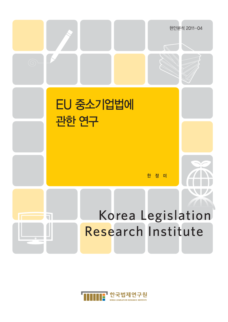

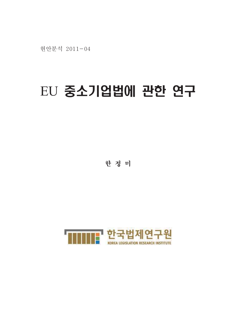현안분석 2011-04

# EU 중소기업법에 관한 연구

한 정 미

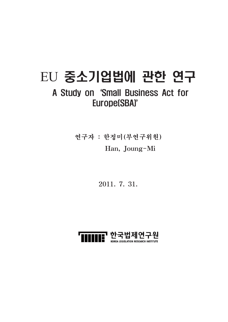# EU 중소기업법에 관한 연구

# A Study on 'Small Business Act for Europe(SBA)'

연구자 : 한정미(부연구위원) Han, Joung-Mi

2011. 7. 31.

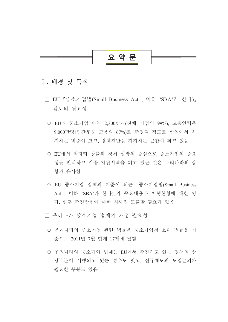

#### I. 배경 및 목적

- □ EU 「중소기업법(Small Business Act : 이하'SBA'라 한다)」 검토의 필요성
	- EU의 중소기업 수는 2.300만개(전체 기업의 99%). 고용인력은 9.000만명(민간부문 고용의 67%)로 추정될 정도로 산업에서 차 지하는 비중이 크고, 경제전반을 지지하는 근간이 되고 있음
	- EU에서 일자리 창출과 경제 성장의 중심으로 중소기업의 중요 성을 인식하고 각종 지원시책을 펴고 있는 것은 우리나라의 상 황과 유사함
	- O EU 중소기업 정책의 기준이 되는 「중소기업법(Small Business Act : 이하 'SBA'라 한다)』의 주요내용과 이행현황에 대한 평 가, 향후 추진방향에 대한 시사점 도출할 필요가 있음
- □ 우리나라 중소기업 법제의 개정 필요성
	- 우리나라의 중소기업 관련 법률은 중소기업청 소관 법률을 기 준으로 2011년 7월 현재 17개에 달함
	- 우리나라의 중소기업 법제는 EU에서 추진하고 있는 정책의 상 당부분이 시행되고 있는 경우도 있고, 신규제도의 도입논의가 필요한 부분도 있음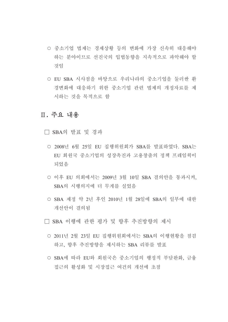- 중소기업 법제는 경제상황 등의 변화에 가장 신속히 대응해야 하는 부야이므로 선진국의 입법동향을 지속적으로 파악해야 할 것임
- EU SBA 시사점을 바탕으로 우리나라의 중소기업을 둘러싼 환 경변화에 대응하기 위한 중소기업 관련 법제의 개정자료를 제 시하는 것을 목적으로 함

### Ⅱ. 주요 내용

□ SBA의 발표 및 경과

- 2008년 6월 25일 EU 집행위원회가 SBA를 발표하였다. SBA는 EU 회원국 중소기업의 성장촉진과 고용창출의 정책 프레임웍이 되었음
- 이후 EU 의회에서는 2009년 3월 10일 SBA 결의안을 통과시켜, SBA의 시행의지에 더 무게를 실었음
- SBA 제정 약 2년 후인 2010년 1월 28일에 SBA의 일부에 대한 개선안이 결의됨
- □ SBA 이행에 관한 평가 및 향후 추진방향의 제시
	- 2011년 2월 23일 EU 집행위원회에서는 SBA의 이행현황을 점검 하고, 향후 추진방향을 제시하는 SBA 리뷰를 발표
	- SBA에 따라 EU와 회원국은 중소기업의 행정적 부담완화, 금융 접근의 활성화 및 시장접근 여건의 개선에 초점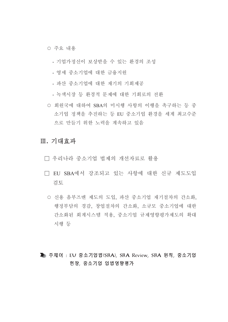○ 주요 내용

- 기업가정신이 보상받을 수 있는 환경의 조성
- 영세 중소기업에 대한 금융지원
- 파산 중소기업에 대한 재기의 기회제공
- 녹색시장 등 환경적 문제에 대한 기회로의 전환
- 회원국에 대하여 SBA의 미시행 사항의 이행을 촉구하는 등 중 소기업 정책을 추진하는 등 EU 중소기업 환경을 세계 최고수준 으로 만들기 위한 노력을 계속하고 있음

### Ⅲ. 기대효과

- □ 우리나라 중소기업 법제의 개선자료로 활용
- □ EU SBA에서 강조되고 있는 사항에 대한 신규 제도도입 검토
	- 신용 옴부즈맨 제도의 도입, 파산 중소기업 재기절차의 간소화, 행정부담의 경감, 창업절차의 간소화, 소규모 중소기업에 대한 간소화된 회계시스템 적용, 중소기업 규제영향평가제도의 확대 시행 등

▶ 주제어 : EU 중소기업법(SBA), SBA Review, SBA 원칙, 중소기업 헌장, 중소기업 입법영향평가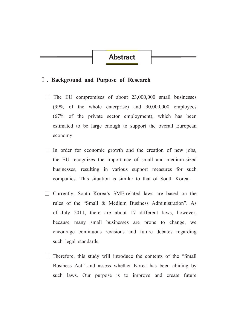# **Abstract**

#### I. Background and Purpose of Research

- $\Box$  The EU compromises of about 23,000,000 small businesses  $(99\% \text{ of the whole enterprise})$  and  $90,000,000$  employees  $(67\%$  of the private sector employment), which has been estimated to be large enough to support the overall European economy.
- $\Box$  In order for economic growth and the creation of new jobs, the EU recognizes the importance of small and medium-sized businesses, resulting in various support measures for such companies. This situation is similar to that of South Korea.
- □ Currently, South Korea's SME-related laws are based on the rules of the "Small & Medium Business Administration". As of July 2011, there are about 17 different laws, however, because many small businesses are prone to change, we encourage continuous revisions and future debates regarding such legal standards.
- $\Box$  Therefore, this study will introduce the contents of the "Small" Business Act" and assess whether Korea has been abiding by such laws. Our purpose is to improve and create future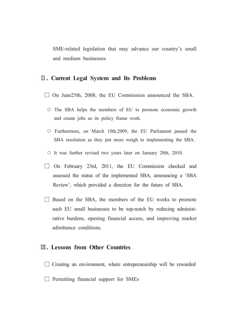SME-related legislation that may advance our country's small and medium businesses.

#### II. Current Legal System and Its Problems

- $\Box$  On June 25th, 2008, the EU Commission announced the SBA.
	- $\circ$  The SBA helps the members of EU to promote economic growth and create jobs as its policy frame work.
	- O Furthermore, on March 10th, 2009, the EU Parliament passed the SBA resolution as they put more weigh to implementing the SBA.
	- $\circ$  It was further revised two years later on January 28th, 2010.
- $\Box$  On February 23rd, 2011, the EU Commission checked and assessed the status of the implemented SBA, announcing a 'SBA Review', which provided a direction for the future of SBA.
- $\Box$  Based on the SBA, the members of the EU works to promote such EU small businesses to be top-notch by reducing administrative burdens, opening financial access, and improving market admittance conditions.

#### **III.** Lessons from Other Countries

 $\Box$  Creating an environment, where entrepreneurship will be rewarded  $\Box$  Permitting financial support for SMEs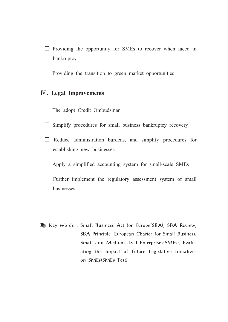- $\Box$  Providing the opportunity for SMEs to recover when faced in bankruptcy
- $\Box$  Providing the transition to green market opportunities

#### **IV.** Legal Improvements

- $\Box$  The adopt Credit Ombudsman
- $\Box$  Simplify procedures for small business bankruptcy recovery
- $\Box$  Reduce administration burdens, and simplify procedures for establishing new businesses
- $\Box$  Apply a simplified accounting system for small-scale SMEs
- $\Box$  Further implement the regulatory assessment system of small businesses
- Sollary Words: Small Business Act for Europe(SBA), SBA Review, SBA Principle, European Charter for Small Business, Small and Medium-sized Enterprises(SMEs), Evaluating the Impact of Future Legislative Initiatives on SMEs(SMEs Test)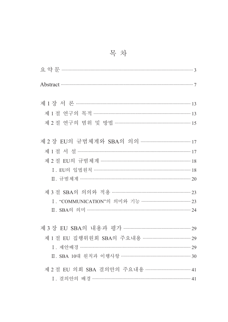| Abstract 37                                   |  |
|-----------------------------------------------|--|
|                                               |  |
| 제 1 절 연구의 목적 ……………………………………………………………… 13      |  |
| 제 2 절 연구의 범위 및 방법 …………………………………………………… 15     |  |
| 제 2 장 EU의 규범체계와 SBA의 의의 ………………………………… 17      |  |
| 제 1 절 서 설 ……………………………………………………………………………… 17   |  |
| 제 2 절 EU의 규범체계 …………………………………………………………… 18     |  |
| I. EU의 입법원칙 ……………………………………………………………………… 18    |  |
|                                               |  |
| 제 3 절 SBA의 의의와 적용 …………………………………………………… 23     |  |
| I. "COMMUNICATION"의 의미와 기능 ……………………………… 23    |  |
|                                               |  |
|                                               |  |
|                                               |  |
| I. 제안배경 …………………………………………………………………………… 29      |  |
|                                               |  |
| 제 2 절 EU 의회 SBA 결의안의 주요내용 ……………………………………………41 |  |
| I. 결의안의 배경 ……………………………………………………………………… 41     |  |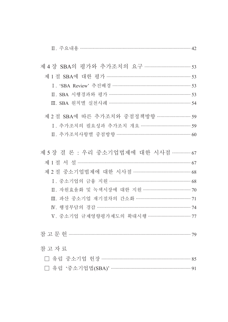| 제 1 절 SBA에 대한 평가 ………………………………………………………… 53                   |  |
|--------------------------------------------------------------|--|
|                                                              |  |
|                                                              |  |
| Ⅲ. SBA 원칙별 실천사례 ………………………………………………………… 54                    |  |
| 제 2 절 SBA에 따른 추가조치와 중점정책방향 …………………… 59                       |  |
| I. 추가조치의 필요성과 추가조치 개요 ……………………………… 59                        |  |
|                                                              |  |
| 제 5 장결론 : 우리 중소기업법제에 대한 시사점 …………… 67                         |  |
| 제 1 절 서 설 ………………………………………………………………………… 67                    |  |
| 제 2 절 중소기업법제에 대한 시사점 …………………………………… 68                       |  |
| I. 중소기업의 금융 지원 ……………………………………………………… 68                      |  |
| Ⅱ. 자원효율화 및 녹색시장에 대한 지원 ………………………………… 70                      |  |
| Ⅲ. 파산 중소기업 재기절차의 간소화 ……………………………………… 71                      |  |
|                                                              |  |
| V. 중소기업 규제영향평가제도의 확대시행 ·································· 77 |  |
|                                                              |  |
| 참고자료                                                         |  |
| □ 유럽 중소기업 헌장 ………………………………………………………………… 85                    |  |
| 유럽 '중소기업법(SBA)' ………………………………………………………… 91                    |  |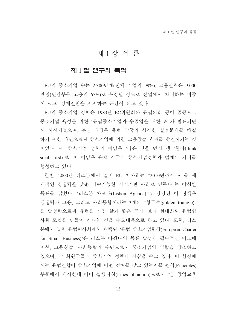# 제1장서론

#### 제 1절 연구의 목적

EU의 중소기업 수는 2,300만개(전체 기업의 99%), 고용인력은 9,000 만명(민간부문 고용의 67%)로 추정될 정도로 산업에서 차지하는 비중 이 크고, 경제전반을 지지하는 근간이 되고 있다.

EU의 중소기업 정책은 1983년 EC위원회와 유럽의회 등이 공동으로 중소기업 육성을 위한 '유럽중소기업과 수공업을 위한 해'가 발표되면 서 시작되었으며, 추진 배경은 유럽 각국의 심각한 실업문제를 해결 하기 위한 대안으로써 중소기업에 의한 고용창출 효과를 증진시키는 것 이었다. EU 중소기업 정책의 이념은 '작은 것을 먼저 생각한다(think small first)'로, 이 이념은 유럽 각국의 중소기업정책과 법제의 기저를 형성하고 있다.

한편, 2000년 리스본에서 열린 EU 이사회는 "2010년까지 EU를 세 계적인 경쟁력을 갖춘 지속가능한 지식기반 사회로 만든다"는 야심찬 목표를 밝혔다. '리스본 아젠다(Lisbon Agenda)'로 명명된 이 정책은 경쟁력과 고용, 그리고 사회통합이라는 3개의 "황금축(golden triangle)" 을 달성함으로써 유럽을 가장 살기 좋은 국가, 보다 현대화된 유럽형 사회 모델을 만들어 간다는 것을 주요내용으로 하고 있다. 또한, 리스 본에서 열린 유럽이사회에서 채택된 '유럽 중소기업헌장(European Charter for Small Business)'은 리스본 아젠다의 목표 달성에 필수적인 이노베 이션, 고용창출, 사회통합의 수단으로서 중소기업의 역할을 강조하고 있으며, 각 회원국들의 중소기업 정책에 지침을 주고 있다. 이 헌장에 서는 유럽연합이 중소기업에 어떤 견해를 갖고 있는지를 원칙(Principles) 부문에서 제시한데 이어 실행지침(Lines of action)으로서 "① 창업교육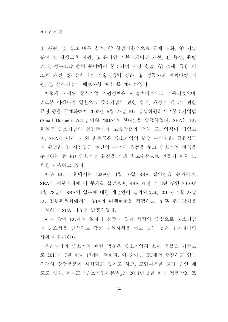및 훈련, 2 쉽고 빠른 창업, 3 창업지향적으로 규제 완화, 4) 기술 훈련 및 평생교육 지원, 5) 온라인 커뮤니케이션 개선, 6) 통신, 유틸 리티, 정부조달 등의 분야에서 중소기업 시장 창출, ⑦ 조세, 금융 시 스템 개선, ⑧ 중소기업 기술경쟁력 강화, ⑨ 성공사례 벤치마킹 지 원, 10 중소기업의 애로사항 해소"를 제시하였다.

이렇게 시작된 중소기업 지원정책은 EU출범이후에도 계속되었으며, 리스본 아젠다의 일환으로 중소기업에 관한 법적, 재정적 제도에 관한 규정 등을 구체화하여 2008년 6월 25일 EU 집행위원회가 「중소기업법 (Small Business Act : 이하 'SBA'라 한다) 을 발표하였다. SBA는 EU 회원국 중소기업의 성장촉진과 고용창출의 정책 프레임웍이 되었으 며, SBA에 따라 EU와 회원국은 중소기업의 행정 부담완화, 금융접근 의 활성화 및 시장접근 여건의 개선에 초점을 두고 중소기업 정책을 추진하는 등 EU 중소기업 화경을 세계 최고수준으로 만들기 위한 노 력을 계속하고 있다.

이후 EU 의회에서는 2009년 3월 10일 SBA 결의안을 통과시켜. SBA의 시행의지에 더 무게를 실었으며, SBA 제정 약 2년 후인 2010년 1월 28일에 SBA의 일부에 대한 개선안이 결의되었고, 2011년 2월 23일 EU 집행위원회에서는 SBA의 이행현황을 점검하고, 향후 추진방향을 제시하는 SBA 리뷰를 발표하였다.

이와 같이 EU에서 일자리 창출과 경제 성장의 중심으로 중소기업 의 중요성을 인식하고 각종 지원시책을 펴고 있는 것은 우리나라의 상황과 유사하다.

우리나라의 중소기업 관련 법률은 중소기업청 소관 법률을 기준으 로 2011년 7월 현재 17개에 달한다. 이 중에는 EU에서 추진하고 있는 정책의 상당부분이 시행되고 있기도 하고, 도입여부를 고려 중인 제 도도 있다. 현재도 「중소기업기본법」은 2011년 3월 현재 정부안을 포

14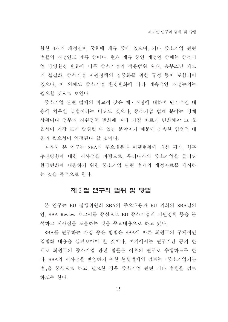함한 4개의 개정안이 국회에 계류 중에 있으며, 기타 중소기업 관련 법률의 개정안도 계류 중이다. 현재 계류 중인 개정안 중에는 중소기 업 경영환경 변화에 따른 중소기업의 적용범위 확대. 옴부즈만 제도 의 실질화, 중소기업 지원정책의 집중화를 위한 규정 등이 포함되어 있으나, 이 외에도 중소기업 환경변화에 따라 계속적인 개정논의는 필요할 것으로 보인다.

중소기업 관련 법제의 비교적 잦은 제 개정에 대하여 단기적인 대 응에 치우친 입법이라는 비판도 있으나, 중소기업 법제 분야는 경제 상황이나 정부의 지원정책 변화에 따라 가장 빠르게 변화해야 그 효 율성이 가장 크게 발휘될 수 있는 분야이기 때문에 신속한 입법적 대 응의 필요성이 인정된다 할 것이다.

따라서 본 연구는 SBA의 주요내용과 이행현황에 대한 평가, 향후 추진방향에 대한 시사점을 바탕으로, 우리나라의 중소기업을 둘러싼 환경변화에 대응하기 위한 중소기업 관련 법제의 개정자료를 제시하 는 것을 목적으로 한다.

#### 제 2 절 연구의 범위 및 방법

본 연구는 EU 집행위원회 SBA의 주요내용과 EU 의회의 SBA결의 안, SBA Review 보고서를 중심으로 EU 중소기업의 지원정책 등을 분 석하고 시사점을 도출하는 것을 주요내용으로 하고 있다.

SBA를 연구하는 가장 좋은 방법은 SBA에 따른 회원국의 구체적인 입법화 내용을 살펴보아야 할 것이나. 여기에서는 여구기간 등의 한 계로 회원국의 중소기업 관련 법률은 이후의 연구로 수행하도록 한 다. SBA의 시사점을 반영하기 위한 현행법제의 검토는 「중소기업기본 법,을 중심으로 하고, 필요한 경우 중소기업 관련 기타 법령을 검토 하도록 한다.

15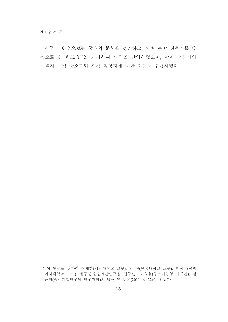연구의 방법으로는 국내외 문헌을 정리하고, 관련 분야 전문가를 중 심으로 한 워크숍1)을 개최하여 의견을 반영하였으며, 학계 전문가의 개별자문 및 중소기업 정책 담당자에 대한 자문도 수행하였다.

<sup>1)</sup> 이 연구를 위하여 심재한(영남대학교 교수), 임 현(단국대학교 교수), 박정구(숙명 여자대학교 교수), 한동훈(헌법재판연구원 연구관), 이형철(중소기업청 사무관), 남 윤형(중소기업연구원 연구위원)의 발표 및 토론(2011. 6. 22)이 있었다.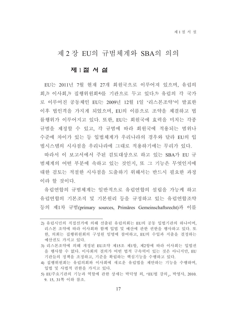# 제 2 장 EU의 규범체계와 SBA의 의의

#### 제 1절 서 설

EU는 2011년 7월 현재 27개 회원국으로 이루어져 있으며, 유럽의 회,2) 이사회,3) 집행위원회4)를 기관으로 두고 있다.5) 유럽의 각 국가 로 이루어진 공동체인 EU는 2009년 12월 1일 '리스본조약'이 발표한 이후 법인격을 가지게 되었으며, EU의 이름으로 조약을 체결하고 법 률행위가 이루어지고 있다. 또한, EU는 회원국에 효력을 미치는 각종 규범을 제정할 수 있고, 각 규범에 따라 회원국에 적용되는 범위나 수주에 차이가 있는 등 입법체계가 우리나라의 경우와 달라 EU의 입 법시스템의 시사점을 우리나라에 그대로 적용하기에는 무리가 있다.

따라서 이 보고서에서 주된 검토대상으로 하고 있는 SBA가 EU 규 범체계의 어떤 부분에 속하고 있는 것인지. 또 그 기능은 무엇인지에 대한 검토는 적절한 시사점을 도출하기 위해서는 반드시 필요한 과정 이라 할 것이다.

유럽연합의 규범체계는 일반적으로 유럽연합의 설립을 가능케 하고 유럽연합의 기본조직 및 기본원리 등을 규정하고 있는 유럽연합조약 등의 제1차 규범(primary sources, Primäres Gemeinschaftsrecht)과 이를

<sup>2)</sup> 유럽시민의 직접선거에 의해 선출된 유럽의회는 EU의 공동 입법기관의 하나이며, 리스본 조약에 따라 이사회와 함께 입법 및 예산에 관한 권한을 행사하고 있다. 또 한, 의회는 집행위원회의 구성원 임명에 참여하고, EU의 수입과 지출을 결정하는 예산권도 가지고 있다.

<sup>3)</sup> 리스본조약에 의해 개정된 EU조약 제15조 제1항. 제2항에 따라 이사회는 입법권 을 행사할 수 없다. 이사회의 결의가 어떤 법적 구속력이 있는 것은 아니지만, EU 기관들의 정책을 조정하고, 기준을 확립하는 핵심기능을 수행하고 있다.

<sup>4)</sup> 집행위원회는 유럽의회와 이사회에 새로운 유럽법을 제안하는 기능을 수행하며, 입법 및 사법적 권한을 가지고 있다.

<sup>5)</sup> EU주요기관의 기능과 역할에 관한 상세는 박덕영 외, 'EU법 강의,, 박영사, 2010. 9. 15, 31쪽 이하 참조.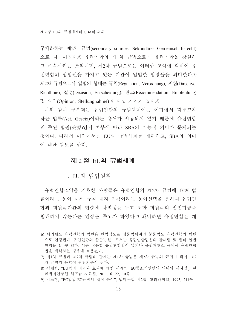구체화하는 제2차 규범(secondary sources, Sekundäres Gemeinschaftsrecht) 으로 나누어진다. 아 유럽연합의 제1차 규범으로는 유럽연합을 창설하 고 존속시키는 조약이며, 제2차 규범으로는 이러한 조약에 의하여 유 럽연합의 입법권을 가지고 있는 기관이 입법한 법령들을 의미한다.7) 제2차 규범으로서 입법의 형태는 규칙(Regulation, Verordnung), 지침(Directive, Richtlinie), 결정(Decision, Entscheidung), 권고(Recommendation, Empfehlung) 및 의견(Opinion, Stellungnahme)의 다섯 가지가 있다.8)

이와 같이 구분되는 유럽연합의 규범체계에는 여기에서 다루고자 하는 법률(Act, Gesetz)이라는 용어가 사용되지 않기 때문에 유럽연합 의 주된 법원(法源)인지 여부에 따라 SBA의 기능적 의미가 문제되는 것이다. 따라서 이하에서는 EU의 규범체계를 개관하고 SBA의 의미 에 대한 검토를 하다.

#### 제 2 절 EU**의 규범체계**

I. EU의 입법원칙

유럽연합조약을 기초한 사람들은 유럽연합의 제2차 규범에 대해 법 률이라는 용어 대신 규칙 내지 지침이라는 용어선택을 통하여 유럽연 합과 회원국가간의 법령에 차별성을 두고 또한 회원국의 입법기능을 침해하지 않는다는 인상을 주고자 하였다.9) 왜냐하면 유럽연합은 개

9) 박노형, "EC입법-EC규칙의 법적 분석", 법학논집 제2집, 고려대학교, 1993, 211쪽.

<sup>6)</sup> 이외에도 유럽연합의 법원은 원칙적으로 성문법이지만 불문법도 유럽연합의 법원 으로 인정된다. 유럽연합의 불문법원으로서는 유럽연합법원의 판례법 및 법의 일반 워칙을 들 수 있다. 이는 적용할 유럽연합법이 없거나 유럽재판소 등에서 유럽연합 법을 해석하는 경우에 적용된다.

<sup>7)</sup> 제1차 규범과 제2차 규범의 관계는 제1차 규범은 제2차 규범의 근거가 되며, 제2 차 규범의 유효성 판단기준이 된다.

<sup>8)</sup> 심재한, "EU법의 의미와 효과에 대한 사례", 「EU중소기업법의 의미와 시사점」, 한 국법제연구원 워크숍 자료집, 2011. 6. 22, 10쪽.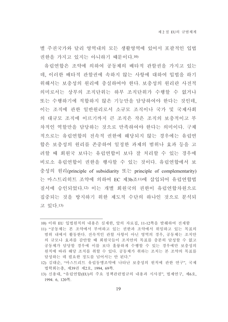별 주권국가와 달리 영역내의 모든 생활영역에 있어서 포괄적인 입법 권한을 가지고 있지는 아니하기 때문이다.10)

유럽연합은 조약에 의하여 공동체의 배타적 관할권을 가지고 있는 데, 이러한 배타적 관할권에 속하지 않는 사항에 대하여 입법을 하기 위해서는 보충성의 원리에 충실하여야 한다. 보충성의 원리란 사전적 의미로서는 상부의 조직단위는 하부 조직단위가 수행할 수 없거나 또는 수행하기에 적합하지 않은 기능만을 담당하여야 한다는 것인데. 이는 조직에 관한 일반원리로서 소규모 조직이나 국가 및 국제사회 의 대규모 조직에 이르기까지 큰 조직은 작은 조직의 보충적이고 부 차적인 역할만을 담당하는 것으로 만족하여야 한다는 의미이다. 구체 적으로는 유럽연합의 전속적 권한에 해당되지 않는 경우에는 유럽연 합은 보충성의 원리를 존중하여 일정한 과제의 범위나 효과 등을 고 려할 때 회원국 보다는 유럽연합이 보다 잘 처리할 수 있는 경우에 비로소 유럽연합이 권한을 행사할 수 있는 것이다. 유럽연합에서 보 충성의 원리(principle of subsidiarity 또는 principle of complementarity) 는 마스트리히트 조약에 의하여 EC 제3b조11)에 삽입되어 유럽여합법 질서에 승인되었다.12) 이는 개별 회원국의 권한이 유럽연합차원으로 집중되는 것을 방지하기 위한 제도적 수단의 하나인 것으로 분석되 고 있다.13)

<sup>10)</sup> 이하 EU 입법원칙의 내용은 심재한, 앞의 자료집, 11-12쪽을 발췌하여 전재함

<sup>11) &</sup>quot;공동체는 본 조약에서 부여하고 있는 권한과 조약에서 위임하고 있는 목표의 범위 내에서 활동하다. 전속적인 관할 사항이 아닌 영역의 경우, 공동체는 조치아 의 규모나 효과를 감안할 때 회원국들이 조치안의 목표를 충분히 달성할 수 없고 공동체가 담당할 경우에 이를 보다 훌륭하게 수행할 수 있는 경우에만 보충성의 원칙에 따라 해당 조치를 취할 수 있다. 공동체가 취하는 조치는 본 조약의 목표를 달성하는 데 필요한 정도를 넘어서는 안 된다."

<sup>12)</sup> 김대순, "마스트리트 유럽동맹조약에 나타난 보충성의 원칙에 관한 연구", 국제 법학회논총, 제39권 제2호, 1994, 69쪽.

<sup>13)</sup> 신용대, "유럽연합(EU)의 주요 정책관련법규의 내용과 시사점", 법제연구, 제6호, 1994. 6, 120 .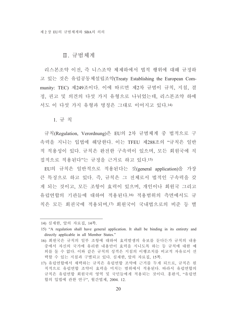#### Ⅱ. 규범체계

리스본조약 이전 즉 니스조약 체제하에서 법적 행위에 대해 규정하 고 있는 것은 유럽공동체설립조약(Treaty Establishing the European Community: TEC) 제249조이다. 이에 따르면 제2차 규범이 규칙, 지침, 결 정, 권고 및 의견의 다섯 가지 유형으로 나뉘었는데, 리스본조약 하에 서도 이 다섯 가지 유형과 명칭은 그대로 이어지고 있다.14)

1. 규 칙

규칙(Regulation, Verordnung)은 EU의 2차 규범체계 중 법적으로 구 속력을 지니는 입법에 해당한다. 이는 TFEU 제288조의 "규칙은 일반 적 적용성이 있다. 규칙은 완전한 구속력이 있으며, 모든 회원국에 직 접적으로 적용된다"는 규정을 근거로 하고 있다.15)

EU의 규칙은 일반적으로 적용된다는 것(general application)을 가장 큰 특징으로 하고 있다. 즉, 규칙은 그 전체로서 법적인 구속력을 갖 게 되는 것이고, 모든 조항이 효력이 있으며, 개인이나 회원국 그리고 유럽연합의 기관들에 대하여 적용된다.16) 적용범위의 측면에서도 규 칙은 모든 회권국에 적용되며,17) 회원국이 국내법으로의 비준 등 별

<sup>14)</sup> 심재한, 앞의 자료집, 14쪽.

<sup>15) &</sup>quot;A regulation shall have general application. It shall be binding in its entirety and directly applicable in all Member States."

<sup>16)</sup> 회원국은 규칙의 일부 조항에 대하여 효력발생의 유보를 둔다든가 규칙의 내용 중에서 자신의 국가에 유리한 내용만이 효력을 지니도록 하는 등 규칙에 대한 예 외를 둘 수 없다. 이와 같은 규칙의 성격은 지침의 이행조치를 비교적 자유로이 선 택할 수 있는 지침과 구별되고 있다. 심재한, 앞의 자료집, 15쪽.

<sup>17)</sup> 유럽연합에서 채택하는 규칙은 유럽연합 조약에 근거를 두게 되므로, 규칙은 워 칙적으로 유럽연합 조약이 효력을 미치는 범위에서 적용된다. 따라서 유럽연합의 규칙은 유럽연합 회원국의 영역 및 국민들에게 적용되는 것이다. 홍완식. "유럽연 합의 입법에 관한 연구", 월간법제, 2004. 12.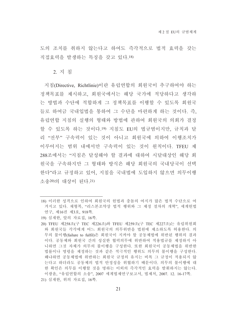도의 조치를 취하지 않는다고 하여도 즉각적으로 법적 효력을 갖는 직접효력을 발생하는 특징을 갖고 있다.18)

#### 2. 지 침

지침(Directive, Richtlinie)이란 유럽연합의 회원국이 추구하여야 하는 정책목표를 제시하고, 회원국에서는 해당 국가에 적당하다고 생각하 는 방법과 수단에 적합하게 그 정책목표를 이행할 수 있도록 회원국 들로 하여금 국내입법을 통하여 그 수단을 마련하게 하는 것이다. 즉, 유럽연합 지침의 실행의 형태와 방법에 관하여 회워국의 의회가 결정 할 수 있도록 하는 것이다.!9) 지침도 EU의 법규범이지만, 규칙과 달 리 "전부" 구속력이 있는 것이 아니고 회워국에 의하여 이행조치가 이루어지는 범위 내에서만 구속력이 있는 것이 원칙이다. TFEU 제 288조에서는 "지침은 달성해야 할 결과에 대하여 시달대상인 해당 회 워국을 구속하지만 그 형태와 방식은 해당 회워국의 국내당국이 선택 한다"라고 규정하고 있어. 지침을 국내법에 도입하지 않으면 의무이행 소송20)의 대상이 된다.21)

- 18) 이러한 성격으로 인하여 회원국의 헌법과 충돌의 여지가 많은 법적 수단으로 여 겨지고 있다. 채형복, "리스본조약상 법적 행위와 그 제정 절차의 개혁", 세계헌법 연구, 제16권 제3호, 918쪽.
- 19) 심재한, 앞의 자료집, 16쪽.
- 20) TFEU 제258조(구 TEC 제226조)와 TFEU 제259조(구 TEC 제227조)는 유럽위원회 와 회워국들 각각에게 어느 회워국의 의무위반을 법워에 제소하도록 허용한다. 의 '무의 불이행(failure to fulfil)은 회워국이 지켜야 할 공동체법에 위반된 행위의 결과 이다. 공동체와 회원국 간의 성실한 협력의무에 위반하여 적용법규를 제정하지 아 니하면 그것 자체가 의무의 불이행을 구성하다. 또한 회워국이 공동체법을 위반한 법률이나 명령을 제정하는 것과 같은 적극적인 행위도 의무의 불이행을 구성한다. 왜냐하면 공동체법에 위반하는 회원국 규정의 유지는 비록 그 규정이 적용되지 않 는다고 하더라도 공동체의 법적 안정성을 위협하기 때문이다. 의무의 불이행에 대 한 확인은 의무를 이행할 것을 명하는 이외의 즉각적인 효력을 발휘하지는 않는다. 이광윤, "유럽연합의 소송", 2007 세계법제연구보고서, 법제처, 2007. 12. 16-17쪽.
- 21) 심재한, 위의 자료집, 16쪽.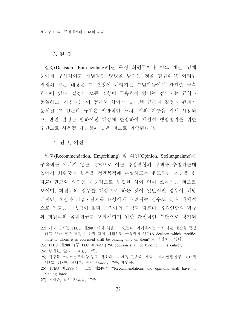#### 3. 결 정

결정(Decision, Entscheidung)이란 특정 회원국이나 어느 개인, 단체 등에게 구체적이고 개별적인 명령을 발하는 것을 말한다.22) 이러한 결정의 모든 내용은 그 결정이 내려지는 수범자들에게 완전한 구속 력23)이 있다. 결정의 모든 조항이 구속력이 있다는 점에서는 규칙과 동일하고, 지침과는 이 점에서 차이가 있다.24) 규칙과 결정의 관계가 문제될 수 있는바 규칙은 일반적인 조치로서의 기능을 위해 사용되 고, 반면 결정은 발하여진 대상에 한정하여 개별적 행정행위를 위한 수단으로 사용될 가능성이 높은 것으로 파악되다.25)

#### 4. 권고, 의견

권고(Recommendation, Empfehlung) 및 의견(Opinion, Stellungnahme)은 구속력을 지니지 않는 것26)으로 이는 유럽연합의 정책을 수행하는데 있어서 회원국의 행동을 정책목적에 부합하도록 유도하는 기능을 한 다.27) 권고와 의견은 기능적으로 뚜렷한 차이 없이 쓰여지는 것으로 보이며, 회원국의 정부를 대상으로 하는 것이 일반적인 경우에 해당 되지만, 개인과 기업 · 단체를 대상에게 내려지는 경우도 있다. 대체적 으로 권고는 구속력이 없다는 점에서 지침과 다르며, 유럽연합의 법규 와 회원국의 국내법규를 조화시키기 위한 간접적인 수단으로 평가되

24) 심재한, 앞의 자료집, 17쪽.

- 25) 채형복, "리스본조약상 법적 행위와 그 제정 절차의 개혁", 세계헌법연구, 제16권 제3호, 918쪽, 심재한, 위의 자료집, 17쪽, 재인용.
- 26) TFEU 제288조(구 TEC 제249조) "Recommendations and opinions shall have no binding force."
- 27) 심재한, 앞의 자료집, 17쪽.

<sup>22)</sup> 이의 근거는 TFEU 제288조에서 찾을 수 있는데, 여기에서는 "그 시달 대상을 특정 하고 있는 경우 결정은 오직 그에 대해서만 구속력이 있다(A decision which specifies those to whom it is addressed shall be binding only on them)"고 규정하고 있다.

<sup>23)</sup> TFEU 제288조(구 TEC 제249조) "A decision shall be binding in its entirety."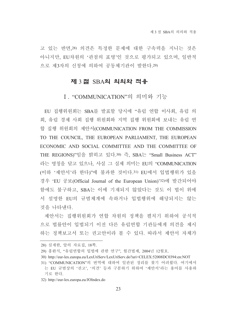고 있는 반면 28) 의견은 특정한 문제에 대한 구속력을 지니는 것은 아니지만, EU차워의 '과점의 표명'인 것으로 평가되고 있으며, 일반적 으로 제3자의 신청에 의하여 공동체기관이 발한다.29)

#### 제 3 절 SBA의 의의와 적용

#### I. "COMMUNICATION"의 의미와 기능

EU 집행위워회는 SBA를 발표할 당시에 "유럽 연합 이사회, 유럽 의 회. 유럽 경제 사회 집행 위워회와 지역 집행 위워회에 보내는 유럽 여 합 집행 위원회의 제안서(COMMUNICATION FROM THE COMMISSION TO THE COUNCIL, THE EUROPEAN PARLIAMENT, THE EUROPEAN ECONOMIC AND SOCIAL COMMITTEE AND THE COMMITTEE OF THE REGIONS)"임을 밝히고 있다.30) 즉, SBA는 "Small Business ACT" 라는 명칭을 달고 있으나, 사실 그 실제 의미는 EU의 "COMMUNICATION (이하'제안서'라 한다)"에 불과한 것이다.31) EU에서 입법행위가 있을 경우 'EU 공보(Official Journal of the European Union)'32)에 발간되어야 함에도 불구하고, SBA는 이에 기재되지 않았다는 것도 이 법이 위에 서 설명한 EU의 규범체계에 속하거나 입법행위에 해당되지는 않는 것을 나타내다.

제안서는 집행위원회가 연합 차원의 정책을 펼치기 위하여 공식적 으로 법률안이 입법되기 이전 다른 유럽연합 기관들에게 의견을 제시 하는 정책보고서 또는 권고안이라 볼 수 있다. 따라서 제안서 자체가

- 28) 심재한, 앞의 자료집, 18쪽.
- 29) 홍완식, "유럽연합의 입법에 관한 연구", 월간법제, 2004년 12월호.
- 30) http://eur-lex.europa.eu/LexUriServ/LexUriServ.do?uri=CELEX:52008DC0394:en:NOT

32) http://eur-lex.europa.eu/JOIndex.do

<sup>31) &</sup>quot;COMMUNICATION"의 번역에 대하여 일관된 정리를 찾기 어려웠다. 여기에서 는 EU 규범상의 '권고', '의견' 등과 구분하기 위하여 '제안서'라는 용어를 사용하 기로 한다.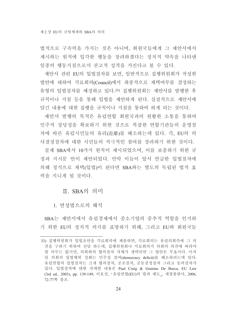법적으로 구속력을 가지는 것은 아니며, 회원국들에게 그 제안서에서 제시하는 원칙에 입각한 행동을 장려하겠다는 정치적 약속을 나타낸 일종의 행동지침으로서 권고적 성격을 가진다고 볼 수 있다.

제안서 관련 EU의 입법절차를 보면, 일반적으로 집행위원회가 작성한 법안에 대하여 각료회의(Council)에서 최종적으로 채택여부를 결정하는 유형의 입법절차를 예정하고 있다.33) 집행위원회는 제안서를 발행한 후 규칙이나 지침 등을 통해 입법을 제안하게 된다. 실질적으로 제안서에 담긴 내용에 대한 집행을 규칙이나 지침을 통하여 하게 되는 것이다.

제안서 발행의 목적은 유럽연합 회원국과의 원활한 소통을 통하여 민주적 정당성을 확보하기 위한 것으로 복잡한 연합기관들의 운영절 차에 따른 유럽시민들의 유리(遊離)를 해소하는데 있다. 즉, EU의 의 사결정절차에 대한 시민들의 적극적인 참여를 장려하기 위한 것이다.

실제 SBA에서 10가지 원칙이 제시되었으며, 이를 보충하기 위한 규 정과 지시문 안이 제안되었다. 만약 이들이 앞서 언급한 입법절차에 의해 정식으로 채택(입법)이 된다면 SBA와는 별도의 독립된 법적 효 력을 지니게 될 것이다.

#### Ⅱ. SBA의 의미

1. 연성법으로의 해석

SBA는 제안서에서 유럽경제에서 중소기업의 중추적 역할을 인지하 기 위한 EU의 정치적 의지를 표명하기 위해, 그리고 EU와 회원국들

<sup>33)</sup> 집행위워회가 입법초안을 각료회의에 제출하면, 각료회의는 유럽의회측에 그 의 견을 구하기 위하여 전달 하는데, 집행위원회나 각료회의가 의회의 의견에 따라야 할 의무는 없지만, 의회와의 협의절차 자체가 생략되면 그 법안은 무효이다. 이처 럼 의회의 입법행위 강화는 민주성 결여(democracy deficit)를 해소하려는데 있다. 유럽연합의 입법절차는 크게 협의절차, 공조절차, 공동결정절차 그리고 동의절차가 있다. 입법절차에 대한 자세한 내용은 Paul Craig & Grainne De Burca, EU Law (3rd ed., 2003), pp. 139-149; 이호선, 「유럽연합(EU)의 법과 제도」, 세창출판사, 2006, 72-77쪽 참조.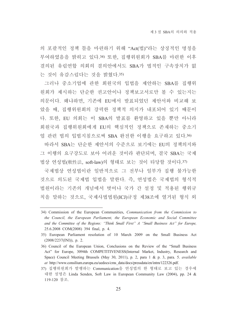의 포괄적인 정책 틀을 마련하기 위해 "Act(법)"라는 상징적인 명칭을 부여하였음을 밝히고 있다.34) 또한, 집행위원회가 SBA를 마련한 이후 결의된 유럽연합 의회의 결의안에서도 SBA가 법적인 구속장치가 없 는 것이 유감스럽다는 것을 밝혔다.35)

그러나 중소기업에 관한 회원국의 입법을 제안하는 SBA를 집행위 원회가 제시하는 단순한 권고안이나 정책보고서로만 볼 수 있는지는 의문이다. 왜냐하면, 기존에 EU에서 발표되었던 제안서와 비교해 보 았을 때, 집행위원회의 강력한 정책적 의지가 내포되어 있기 때문이 다. 또한, EU 의회는 이 SBA의 발표를 환영하고 있을 뿐만 아니라 회원국과 집행위원회에게 EU의 핵심적인 정책으로 존재하는 중소기 업 관련 법의 입법지침으로써 SBA 완전한 이행을 요구하고 있다.36)

따라서 SBA는 단순한 제안서의 수준으로 보기에는 EU의 정책의지와 그 이행의 요구강도로 보아 어려우 것이라 판단되며, 결국 SBA는 국제 법상 연성법(軟性法, soft-law)의 형태로 보는 것이 타당할 것이다.37)

국제법상 연성법이란 일반적으로 그 전부나 일부가 집행 불가능한 것으로 의도된 국제법 입법을 말한다. 즉, 연성법은 국제법의 형식적 법원이라는 기존의 개념에서 벗어나 국가 간 설정 및 적용된 행위규 칙을 말하는 것으로, 국제사법법워(ICJ)규정 제38조에 열거된 형식 외

<sup>34)</sup> Commission of the European Communities, *Communication from the Commission to* the Council, the European Parliament, the European Economic and Social Committee and the Committee of the Regions: "Think Small First" A "Small Business Act" for Europe, 25.6.2008 COM(2008) 394 final, p. 4.

<sup>35)</sup> European Parliament resolution of 10 March 2009 on the Small Business Act  $(2008/2237(NI)), p. 2.$ 

<sup>36)</sup> Council of the European Union, Conclusions on the Review of the "Small Business" Act" for Europe, 3094th COMPETITIVENESS(Internal Market, Industry, Research and Space) Council Meeting Brussels (May 30, 2011), p. 2, para 1 & p. 3, para. 5. available at http://www.consilium.europa.eu/uedocs/cms data/docs/pressdata/en/intm/122326.pdf.

<sup>37)</sup> 집행위원회가 발행하는 Communication을 연성법의 한 형태로 보고 있는 경우에 대한 설명은 Linda Senden, Soft Law in European Community Law (2004), pp. 24 & 119-120 참조.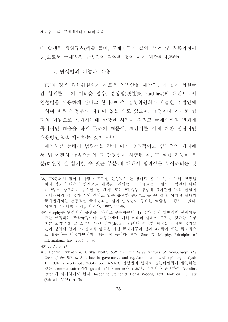에 발생한 행위규칙(예를 들어, 국제기구의 결의, 선언 및 최종의정서 등)으로서 국제법적 구속력이 결여된 것이 이에 해당된다.38)39)

2. 여성법의 기능과 적용

EU의 경우 집행위원회가 새로운 입법안을 제안하는데 있어 회원국 간 합의를 보기 어려운 경우, 경성법(硬性法, hard-law)의 대안으로서 연성법을 이용하게 된다고 한다.40) 즉, 집행위원회가 제출한 입법안에 대하여 회원국 정부의 저항이 있을 수도 있으며, 규정이나 지시문 형 태의 법원으로 성립하는데 상당한 시간이 걸리고 국제사회의 변화에 즉각적인 대응을 하지 못하기 때문에, 제안서를 이에 대한 잠정적인 대응방안으로 제시하는 것이다. 41)

제안서를 통해서 법원성을 갖기 이전 법외적이고 임시적인 형태에 서 법 이전의 규범으로서 그 안정성이 시험된 후, 그 실행 가능한 부 분(회원국 간 합의할 수 있는 부분)에 대해서 법원성을 부여하려는 것

- 40) *Ibid.*, p. 24.
- 41) Henrik Frykman & Ulrika Morth, Soft law and Three Notions of Democracy: The Case of the EU, in Soft law in governance and regulation: an interdisciplinary analysis 155 (Ulrika Morth ed., 2004), pp. 162-163. 연성법의 형태로 집행위원회가 발행하는 것은 Communication외에 guideline이나 notice가 있으며, 경쟁법과 관련하여 "comfort letter"에 의지하기도 한다. Josephine Steiner & Lorna Woods, Text Book on EC Law  $(8th$  ed., 2003), p. 56.

<sup>38)</sup> UN총회의 결의가 가장 대표적인 여성법의 한 형태로 볼 수 있다. 특히, 만장일 치나 압도적 다수의 찬성으로 채택된 결의는 그 자체로는 국제법의 법원이 아니 나 "법이 창조되는 중요한 전 단계" 또는 "관습법 형성에 불가결한 법적 신념이 국제사회의 각 국가 간에 생기고 있는 유력한 증거"로 볼 수 있다. 이처럼 현대의 국제법에서는 전통적인 국제법과는 달리 연성법이 중요한 역할을 수행하고 있다. 이한기, 『국제법 강의』, 박영사, 1997, 111쪽.

<sup>39)</sup> Murphy는 연성법의 유형을 4가지로 분류하는데, 1) 국가 간의 일반적인 협력의무 만을 규정하는 조약규정이나 특정문제에 대해 미래의 합의에 도달할 것만을 요구 하는 조약규정, 2) 조약이 아닌 선언(declaration)이나 특정한 희망을 규정한 국가들 간의 정치적 합의, 3) 권고적 성격을 가진 국제기구의 결의, 4) 국가 또는 국제적으 로 활동하는 비국가단체의 행동규칙 등이라 한다. Sean D. Murphy, Principles of Internaitonal law, 2006, p. 96.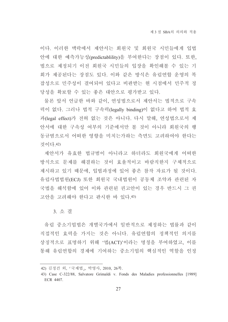이다. 이러한 맥락에서 제안서는 회원국 및 회원국 시민들에게 입법 안에 대한 예측가능성(predictablility)을 부여한다는 장점이 있다. 또한, 법으로 제정되기 이전 회원국 시민들의 입장을 확인해볼 수 있는 기 회가 제공된다는 장점도 있다. 이와 같은 방식은 유럽연합 운영의 복 잡성으로 민주성이 결여되어 있다고 비판받는 현 시점에서 민주적 정 당성을 확보할 수 있는 좋은 대안으로 평가받고 있다.

물론 앞서 언급한 바와 같이. 연성법으로서 제안서는 법적으로 구속 력이 없다. 그러나 법적 구속력(legally binding)이 없다고 하여 법적 효 과(legal effect)가 전혀 없는 것은 아니다. 다시 말해, 연성법으로서 제 안서에 대한 구속성 여부의 기준에서만 볼 것이 아니라 회원국의 행 동규범으로서 어떠한 영향을 미치는가하는 측면도 고려하여야 한다는 것이다 42)

제안서가 유효한 법규범이 아니라고 하더라도 회원국에게 어떠한 방식으로 문제를 해결하는 것이 효율적이고 바람직한지 구체적으로 제시하고 있기 때문에, 입법과정에 있어 좋은 참작 자료가 될 것이다. 유럽사법법원(ECJ) 또한 회원국 국내법원이 공동체 조약과 관련된 자 국법을 해석함에 있어 이와 관련된 권고안이 있는 경우 반드시 그 권 고안을 고려해야 한다고 판시한 바 있다. 43)

3. 소 결

유럽 중소기업법은 개별국가에서 일반적으로 제정하는 법률과 같이 직접적인 효력을 가지는 것은 아니다. 유럽연합의 정책적인 의지를 상징적으로 표명하기 위해 '법(ACT)'이라는 명칭을 부여하였고, 이를 통해 유럽연합의 경제에 기여하는 중소기업의 핵심적인 역할을 인정

<sup>42)</sup> 김정건 외, 『국제법』, 박영사, 2010, 26쪽.

<sup>43)</sup> Case C-322/88, Salvatore Grimaldi v. Fonds des Maladies professionnelles [1989] ECR 4407.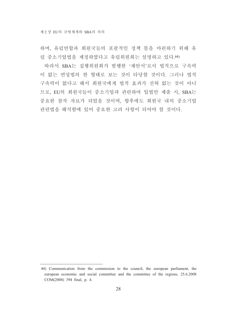하며, 유럽연합과 회원국들의 포괄적인 정책 틀을 마련하기 위해 유 럽 중소기업법을 제정하였다고 유럽위원회는 설명하고 있다. 44)

따라서 SBA는 집행위원회가 발행한 '제안서'로서 법적으로 구속력 이 없는 연성법의 한 형태로 보는 것이 타당할 것이다. 그러나 법적 구속력이 없다고 해서 회원국에게 법적 효과가 전혀 없는 것이 아니 므로, EU의 회원국들이 중소기업과 관련하여 입법안 제출 시, SBA는 중요한 참작 자료가 되었을 것이며, 향후에도 회원국 내의 중소기업 관련법을 해석함에 있어 중요한 고려 사항이 되어야 할 것이다.

<sup>44)</sup> Communication from the commission to the council, the european parliament, the european economic and social committee and the committee of the regions, 25.6.2008 COM(2008) 394 final, p. 4.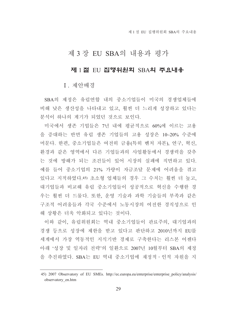## 제 3 장 EU SBA의 내용과 평가

#### 제 1절 EU 집행위원회 SBA의 주요내용

I. 제안배경

SBA의 제정은 유럽연합 내의 중소기업들이 미국의 경쟁업체들에 비해 낮은 생산성을 나타내고 있고, 훨씬 더 느리게 성장하고 있다는 분석이 하나의 계기가 되었던 것으로 보인다.

미국에서 생존 기업들은 7년 내에 평균적으로 60%에 이르는 고용 을 증대하는 반면 유럽 생존 기업들의 고용 성장은 10~20% 수준에 머문다. 한편, 중소기업들은 여전히 금융(특히 벤처 자본), 연구, 혁신, 환경과 같은 영역에서 다른 기업들과의 사업활동에서 경쟁력을 갖추 는 것에 방해가 되는 조건들이 있어 시장의 실패에 직면하고 있다. 예를 들어 중소기업의 21% 가량이 자금조달 문제에 어려움을 겪고 있다고 지적하였다.45) 초소형 업체들의 경우 그 수치는 훨씬 더 높고, 대기업들과 비교해 유럽 중소기업들이 성공적으로 혁신을 수행한 경 우는 훨씬 더 드물다. 또한, 운영 기술과 과학 기술들의 부족과 같은 구조적 어려움들과 각국 수주에서 노동시장의 여전한 경직성으로 인 해 상황은 더욱 악화되고 있다는 것이다.

이와 같이. 유럽위워회는 역내 중소기업들이 관료주의. 대기업과의 경쟁 등으로 성장에 제한을 받고 있다고 판단하고 2010년까지 EU를 세계에서 가장 역동적인 지식기반 경제로 구축한다는 리스본 어젠다 아래 '성장 및 일자리 전략'의 일환으로 2007년 10월부터 SBA의 제정 을 추진하였다. SBA는 EU 역내 중소기업에 재정적 · 인적 자원을 지

<sup>45) 2007</sup> Observatory of EU SMEs. http://ec.europa.eu/enterprise/enterprise policy/analysis/ observatory en.htm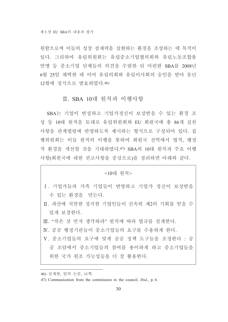원함으로써 이들의 성장 잠재력을 실현하는 환경을 조성하는 데 목적이 있다. 그리하여 유럽위원회는 유럽중소기업협의회와 유럽노동조합총 연맹 등 중소기업 단체들의 의견을 수렴한 뒤 마련한 SBA를 2008년 6월 25일 채택한 데 이어 유럽의회와 유럽이사회의 승인을 받아 동년 12월에 정식으로 발효하였다. 46)

#### Ⅱ. SBA 10대 워칙과 이행사항

SBA는 기업이 번성하고 기업가정신이 보상받을 수 있는 화경 조 성 등 10대 원칙을 토대로 유럽위원회와 EU 회원국에 총 86개 실천 사항을 관계법령에 반영하도록 제시하는 형식으로 구성되어 있다. 집 행위워회는 이들 워칙의 이행을 통하여 회워국 전역에서 법적, 행정 적 화경을 개선할 것을 기대하였다.47) SBA의 10대 워칙과 주요 이행 사항(회원국에 대한 권고사항을 중심으로)을 정리하면 아래와 같다.

#### <10대 원칙>

- I. 기업가들과 가족 기업들이 번영하고 기업가 정신이 보상받을 수 있는 환경을 만든다.
- Ⅱ. 파산에 직면한 정직한 기업인들이 신속히 제2의 기회를 얻을 수 있게 보장한다.
- Ⅲ. "작은 것 먼저 생각하라" 워칙에 따라 법규를 설계하다.
- IV. 공공 행정기관들이 중소기업들의 요구를 수용하게 한다.
- V. 중소기업들의 요구에 맞게 공공 정책 도구들을 조정한다 : 공 공 조달에서 중소기업들의 참여를 용이하게 하고 중소기업들을 위한 국가 원조 가능성들을 더 잘 활용한다.

<sup>46)</sup> 심재한, 앞의 논문, 11쪽.

<sup>47)</sup> Communication from the commission to the council, *Ibid.*, p. 4.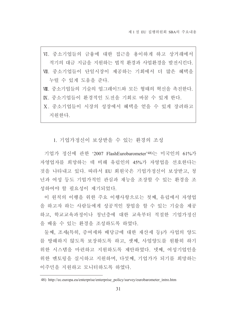VI. 중소기업들의 금융에 대한 접근을 용이하게 하고 상거래에서 적기의 대금 지급을 지원하는 법적 환경과 사업환경을 발전시킨다. Ⅶ. 중소기업들이 단일시장이 제공하는 기회에서 더 많은 혜택을 누릴 수 있게 도움을 준다. Ⅶ. 중소기업들의 기술의 업그레이드와 모든 형태의 혁신을 촉진한다. K. 중소기업들이 환경적인 도전을 기회로 바꿀 수 있게 한다. X. 중소기업들이 시장의 성장에서 혜택을 얻을 수 있게 장려하고

지워하다.

1. 기업가정신이 보상받을 수 있는 화경의 조성

기업가 정신에 관한 '2007 FlashEurobarometer'48)는 미국인의 61%가 자영업자를 희망하는 데 비해 유럽인의 45%가 자영업을 선호한다는 것을 나타내고 있다. 따라서 EU 회원국은 기업가정신이 보상받고, 청 년과 여성 등도 기업가적인 관심과 재능을 조장할 수 있는 환경을 조 성하여야 할 필요성이 제기되었다.

이 원칙의 이행을 위한 주요 이행사항으로는 첫째, 유럽에서 자영업 을 하고자 하는 사람들에게 성공적인 창업을 할 수 있는 기술을 제공 하고, 학교교육과정이나 청년층에 대한 교육부터 적절한 기업가정신 을 배울 수 있는 환경을 조성하도록 하였다.

둘째, 조세(특히, 증여세와 배당금에 대한 재산세 등)가 사업의 양도 를 방해하지 않도록 보장하도록 하고, 셋째, 사업양도를 원활히 하기 위한 시스템을 마련하고 지원하도록 제안하였다. 넷째, 여성기업인을 위한 멘토링을 실시하고 지원하며, 다섯째, 기업가가 되기를 희망하는 이주민을 지원하고 모니터하도록 하였다.

<sup>48)</sup> http://ec.europa.eu/enterprise/enterprise policy/survey/eurobarometer intro.htm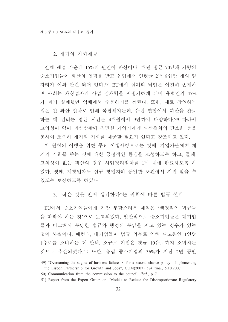2. 재기의 기회제공

전체 폐업 가운데 15%의 워인이 파산이다. 매년 평균 70만개 가량의 중소기업들이 파산의 영향을 받고 유럽에서 연평균 2백 8십만 개의 일 자리가 이와 관련 되어 있다.49) EU에서 실패의 낙인은 여전히 존재하 며 사회는 재창업자의 사업 잠재력을 저평가하게 되어 유럽인의 47% 가 과거 실패했던 업체에서 주문하기를 꺼린다. 또한, 새로 창업하는 일은 긴 파산 절차로 인해 복잡해지는데, 유럽 연합에서 파산을 완료 하는 데 걸리는 평규 시간은 4개월에서 9년까지 다양하다.50) 따라서 고의성이 없이 파산상황에 직면한 기업가에게 파산절차의 간소화 등을 통하여 조속히 재기의 기회를 제공할 필요가 있다고 강조하고 있다.

이 원칙의 이행을 위한 주요 이행사항으로는 첫째, 기업가들에게 재 기의 기회를 주는 것에 대한 긍정적인 환경을 조성하도록 하고, 둘째, 고의성이 없는 파산의 경우 사업정리절차를 1년 내에 완료하도록 하 였다. 셋째, 재창업자도 신규 창업자와 동일한 조건에서 지원 받을 수 있도록 보장하도록 하였다.

3. "작은 것을 먼저 생각하다"는 워칙에 따른 법규 설계

EU에서 중소기업들에게 가장 부담스러운 제약은 '행정적인 법규들 을 따라야 하는 것'으로 보고되었다. 일반적으로 중소기업들은 대기업 들과 비교해서 부당한 법규와 행정의 부담을 지고 있는 경우가 있는 것이 사실이다. 예컨대, 대기업들이 법규 의무로 인해 피고용인 1인당 1유로를 소비하는 데 반해, 소규모 기업은 평균 10유로까지 소비하는 것으로 추산되었다.51) 또한, 유럽 중소기업의 36%가 지난 2년 동안

<sup>49) &</sup>quot;Overcoming the stigma of business failure - for a second chance policy - Implementing the Lisbon Partnership for Growth and Jobs", COM(2007) 584 final, 5.10.2007.

<sup>50)</sup> Communication from the commission to the council, *Ibid.*, p. 7.

<sup>51)</sup> Report from the Expert Group on "Models to Reduce the Disproportionate Regulatory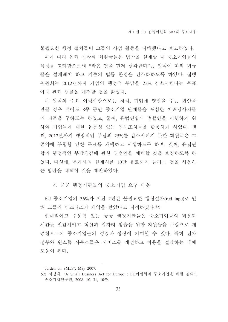불필요한 행정 절차들이 그들의 사업 활동을 저해했다고 보고하였다. 이에 따라 유럽 여합과 회워국들은 법안을 설계할 때 중소기업들의 특성을 고려함으로써 "작은 것을 먼저 생각한다"는 원칙에 따라 법규 들을 설계해야 하고 기존의 법률 환경을 간소화하도록 하였다. 집행 위원회는 2012년까지 기업의 행정적 부담을 25% 감소시킨다는 목표 아래 관련 법률을 개정할 것을 밝혔다.

이 원칙의 주요 이행사항으로는 첫째, 기업에 영향을 주는 법안을 만들 경우 적어도 8주 동안 중소기업 단체들을 포함한 이해당사자들 의 자문을 구하도록 하였고, 둘째, 유럽연합의 법률안을 시행하기 위 하여 기업들에 대한 융통성 있는 임시조치들을 활용하게 하였다. 셋 째, 2012년까지 행정적인 부담의 25%를 감소시키지 못한 회원국은 그 공약에 부합할 만한 목표를 채택하고 시행하도록 하며, 넷째, 유럽연 합의 행정적인 부담경감에 과한 입법안을 채택할 것을 보장하도록 하 였다. 다섯째, 부가세의 한계치를 10만 유로까지 늘리는 것을 허용하 는 법안을 채택할 것을 제안하였다.

4. 공공 행정기관들의 중소기업 요구 수용

EU 중소기업의 36%가 지난 2년간 불필요한 행정절차(red tape)로 인 해 그들의 비즈니스가 제약을 받았다고 지적하였다. 52)

현대적이고 수용력 있는 공공 행정기관들은 중소기업들의 비용과 시간을 절감시키고 혁신과 일자리 창출을 위한 자워들을 무상으로 제 공함으로써 중소기업들의 성공과 성장에 기여할 수 있다. 특히 전자 정부와 원스톱 사무소들은 서비스를 개선하고 비용을 절감하는 데에 도움이 된다.

burden on SMEs", May 2007.

<sup>52)</sup> 서정대, "A Small Business Act for Europe : EU위원회의 중소기업을 위한 결의". 중소기업연구원, 2008. 10. 31, 10쪽.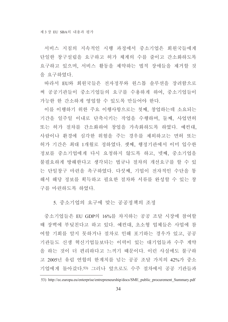서비스 지침의 지속적인 시행 과정에서 중소기업은 회원국들에게 단일한 창구설립을 요구하고 허가 체계의 수를 줄이고 간소화하도록 요구하고 있으며, 서비스 활동을 제약하는 법적 장애들을 제거할 것 을 요구하였다.

따라서 EU와 회원국들은 전자정부와 원스톱 솔루션을 장려함으로 써 공공기관들이 중소기업들의 요구를 수용하게 하여, 중소기업들이 가능한 한 간소하게 영업할 수 있도록 만들어야 한다.

이를 이행하기 위한 주요 이행사항으로는 첫째, 창업하는데 소요되는 기간을 일주일 이내로 단축시키는 작업을 수행하며, 둘째, 사업면허 또는 허가 절차를 간소화하여 창업을 가속화하도록 하였다. 예컨대. 사람이나 환경에 심각한 위험을 주는 경우를 제외하고는 면허 또는 허가 기간은 최대 1개월로 정하였다. 셋째, 행정기관에서 이미 입수한 정보를 중소기업에게 다시 요청하지 않도록 하고, 넷째, 중소기업을 불필요하게 방해한다고 생각되는 법규나 절차의 개선요구를 할 수 있 는 단일창구 마련을 촉구하였다. 다섯째, 기업이 전자적인 수단을 통 해서 해당 정보를 획득하고 필요한 절차와 서류를 와성할 수 있는 창 구를 마련하도록 하였다.

#### 5. 중소기업의 요구에 맞는 공공정책의 조정

중소기업들은 EU GDP의 16%를 차지하는 공공 조달 시장에 참여할 때 장벽에 부딪친다고 하고 있다. 예컨대. 초소형 업체들은 사업에 참 여할 기회를 알지 못하거나 절차로 인해 포기하는 경우가 있고, 공공 기관들도 신생 혁신기업들보다는 이력이 있는 대기업들과 수주 계약 을 하는 것이 더 편리하다고 느끼기 때문이다. 이런 사실에도 불구하 고 2005년 유럽 연합의 한계치를 넘는 공공 조달 가치의 42%가 중소 기업에게 돌아갔다.53) 그러나 앞으로도 수주 절차에서 공공 기관들과

<sup>53)</sup> http://ec.europa.eu/enterprise/entrepreneurship/docs/SME public procurement Summary.pdf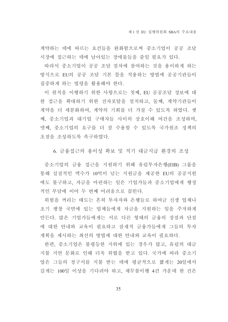계약하는 데에 따르는 요건들을 완화함으로써 중소기업이 공공 조달 시장에 접근하는 데에 남아있는 장애물들을 줄일 필요가 있다.

따라서 중소기업이 공공 조달 절차에 참여하는 것을 용이하게 하는 방식으로 EU의 공공 조달 기본 틀을 적용하는 방법에 공공기관들이 집중하게 하는 법령을 활용해야 한다.

이 원칙을 이행하기 위한 사항으로는 첫째, EU 공공조달 정보에 대 한 접근을 확대하기 위한 전자포탈을 설치하고, 둘째, 계약기관들이 계약을 더 세분화하여, 계약의 기회를 더 가질 수 있도록 하였다. 셋 째. 중소기업과 대기업 구매자들 사이의 상호이해 여건을 조성하며. 넷째. 중소기업의 요구를 더 잘 수용할 수 있도록 국가워조 정책의 초점을 조성하도록 촉구하였다.

6. 금융접근의 용이성 확보 및 적기 대금지급 환경의 조성

중소기업의 금융 접근을 지원하기 위해 유럽투자은행(EIB) 그룹을 통해 실질적인 액수가 10억이 넘는 지워금을 제공한 EU의 공공지워 에도 불구하고, 자금을 마련하는 일은 기업가들과 중소기업에게 행정 적인 부담에 이어 두 번째 어려움으로 꼽힌다.

위험을 꺼리는 태도는 흔히 투자자와 은행들로 하여금 신생 업체나 초기 팽창 국면에 있는 업체들에게 자금을 지원하는 일을 주저하게 만든다. 많은 기업가들에게는 서로 다른 형태의 금융의 장점과 단점 에 대한 안내와 교육이 필요하고 잠재적 금융가들에게 그들의 투자 계획을 제시하는 최선의 방법에 대한 안내와 교육이 필요하다.

한편, 중소기업은 불평등한 지위에 있는 경우가 많고, 유럽의 대금 지불 지연 문화로 인해 더욱 위협을 받고 있다. 국가에 따라 중소기 업은 그들의 청구서를 지불 받는 데에 평균적으로 짧게는 20일에서 길게는 100일 이상을 기다려야 하고, 채무불이행 4건 가운데 한 건은

35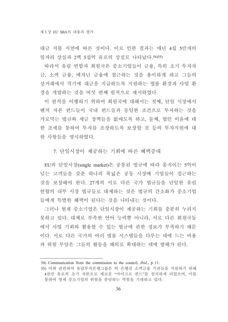대금 지불 지여에 따른 것이다. 이로 인한 결과는 매년 4십 5만개의 일자리 상실과 2백 5십억 유로의 상실로 나타났다. 54) 55)

따라서 유럽 연합과 회원국은 중소기업들이 금융, 특히 초기 투자자 금, 소액 금융, 메자닌 금융에 접근하는 것을 용이하게 하고 그들의 상거래에서 적기에 대금을 지급하도록 지원하는 법률 환경과 사업 환 경을 개발하는 것을 여섯 번째 워칙으로 제시하였다.

이 원칙을 이행하기 위하여 회원국에 대해서는 첫째, 단일 시장에서 벤처 자본 펀드들이 국내 펀드들과 동일한 조건으로 투자하는 것을 가로막는 법규와 세금 장벽들을 없애도록 하고, 둘째, 법인 이유에 대 한 조세를 통하여 투자를 조장하도록 보장할 것 등의 투자지원에 대 한 사항들을 명시하였다.

7. 단일시장이 제공하는 기회에 따른 혜택증대

EU의 단일시장(single market)은 공통된 법규에 따라 움직이는 5억이 넘는 고객들을 갖춘 하나의 폭넓은 공동 시장에 기업들이 접근하는 것을 보장해야 한다. 27개의 서로 다른 국가 법규들을 단일한 유럽 연합의 내부 시장 법규들로 대체하는 것은 법규의 간소화가 중소기업 들에게 특별한 혜택이 된다는 것을 나타내는 것이다.

그러나 현재 중소기업은 단일시장이 제공하는 기회를 충분히 누리지 못하고 있다. 대체로 부족한 언어 능력뿐 아니라, 서로 다른 회원국들 에서 사업 기회와 활용할 수 있는 법규에 관한 정보가 부족하기 때문 이다. 서로 다른 국가의 여러 법률 시스템들을 다루는 데에 드는 비용 과 위험 부담은 그들의 활동을 해외로 확대하는 데에 방해가 된다.

<sup>54)</sup> Communication from the commission to the council, *Ibid.*, p. 11.

<sup>55)</sup> 이와 관련하여 유럽투자은행그룹은 비 은행권 소액금융 기관들을 지원하기 위해 4천만 유로의 초기 자본으로 새로운 "마이크로 펀드"를 설치하게 되었으며, 이를 통하여 영세 중소기업의 위험을 분담하는 역할을 기대하고 있다.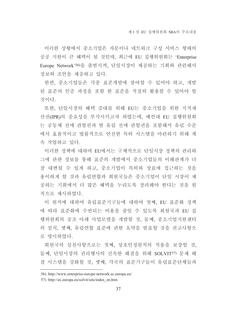이러한 상황에서 중소기업은 자문이나 네트워크 구성 서비스 형태의 공공 지원이 큰 혜택이 될 것인데, 최근에 EU 집행위원회는 'Enterprise Europe Network'56)을 출범시켜, 단일시장이 제공하는 기회와 관련해서 정보와 조언을 제공하고 있다.

한편, 중소기업들은 각종 표준개발에 참여할 수 있어야 하고. 개발 된 표준의 인증 과정을 포함 한 표준을 적절히 활용할 수 있어야 할 것이다

또한, 단일시장의 혜택 증대를 위해 EU는 중소기업을 위한 지적재 산권(IPR)의 중요성을 부각시키고자 하였는데, 예컨대 EU 집행위원회 는 공동체 전매 관할권과 범 유럽 전매 관할권을 포함해서 유럽 수준 에서 효율적이고 법률적으로 안전한 특허 시스템을 마련하기 위해 계 속 작업하고 있다.

이러한 정책에 대하여 EU에서는 구체적으로 단일시장 정책의 관리와 그에 관한 정보를 통해 표준의 개발에서 중소기업들의 이해관계가 더 잘 대변될 수 있게 하고, 중소기업이 특허와 상표에 접근하는 것을 용이하게 할 것과 유럽연합과 회원국들은 중소기업이 단일 시장이 제 공하는 기회에서 더 많은 혜택을 누리도록 장려해야 한다는 것을 원 칙으로 제시하였다.

이 원칙에 대하여 유럽표준기구들에 대하여 첫째, EU 표준화 정책 에 따라 표준화에 수반되는 비용을 줄일 수 있도록 회원국과 EU 집 행위원회의 공조 아래 사업모델을 개발할 것, 둘째, 중소기업지워센터 의 설치, 셋째, 유럽연합 표준에 관한 요약을 발표할 것을 권고사항으 로 명시하였다.

회원국의 실천사항으로는 첫째, 상호인정원칙의 적용을 보장할 것, 둘째, 단일시장의 권리행사의 신속한 해결을 위해 SOLVIT57) 문제 해 결 시스템을 강화할 것. 셋째. 각국의 표주기구들이 유럽표주단체들과

<sup>56)</sup> http://www.enterprise-europe-network.ec.europa.eu/

<sup>57)</sup> http://ec.europa.eu/solvit/site/index en.htm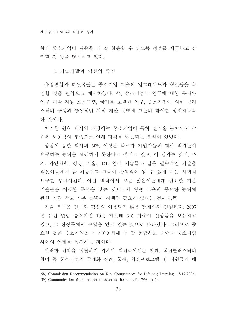함께 중소기업이 표준을 더 잘 활용할 수 있도록 정보를 제공하고 장 려할 것 등을 명시하고 있다.

8. 기술개발과 혁신의 촉진

유럽연합과 회워국들은 중소기업 기술의 업그레이드와 혁신들을 촉 진할 것을 원칙으로 제시하였다. 즉, 중소기업의 연구에 대한 투자와 연구 개발 지원 프로그램, 국가를 초월한 연구, 중소기업에 의한 클러 스터의 구성과 능동적인 지적 재산 운영에 그들의 참여를 장려하도록 한 것이다.

이러한 원칙 제시의 배경에는 중소기업이 특히 신기술 분야에서 숙 려된 노동력의 부족으로 인해 타격을 입는다는 분석이 있었다.

상담에 응한 회사의 60% 이상은 학교가 기업가들과 회사 직원들이 요구하는 능력을 제공하지 못한다고 여기고 있고, 이 결과는 읽기, 쓰 기, 자연과학, 경영, 기술, ICT, 언어 기술들과 같은 필수적인 기술을 젊은이들에게 늘 제공하고 그들이 창의적이 될 수 있게 하는 사회적 요구를 부각시킨다. 이런 맥락에서 모든 젊은이들에게 필요한 기본 기술들을 제공할 목적을 갖는 것으로서 평생 교육의 중요한 능력에 관한 유럽 참고 기본 틀58)이 시행될 필요가 있다는 것이다.59)

기술 부족은 연구와 혁신의 이용되지 않은 잠재력과 연결된다. 2007 년 유럽 연합 중소기업 10곳 가운데 3곳 가량이 신상품을 보유하고 있고, 그 신상품에서 수입을 얻고 있는 것으로 나타났다. 그러므로 중 요한 것은 중소기업을 연구공동체에 더 잘 통합하고 대학과 중소기업 사이의 연계를 촉진하는 것이다.

이러한 원칙을 실천하기 위하여 회원국에게는 첫째, 혁신클러스터의 참여 등 중소기업의 국제화 장려, 둘째, 혁신프로그램 및 지원금의 혜

<sup>58)</sup> Commission Recommendation on Key Competences for Lifelong Learning, 18.12.2006.

<sup>59)</sup> Communication from the commission to the council, *Ibid.*, p. 14.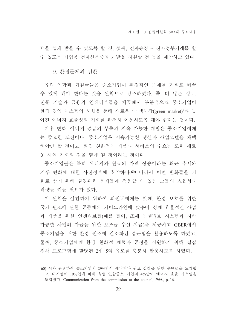택을 쉽게 받을 수 있도록 할 것, 셋째, 전자송장과 전자정부거래를 할 수 있도록 기업용 전자신분증의 개발을 지원할 것 등을 제안하고 있다.

9. 화경문제의 전화

유럽 연합과 회원국들은 중소기업이 환경적인 문제를 기회로 바꿀 수 있게 해야 한다는 것을 원칙으로 강조하였다. 즉, 더 많은 정보, 전문 기술과 금융의 인센티브들을 제공해서 부분적으로 중소기업이 환경 경영 시스템의 시행을 통해 새로운 '녹색시장(green market)'과 높 아진 에너지 효율성의 기회를 완전히 이용하도록 해야 한다는 것이다.

기후 변화, 에너지 공급의 부족과 지속 가능한 개발은 중소기업에게 는 중요한 도전이다. 중소기업은 지속가능한 생산과 사업모델을 채택 해야만 할 것이고, 환경 친화적인 제품과 서비스의 수요는 또한 새로 운 사업 기회의 길을 열게 될 것이라는 것이다.

중소기업들은 특히 에너지와 원료의 가격 상승이라는 최근 추세와 기후 변화에 대한 사전정보에 취약하다.60) 따라서 이런 변화들을 기 회로 삼기 위해 환경관련 문제들에 적응할 수 있는 그들의 효율성과 역량을 키울 필요가 있다.

이 원칙을 실천하기 위하여 회원국에게는 첫째, 환경 보호를 위한 국가 워조에 관한 공동체의 가이드라인에 맞추어 경제 효율적인 사업 과 제품을 위한 인센티브들(예를 들어, 조세 인센티브 시스템과 지속 가능한 사업의 자금을 위한 보조금 우선 지급)을 제공하고 GBER에서 중소기업을 위한 환경 원조에 간소화된 접근법을 활용하도록 하였고, 둘째. 중소기업에게 화경 친화적 제품과 공정을 지워하기 위해 결집 정책 프로그램에 할당된 2십 5억 유로를 충분히 활용하도록 하였다.

<sup>60)</sup> 이와 관련하여 중소기업의 29%만이 에너지나 워료 절감을 위한 수단들을 도입했 고, 대기업이 19%인데 비해 유럽 연합중소 기업의 4%만이 에너지 효율 시스템을 도입했다. Communication from the commission to the council, Ibid., p. 16.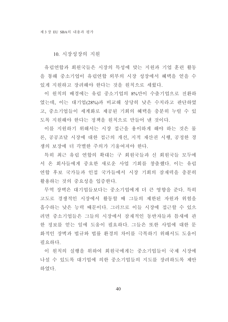10. 시장성장의 지원

유럽연합과 회원국들은 시장의 특성에 맞는 지원과 기업 훈련 활동 을 통해 중소기업이 유럽연합 외부의 시장 성장에서 혜택을 얻을 수 있게 지원하고 장려해야 한다는 것을 원칙으로 세웠다.

이 원칙의 배경에는 유럽 중소기업의 8%만이 수출기업으로 전환하 였는데. 이는 대기업(28%)과 비교해 상당히 낮은 수치라고 판단하였 고, 중소기업들이 세계화로 제공된 기회의 혜택을 충분히 누릴 수 있 도록 지워해야 한다는 정책을 워칙으로 만들어 내 것이다.

이를 지워하기 위해서는 시장 접근을 용이하게 해야 하는 것은 물 론, 공공조달 시장에 대한 접근의 개선, 지적 재산권 시행, 공정한 경 쟁의 보장에 더 각별한 주의가 기울여져야 한다.

특히 최근 유럽 연합의 확대는 구 회원국들과 신 회원국들 모두에 서 온 회사들에게 중요한 새로운 사업 기회를 창출했다. 이는 유럽 연합 후보 국가들과 인접 국가들에서 시장 기회의 잠재력을 충분히 활용하는 것의 중요성을 입증한다.

무역 장벽은 대기업들보다는 중소기업에게 더 큰 영향을 주다. 특히 고도로 경쟁적인 시장에서 활동할 때 그들의 제한된 자원과 위험을 흡수하는 낮은 능력 때문이다. 그러므로 이들 시장에 접근할 수 있으 려면 중소기업들은 그들의 시장에서 잠재적인 동반자들과 틈새에 과 한 정보를 얻는 일에 도움이 필요하다. 그들은 또한 사업에 대한 문 화적인 장벽과 법규와 법률 화경의 차이를 극복하기 위해서도 도움이 필요하다.

이 원칙의 실행을 위하여 회원국에게는 중소기업들이 국제 시장에 나설 수 있도록 대기업에 의한 중소기업들의 지도를 장려하도록 제안 하였다.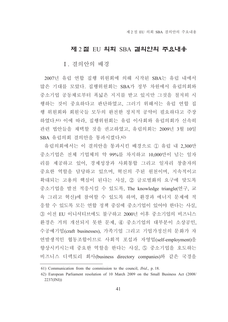# 제 2절 EU 의회 SBA 결의안의 주요내용

### I. 결의안의 배경

2007년 유럽 연합 집행 위원회에 의해 시작된 SBA는 유럽 내에서 많은 기대를 모았다. 집행위원회는 SBA가 정부 차원에서 유럽의회와 중소기업 공동체로부터 폭넓은 지지를 받고 있지만 그것을 철저히 시 행하는 것이 중요하다고 판단하였고, 그러기 위해서는 유럽 연합 집 행 위원회와 회원국들 모두의 완전한 정치적 공약이 필요하다고 주장 하였다.61) 이에 따라, 집행위원회는 유럽 이사회와 유럽의회가 신속히 관련 법안들을 채택할 것을 권고하였고, 유럽의회는 2009년 3월 10일 SBA 유럽의회 결의안을 통과시켰다. 62)

유럽의회에서는 이 결의안을 통과시킨 배경으로 ① 유럽 내 2,300만 중소기업은 전체 기업체의 약 99%를 차지하고 10,000만이 넘는 일자 리를 제공하고 있어, 경제성장과 사회통합 그리고 일자리 창출자의 중요한 역할을 담당하고 있으며, 혁신의 주된 원천이며, 지속적이고 확대되는 고용의 핵심이 된다는 사실, 2 글로벌화의 요구에 맞도록 중소기업을 발전 적응시킬 수 있도록, The knowledge triangle(연구, 교 육 그리고 혁신)에 참여할 수 있도록 하며, 환경과 에너지 문제에 적 응할 수 있도록 모든 연합 정책 중심에 중소기업이 있어야 한다는 사실, ③ 이전 EU 이니셔티브에도 불구하고 2000년 이후 중소기업의 비즈니스 환경은 거의 개선되지 못한 문제, 40 중소기업의 대부분이 소상공인, 수공예기업(craft businesses), 가족기업 그리고 기업가정신의 문화가 자 연발생적인 협동조합이므로 사회적 포섭과 자영업(self-employment)을 향상시키시는데 중요한 역할을 한다는 사실, 5 중소기업을 호도하는 비즈니스 디렉토리 회사(business directory companies)와 같은 국경을

<sup>61)</sup> Communication from the commission to the council, *Ibid.*, p. 18.

<sup>62)</sup> European Parliament resolution of 10 March 2009 on the Small Business Act (2008/  $2237(INI)$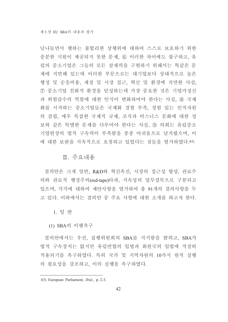넘나들면서 행하는 불합리한 상행위에 대하여 스스로 보호하기 위한 충분한 지원이 제공되지 못한 문제, 6 이러한 차이에도 불구하고, 유 럽의 중소기업은 그들의 모든 잠재력을 구현하기 위해서는 똑같은 문 제에 직면해 있는데 이러한 부문으로는 대기업보다 상대적으로 높은 행정 및 순응비용, 재정 및 시장 접근, 혁신 및 환경에 직면한 사실, 7 중소기업 친화적 화경을 달성하는데 가장 중요한 것은 기업가정신 과 위험감수의 역할에 대한 인식이 변화하여야 한다는 사실. ⑧ 국제 화를 시작하는 중소기업들은 국제화 경험 부족, 경험 있는 인적자원 의 결핍, 매우 복잡한 국제적 규제, 조직과 비스니스 문화에 대한 정 보와 같은 특별한 문제를 다루어야 한다는 사실. ⑨ 의회는 유럽중소 기업헌장의 법적 구속력이 부족함을 종종 아쉬움으로 남겨왔으며. 이 에 대한 보완을 지속적으로 요청하고 있었다는 점들을 열거하였다.63)

### Ⅱ. 주요내용

결의안은 크게 일반, R&D와 혁신촉진, 시장의 접근성 향상, 관료주 의와 관료적 행정주의(red-tape)타파, 지속성의 업무접목으로 구분되고 있으며, 각각에 대하여 제안사항을 열거하여 총 91개의 결의사항을 두 고 있다. 이하에서는 결의안 중 주요 사항에 대한 소개를 하고자 한다.

1 일 반

(1) SBA의 이행촉구

결의안에서는 우선, 집행위원회의 SBA를 지지함을 밝히고, SBA가 법적 구속장치는 없지만 유럽연합의 입법과 회원국의 입법에 적절히 적용되기를 촉구하였다. 특히 국가 및 지역차원의 10가지 원칙 실행 의 필요성을 강조하고, 이의 실행을 촉구하였다.

<sup>63)</sup> European Parliament, *Ibid.*, p. 2-3.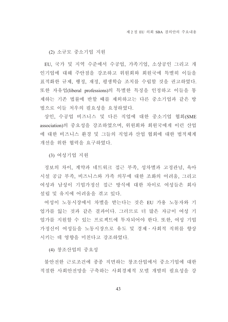(2) 소규모 중소기업 지워

EU, 국가 및 지역 수준에서 수공업, 가족기업, 소상공인 그리고 개 인기업에 대해 주안점을 강조하고 위원회와 회원국에 특별히 이들을 표적화한 규제, 행정, 재정, 평생학습 조치를 수립할 것을 권고하였다. 또한 자유업(liberal professions)의 특별한 특징을 인정하고 이들을 통 제하는 기존 법률에 반할 때를 제외하고는 다른 중소기업과 같은 방 법으로 이들 처우의 필요성을 요청하였다.

상인, 수공업 비즈니스 및 다른 직업에 대한 중소기업 협회(SME association)의 중요성을 강조하였으며, 위원회와 회원국에게 이런 산업 에 대한 비즈니스 환경 및 그들의 직업과 산업 협회에 대한 법적체계 개선을 위한 협력을 요구하였다.

(3) 여성기업 지워

정보의 차이, 계약과 네트워크 접근 부족, 성차별과 고정관념, 육아 시설 공급 부족, 비즈니스와 가족 의무에 대한 조화의 어려움, 그리고 여성과 남성이 기업가정신 접근 방식에 대한 차이로 여성들은 회사 설립 및 유지에 어려움을 겪고 있다.

여성이 노동시장에서 차별을 받는다는 것은 EU 가용 노동자와 기 업가를 잃는 것과 같은 결과이다. 그러므로 더 많은 자금이 여성 기 업가를 지워할 수 있는 프로젝트에 투자되어야 한다. 또한, 여성 기업 가정신이 여성들을 노동시장으로 유도 및 경제 · 사회적 직위를 향상 시키는 데 영향을 미친다고 강조하였다.

(4) 창조산업의 중요성

불안전한 근로조건에 종종 직면하는 창조산업에서 중소기업에 대한 적절한 사회안전망을 구축하는 사회경제적 모델 개발의 필요성을 강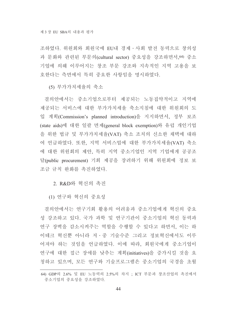조하였다. 위원회와 회원국에 EU내 경제 · 사회 발전 동력으로 창의성 과 문화와 관련된 부문의(cultural sector) 중요성을 강조하면서, 64) 중소 기업에 의해 이루어지는 창조 부문 강조와 지속적인 지역 고용을 보 호한다는 측면에서 특히 중요한 사항임을 명시하였다.

(5) 부가가치세율의 축소

결의안에서는 중소기업으로부터 제공되는 노동집약적이고 지역에 제공되는 서비스에 대한 부가가치세율 축소지침에 대한 위원회의 도 입 계획(Commission's planned introduction)을 지지하면서, 정부 보조 (state aids)에 대한 일괄 면제(general block exemption)와 유럽 개인기업 을 위한 법규 및 부가가치세율(VAT) 축소 조치의 신소한 채택에 대하 여 언급하였다. 또한, 지역 서비스업에 대한 부가가치세율(VAT) 축소 에 대한 위원회의 제안, 특히 지역 중소기업인 지역 기업에게 공공조 달(public procurement) 기회 제공을 장려하기 위해 위원회에 정보 보 조금 규칙 완화를 촉진하였다.

2. R&D와 혁신의 촉진

(1) 연구와 혁신의 중요성

결의안에서는 연구기회 활용의 어려움과 중소기업에게 혁신의 중요 성 강조하고 있다. 국가 과학 및 연구기관이 중소기업의 혁신 동력과 연구 장벽을 감소시켜주는 역할을 수행할 수 있다고 하면서. 이는 하 이테크 혁신뿐 아니라 저ㆍ중 기술수준 그리고 정보혁신에서도 이루 어져야 하는 것임을 언급하였다. 이에 따라, 회원국에게 중소기업이 연구에 대한 접근 장애를 낮추는 계획(initiatives)을 증가시킬 것을 요 청하고 있으며, 모든 연구와 기술프로그램은 중소기업의 국경을 초월

<sup>64)</sup> GDP의 2.6% 및 EU 노동력의 2.5%의 차지 : ICT 부문과 창조산업의 촉진에서 중소기업의 중요성을 강조하였다.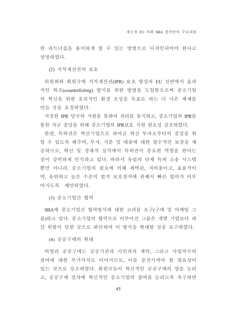한 파트너십을 용이하게 할 수 있는 방법으로 디자인되어야 한다고 설명하였다.

(2) 지적재산권의 보호

위원회와 회원국에 지적재산권(IPR) 보호 향상과 EU 전반에서 효과 적인 위조(counterfeiting) 방지를 위한 방법을 도입함으로써 중소기업 의 혁신을 위한 호의적인 환경 조성을 목표로 하는 더 나은 체제를 만들 것을 요청하였다.

적절한 IPR 당국의 지원을 통하여 권리를 유지하고, 중소기업의 IPR를 통한 자금 충당을 위해 중소기업의 IPR보호 지원 필요성 강조하였다.

한편, 특허권은 혁신기업으로 하여금 혁신 투자로부터의 결실을 취 할 수 있도록 해주며, 투자, 지분 및 대출에 대한 필수적인 보장을 제 공하므로, 혁신 및 경제적 실적에서 특허권이 중요한 역할을 한다는 점이 강력하게 인식하고 있다. 따라서 유럽의 단체 특허 소송 시스템 뿐만 아니라, 중소기업의 필요에 의해 채택된, 저비용이고, 효율적이 며, 유연하고 높은 수준의 법적 보호장치에 관해서 빠른 합의가 이루 어지도록 제안하였다.

(3) 중소기업간 협력

SBA에 중소기업간 협력방식에 대한 고려를 요구(구매 및 마케팅 그 룹)하고 있다. 중소기업의 협력으로 이루어진 그룹은 개별 기업보다 파 산 위험이 덜한 것으로 판단하여 이 방식을 확대할 것을 요구하였다.

(4) 공공구매의 확대

비영리 공공구매는 공공기관과 시민과의 계약, 그리고 사업착수의 참여에 대한 부가가치로 이어지므로, 이를 증진시켜야 할 필요성이 있는 것으로 강조하였다. 회원국들이 혁신적인 공공구매의 양을 늘리 고, 공공구매 절차에 혁신적인 중소기업의 참여를 늘리도록 촉구하면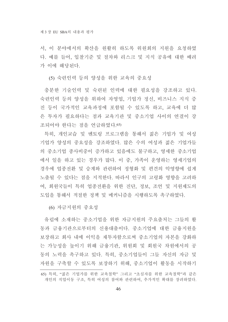서, 이 분야에서의 확산을 원활히 하도록 위원회의 지원을 요청하였 다. 예를 들어, 입찰기준 및 절차와 리스크 및 지식 공유에 대한 배려 가 이에 해당된다.

(5) 숙련인력 등의 양성을 위한 교육의 중요성

충분한 기술인력 및 숙련된 인력에 대한 필요성을 강조하고 있다. 숙련인력 등의 양성을 위하여 자영업, 기업가 정신, 비즈니스 지식 증 진 등이 국가적인 교육과정에 포함될 수 있도록 하고, 교육에 더 많 은 투자가 필요하다는 점과 교육기관 및 중소기업 사이의 연결이 강 조되어야 한다는 점을 언급하였다. 65)

특히, 개인교습 및 멘토링 프로그램을 통해서 젊은 기업가 및 여성 기업가 양성의 중요성을 강조하였다. 많은 수의 여성과 젊은 기업가들 의 중소기업 종사비중이 증가하고 있음에도 불구하고. 영세한 중소기업 에서 일을 하고 있는 경우가 많다. 이 중, 가족이 운영하는 영세기업의 경우에 업종전환 및 승계와 관련하여 정형화 및 편견의 악영향에 쉽게 노출될 수 있다는 점을 지적한다. 따라서 인구의 고령화 영향을 고려하 여, 회원국들이 특히 업종전환을 위한 진단, 정보, 조언 및 지원제도의 도입을 통해서 적절한 정책 및 메커니즘을 시행하도록 촉구하였다.

(6) 자금지워의 중요성

유럽에 소재하는 중소기업을 위한 자금지워의 주요출처는 그들의 활 동과 금융기관으로부터의 신용대출이다. 중소기업에 대한 금융지원을 보장하고 회사 내에 이익을 재투자함으로써 중소기업의 자본을 강화하 는 가능성을 높이기 위해 금융기관, 위원회 및 회원국 차원에서의 공 동의 노력을 촉구하고 있다. 특히. 중소기업들이 그들 자신의 자금 및 자원을 구축할 수 있도록 보장하기 위해, 중소기업이 활동을 시작하기

<sup>65)</sup> 특히, "젊은 기업가를 위한 교육철학" 그리고 "초심자를 위한 교육철학"과 같은 개인의 직업이동 구조, 특히 여성의 참여와 관련하여, 추가적인 확대를 장려하였다.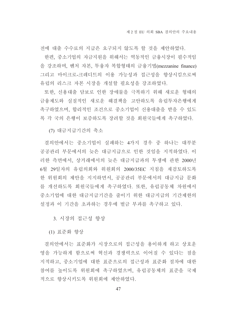전에 대출 수수료의 지급은 요구되지 않도록 할 것을 제안하였다. 한편, 중소기업의 자금지원을 위해서는 역동적인 금융시장이 필수적임 을 강조하며, 벤처 자본, 투융자 복합형태의 금융기법(mezzanine finance) 그리고 마이크로-크레디트의 이용 가능성과 접근성을 향상시킴으로써 유럽의 리스크 자본 시장을 개설할 필요성을 강조하였다.

또한, 신용대출 담보로 인한 장애물을 극복하기 위해 새로운 형태의 금융제도와 실질적인 새로운 해결책을 고안하도록 유럽투자은행에게 촉구하였으며, 합리적인 조건으로 중소기업이 신용대출을 받을 수 있도 록 각 국의 은행이 보증하도록 장려할 것을 회원국들에게 촉구하였다.

(7) 대금지급기간의 축소

결의안에서는 중소기업이 실패하는 4가지 경우 중 하나는 대부분 공공관리 부문에서의 늦은 대금지급으로 인한 것임을 지적하였다. 이 러한 측면에서, 상거래에서의 늦은 대금지급과의 투쟁에 관한 2000년 6월 29일자의 유럽의회와 위원회의 2000/35EC 지침을 재검토하도록 한 위원회의 제안을 지지하면서, 공공관리 부문에서의 대금지급 문화 를 개선하도록 회원국들에게 촉구하였다. 또한, 유럽공동체 차원에서 중소기업에 대한 대금지급기간을 줄이기 위한 대금지급의 기간제한의 설정과 이 기간을 초과하는 경우에 벌금 부과를 촉구하고 있다.

3. 시장의 접근성 향상

(1) 표준화 향상

결의안에서는 표준화가 시장으로의 접근성을 용이하게 하고 상호운 영을 가능하게 함으로써 혁신과 경쟁력으로 이어질 수 있다는 점을 지적하고, 중소기업에 대한 표준으로의 접근성과 표준화 절차에 대한 참여를 높이도록 위워회에 촉구하였으며, 유럽공동체의 표주을 국제 적으로 향상시키도록 위원회에 제안하였다.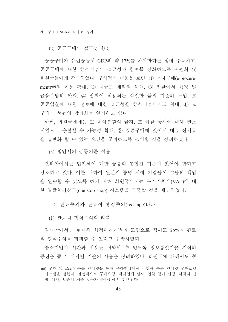(2) 공공구매의 접근성 향상

공공구매가 유럽공동체 GDP의 약 17%를 차지한다는 점에 주목하고. 공공구매에 대한 중소기업의 접근성과 참여를 강화하도록 위워회 및 회원국들에게 촉구하였다. 구체적인 내용을 보면, ① 전자구매(e-procurement)66)의 이용 확대. 2 대규모 계약의 채택. 3 입찰에서 행정 및 금융부담의 완화. 4) 입찰에 적용되는 적절한 품질 기준의 도입. ⑤ 공공입찰에 대한 정보에 대한 접근성을 중소기업에게도 확대, 6 요 구되는 서류의 합리화를 열거하고 있다.

한편, 회원국에게는 ① 계약분할의 금지, 2 입찰 공시에 대해 컨소 시엄으로 응찰할 수 가능성 확대, 3) 공공구매에 있어서 대금 선지급 을 일반화 할 수 있는 요건을 구비하도록 조치할 것을 장려하였다.

(3) 법인세의 공통기준 적용

결의안에서는 법인세에 대한 공통의 통합된 기준이 있어야 한다고 강조하고 있다. 이를 위하여 워산지 증명 시에 기업들이 그들의 책임 을 완수할 수 있도록 하기 위해 회원국에서는 부가가치세(VAT)에 대 한 일괄처리창구(one-stop-shop) 시스템을 구축할 것을 제안하였다.

4. 관료주의와 관료적 행정주의(red-tape)타파

(1) 관료적 형식주의의 타파

결의안에서는 현대적 행정관리기법의 도입으로 적어도 25%의 관료 적 형식주의를 타파할 수 있다고 주장하였다.

중소기업이 시간과 비용을 절약할 수 있도록 정보통신기술 지식의 증진을 돕고, 디지털 기술의 사용을 장려하였다. 회원국에 대해서도 혁

<sup>66)</sup> 구매 및 조달업무를 인터넷을 통해 온라인상에서 구현해 주는 인터넷 구매조달 시스템을 말한다. 일반적으로 구매요청, 적격업체 심사, 입찰 참가 신청, 낙찰자 선 정, 계약, 보증서 제출 업무가 온라인에서 진행된다.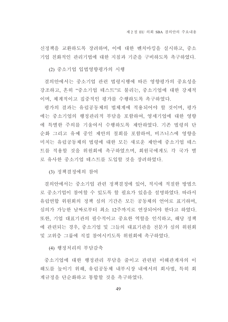신정책을 교환하도록 장려하며, 이에 대한 벤치마킹을 실시하고, 중소 기업 친화적인 관리기법에 대한 지침과 기준을 구비하도록 촉구하였다.

(2) 중소기업 입법영향평가의 시행

결의안에서는 중소기업 관련 법령시행에 따른 영향평가의 중요성을 강조하고, 흔히 "중소기업 테스트"로 불리는, 중소기업에 대한 강제적 이며, 체계적이고 집중적인 평가를 수행하도록 촉구하였다.

평가의 결과는 유럽공동체의 법체계에 적용되어야 할 것이며, 평가 에는 중소기업의 행정관리적 부담을 포함하여, 영세기업에 대한 영향 에 특별한 주의를 기울여서 수행하도록 제안하였다. 기존 법령의 단 순화 그리고 유예 중인 제안의 철회를 포함하여, 비즈니스에 영향을 미치는 유럽공동체의 법령에 대한 모든 새로운 제안에 중소기업 테스 트를 적용할 것을 위워회에 촉구하였으며. 회워국에게도 각 국가 별 로 유사한 중소기업 테스트를 도입할 것을 장려하였다.

(3) 정책결정에의 참여

결의안에서는 중소기업 관련 정책결정에 있어, 적시에 적절한 방법으 로 중소기업이 참여할 수 있도록 할 필요가 있음을 설명하였다. 따라서 유럽연합 위원회의 정책 심의 기간은 모든 공동체의 언어로 표기하며, 심의가 가능한 날짜로부터 최소 12주까지로 연장되어야 한다고 하였다. 또한 기업 대표기관의 필수적이고 중요한 역할을 인식하고, 해당 정책 에 관련되는 경우, 중소기업 및 그들의 대표기관을 전문가 심의 위원회 및 고위층 그룹에 직접 참여시키도록 위원회에 촉구하였다.

(4) 행정처리의 부담감축

중소기업에 대한 행정관리 부담을 줄이고 관련된 이해관계자의 이 해도를 높이기 위해. 유럽공동체 내부시장 내에서의 회사법. 특히 회 계규정을 단순화하고 통합할 것을 촉구하였다.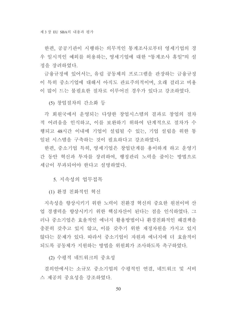한편, 공공기관이 시행하는 의무적인 통계조사로부터 영세기업의 경 우 일시적인 예외를 허용하는, 영세기업에 대한 "통계조사 휴일"의 설 정을 장려하였다.

금융규정에 있어서는, 유럽 공동체의 프로그램을 관장하는 금융규정 이 특히 중소기업에 대해서 아직도 관료주의적이며, 오래 걸리고 비용 이 많이 드는 불필요한 절차로 이루어진 경우가 있다고 강조하였다.

(5) 창업절차의 간소화 등

각 회원국에서 운영되는 다양한 창업시스템의 결과로 창업의 절차 적 어려움을 인식하고, 이를 보완하기 위하여 단계적으로 절차가 수 행되고 48시간 이내에 기업이 설립될 수 있는, 기업 설립을 위한 통 일된 시스템을 구축하는 것이 필요하다고 강조하였다.

한편, 중소기업 특히, 영세기업은 창업단계를 용이하게 하고 운영기 간 동안 혁신과 투자를 장려하여, 행정관리 노력을 줄이는 방법으로 세금이 부과되어야 한다고 설명하였다.

5. 지속성의 업무접목

(1) 화경 친화적인 혁신

지속성을 향상시키기 위한 노력이 친화경 혁신의 중요한 워천이며 산 업 경쟁력을 향상시키기 위한 핵심자산이 된다는 점을 인식하였다. 그 러나 중소기업은 효율적인 에너지 활용방법이나 환경친화적인 해결책을 충분히 갖추고 있지 않고, 이를 갖추기 위한 재정자원을 가지고 있지 않다는 문제가 있다. 따라서 중소기업이 자워과 에너지에 더 효율적이 되도록 공동체가 지원하는 방법을 위원회가 조사하도록 촉구하였다.

(2) 수평적 네트워크의 중요성

결의안에서는 소규모 중소기업의 수평적인 연결. 네트워크 및 서비 스 제공의 중요성을 강조하였다.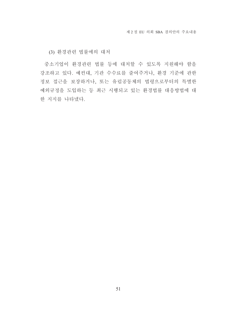(3) 환경관련 법률에의 대처

중소기업이 환경관련 법률 등에 대처할 수 있도록 지원해야 함을 강조하고 있다. 예컨대, 기관 수수료를 줄여주거나, 환경 기준에 관한 정보 접근을 보장하거나, 또는 유럽공동체의 법령으로부터의 특별한 예외규정을 도입하는 등 최근 시행되고 있는 환경법률 대응방법에 대 한 지지를 나타냈다.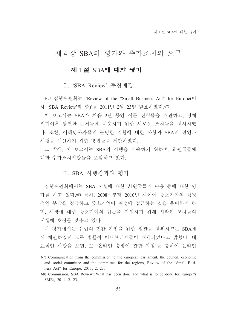# 제 4 장 SBA의 평가와 추가조치의 요구

# 제 1 절 SBA에 대한 평가

# I. 'SBA Review' 추진배경

EU 집행위원회는 'Review of the "Small Business Act" for Europe(이 하 'SBA Review'라 함)'을 2011년 2월 23일 발표하였다. 67)

이 보고서는 SBA가 처음 2년 동안 이룬 진척들을 개관하고, 경제 위기이후 당면한 문제들에 대응하기 위한 새로운 조치들을 제시하였 다. 또한, 이해당사자들의 분명한 역할에 대한 사항과 SBA의 견인과 시행을 개선하기 위한 방법들을 제안하였다.

그 밖에 이 보고서는 SBA의 시행을 계속하기 위하여 회워국들에 대한 추가조치사항들을 포함하고 있다.

# Ⅱ. SBA 시행경과와 평가

집행위워회에서는 SBA 시행에 대한 회워국들의 수용 등에 대한 평 가를 하고 있다.68) 특히, 2008년부터 2010년 사이에 중소기업의 행정 적인 부담을 경감하고 중소기업이 재정에 접근하는 것을 용이하게 하 며, 시장에 대한 중소기업의 접근을 지원하기 위해 시작된 조치들의 시행에 초점을 맞추고 있다.

이 평가에서는 유럽의 민간 기업을 위한 정관을 제외하고는 SBA에 서 제안하였던 모든 법률적 이니셔티브들이 채택되었다고 밝혔다. 대 표적인 사항을 보면, ① '온라인 송장에 관한 지침'을 통하여 온라인

<sup>67)</sup> Communication from the commission to the european parliament, the council, economic and social committee and the committee for the regions, Review of the "Small Business Act" for Europe, 2011. 2. 23.

<sup>68)</sup> Commission, SBA Review: What has been done and what is to be done for Europe's SMEs, 2011. 2. 23.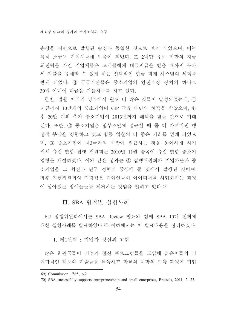송장을 지면으로 발행된 송장과 동일한 것으로 보게 되었으며, 이는 특히 소규모 기업체들에 도움이 되었다. 22 2백만 유로 미만의 자금 회전력을 가진 기업체들은 고객들에게 대금지급을 받을 때까지 부가 세 지불을 유예할 수 있게 하는 선택적인 현금 회계 시스템의 혜택을 받게 되었다. 3 공공기관들은 중소기업의 안전보장 장치의 하나로 30일 이내에 대금을 지불하도록 하고 있다.

한편, 법률 이외의 영역에서 훨씬 더 많은 것들이 달성되었는데, ① 지금까지 10만개의 중소기업이 CIP 금융 수단의 혜택을 받았으며, 향 후 20만 개의 추가 중소기업이 2013년까지 혜택을 받을 것으로 기대 된다. 또한, 2 중소기업은 정부조달에 접근할 때 좀 더 가벼워진 행 정적 부담을 경험하고 있고 합동 입찰의 더 좋은 기회를 얻게 되었으 며, 3 중소기업이 제3국가의 시장에 접근하는 것을 용이하게 하기 위해 유럽 연합 집행 위원회는 2010년 11월 중국에 유럽 연합 중소기 업청을 개설하였다. 이와 같은 성과는 4) 집행위워회가 기업가들과 중 소기업을 그 혁신과 연구 정책의 중심에 둔 것에서 발생된 것이며. 향후 집행위워회의 지향점은 기업인들이 아이디어를 사업화하는 과정 에 남아있는 장애물들을 제거하는 것임을 밝히고 있다.69)

# Ⅲ. SBA 원칙별 실천사례

EU 집행위원회에서는 SBA Review 발표와 함께 SBA 10대 원칙에 대한 실천사례를 발표하였다.70) 이하에서는 이 발표내용을 정리하였다.

1. 제1원칙 : 기업가 정신의 고취

많은 회원국들이 기업가 정신 프로그램들을 도입해 젊은이들의 기 업가적인 태도와 기술들을 교육하고 학교와 대학의 교육 과정에 기업

<sup>69)</sup> Commission, *Ibid.*, p.2.

<sup>70)</sup> SBA successfully supports entrepreneurship and small enterprises, Brussels, 2011. 2. 23.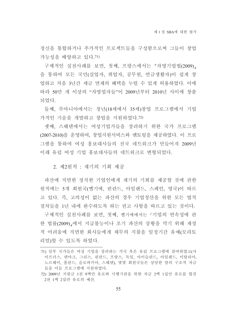정신을 통합하거나 추가적인 프로젝트들을 구성함으로써 그들이 창업 가능성을 배양하고 있다.71)

구체적인 실천사례를 보면, 첫째, 프랑스에서는 『자영기업법(2009)』 을 통하여 모든 국민(실업자, 취업자, 공무원, 연금생활자)이 쉽게 창 업하고 처음 3년간 세금 면제의 혜택을 누릴 수 있게 허용하였다. 이에 따라 50만 개 이상의 "자영업자들"이 2009년부터 2010년 사이에 창출 되었다.

둘째, 루마니아에서는 청년(18세에서 35세)창업 프로그램에서 기업 가적인 기술을 개발하고 창업을 지원하였다. 72)

셋째. 스웨덴에서는 여성기업가들을 장려하기 위한 국가 프로그램 (2007-2010)을 운영하여, 창업지원서비스와 멘토링을 제공하였다. 이 프로 그램을 통하여 여성 홍보대사들의 전국 네트워크가 만들어져 2009년 이래 유럽 여성 기업 홍보대사들의 네트워크로 변형되었다.

2. 제2워칙 : 재기의 기회 제공

파산에 직면한 정직한 기업인에게 재기의 기회를 제공할 것에 관한 원칙에는 5개 회원국(벨기에, 핀란드, 아일랜드, 스페인, 영국)이 따르 고 있다. 즉, 고의성이 없는 파산의 경우 기업청산을 위한 모든 법적 절차들을 1년 내에 완수하도록 하는 권고 사항을 따르고 있는 것이다.

구체적인 실천사례를 보면, 첫째, 벨기에에서는 「기업의 연속성에 관 한 법률(2009)」에서 지급불능이나 조기 파산의 상황을 막기 위해 재정 적 어려움에 직면한 회사들에게 채무의 지불을 일정기간 유예(모라토 리엄)할 수 있도록 하였다.

<sup>71)</sup> 일부 국가들은 여성 기업을 장려하는 각국 혹은 유럽 프로그램에 참여하였고(사 이프러스, 덴마크, 그리스, 핀란드, 프랑스, 독일, 아이슬란드, 아일랜드, 이탈리아, 노르웨이, 폴란드, 슬로바키아, 스웨덴), 몇몇 회원국들은 상당한 양의 구조적 자금 들을 이들 프로그램에 지원하였다.

<sup>72) 2009</sup>년 지워금 1천 9백만 유로와 시행기관을 위한 자금 2백 1십만 유로를 합친 2천 1백 2십만 유로의 예산.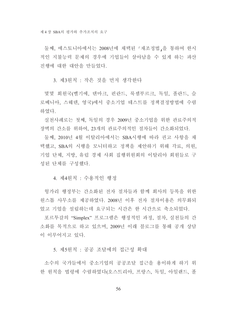둘째. 에스토니아에서는 2008년에 채택된 「재조정법」을 통하여 한시 적인 지불능력 문제의 경우에 기업들이 살아남을 수 있게 하는 파산 진행에 대한 대안을 만들었다.

3. 제3원칙 : 작은 것을 먼저 생각한다

몇몇 회원국(벨기에, 덴마크, 핀란드, 룩셈부르크, 독일, 폴란드, 슬 로베니아, 스웨덴, 영국)에서 중소기업 테스트를 정책결정방법에 수렴 하였다.

실천사례로는 첫째, 독일의 경우 2009년 중소기업을 위한 관료주의적 장벽의 간소를 위하여, 23개의 관료주의적인 절차들이 간소화되었다.

둘째, 2010년 4월 이탈리아에서는 SBA시행에 따라 권고 사항을 채 택했고, SBA의 시행을 모니터하고 정책을 제안하기 위해 각료, 의원, 기업 단체, 지방, 유럽 경제 사회 집행위원회의 이탈리아 회원들로 구 성된 단체를 구성했다.

4 제4워칙 : 수용적인 행정

헝가리 행정부는 간소화된 전자 절차들과 함께 회사의 등록을 위한 워스톱 사무소를 제공하였다. 2008년 이후 전자 절차이용은 의무화되 었고 기업을 설립하는데 요구되는 시간은 한 시간으로 축소되었다.

포르투갈의 "Simplex"프로그램은 행정적인 과정, 절차, 실천들의 간 소화를 목적으로 하고 있으며, 2009년 이래 블로그를 통해 공개 상담 이 이루어지고 있다.

5. 제5워칙 : 공공 조달에의 접근성 확대

소수의 국가들에서 중소기업의 공공조달 접근을 용이하게 하기 위 한 원칙을 법령에 수렴하였다(오스트리아, 프랑스, 독일, 아일랜드, 폴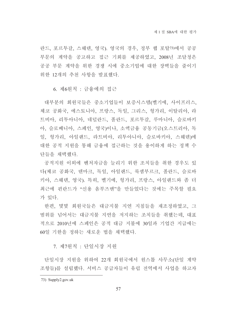란드, 포르투갈, 스웨덴, 영국), 영국의 경우, 정부 웹 포탈73)에서 공공 부문의 계약을 공고하고 접근 기회를 제공하였고, 2008년 조달청은 공공 부문 계약을 위한 경쟁 시에 중소기업에 대한 장벽들을 줄이기 위한 12개의 추천 사항을 발표했다.

6. 제6원칙 : 금융에의 접근

대부분의 회원국들은 중소기업들이 보증시스템(벨기에, 사이프러스, 체코 공화국, 에스토니아, 프랑스, 독일, 그리스, 헝가리, 이탈리아, 라 트비아, 리투아니아, 네덜란드, 폴란드, 포르투갈, 루마니아, 슬로바키 아, 슬로베니아, 스페인, 영국)이나, 소액금융 공동기금(오스트리아, 독 일, 헝가리, 아일랜드, 라트비아, 리투아니아, 슬로바키아, 스웨덴)에 대한 공적 지워을 통해 금융에 접근하는 것을 용이하게 하는 정책 수 다들을 채택했다.

공적지워 이외에 벤처자금을 늘리기 위한 조치들을 취한 경우도 있 다(체코 공화국, 덴마크, 독일, 아일랜드, 룩셈부르크, 폴란드, 슬로바 키아, 스웨덴, 영국). 특히, 벨기에, 헝가리, 프랑스, 아일랜드와 좀 더 최근에 핀란드가 "신용 옴부즈맨"을 만들었다는 것에는 주목할 필요 가 있다.

한편, 몇몇 회원국들은 대금지불 지연 지침들을 재조정하였고, 그 범위를 넘어서는 대금지불 지연을 저지하는 조치들을 취했는데, 대표 적으로 2010년에 스페인은 공적 대금 지불에 30일과 기업간 지급에는 60일 기한을 정하는 새로운 법을 채택했다.

7. 제7원칙 : 단일시장 지워

단일시장 지원을 위하여 22개 회원국에서 원스톱 사무소(단일 계약 조항들)를 설립했다. 서비스 공급자들이 유럽 전역에서 사업을 하고자

<sup>73)</sup> Supply2.gov.uk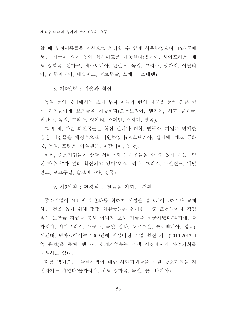할 때 행정서류들을 전산으로 처리할 수 있게 허용하였으며 15개국에 서는 자국어 외에 영어 웹사이트를 제공한다(벨기에, 사이프러스, 체 코 공화국, 덴마크, 에스토니아, 핀란드, 독일, 그리스, 헝가리, 이탈리 아, 리투아니아, 네덜란드, 포르투갈, 스페인, 스웨덴).

8. 제8원칙 : 기술과 혁신

독일 등의 국가에서는 초기 투자 자금과 벤처 자금을 통해 젊은 혁 신 기업들에게 보조금을 제공한다(오스트리아, 벨기에, 체코 공화국, 핀란드, 독일, 그리스, 헝가리, 스페인, 스웨덴, 영국).

그 밖에, 다른 회원국들은 혁신 센터나 대학, 연구소, 기업과 연계한 경쟁 거점들을 재정적으로 지원하였다(오스트리아, 벨기에, 체코 공화 국, 독일, 프랑스, 아일랜드, 이탈리아, 영국).

한편, 중소기업들이 상담 서비스와 노하우들을 살 수 있게 하는 "혁 신 바우처"가 널리 확산되고 있다(오스트리아, 그리스, 아일랜드, 네덜 란드, 포르투갈, 슬로베니아, 영국).

9. 제9워칙 : 화경적 도전들을 기회로 전화

중소기업이 에너지 효율화를 위하여 시설을 업그레이드하거나 교체 하는 것을 돕기 위해 몇몇 회원국들은 유리한 대출 조건들이나 직접 적인 보조금 지급을 통해 에너지 효용 기금을 제공하였다(벨기에, 불 가리아, 사이프러스, 프랑스, 독일 말타, 포르투갈, 슬로베니아, 영국). 예컨대. 덴마크에서는 2009년에 만들어진 기업 혁신 기금(2010-2012 1 억 유로)을 통해, 덴마크 경제기업부는 녹색 시장에서의 사업기회를 지워하고 있다.

다른 방법으로, 녹색시장에 대한 사업기회들을 개발 중소기업을 지 원하기도 하였다(불가리아, 체코 공화국, 독일, 슬로바키아).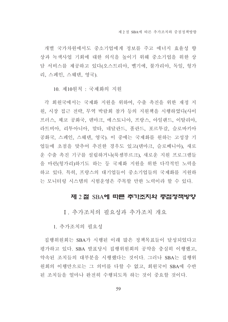개별 국가차워에서도 중소기업에게 정보를 주고 에너지 효율성 향 상과 녹색사업 기회에 대한 의식을 높이기 위해 중소기업을 위한 상 담 서비스를 제공하고 있다(오스트리아, 벨기에, 불가리아, 독일, 헝가 리, 스페인, 스웨덴, 영국).

10. 제10워칙 : 국제화의 지워

각 회원국에서는 국제화 지원을 위하여, 수출 촉진을 위한 재정 지 원, 시장 접근 전략, 무역 박람회 참가 등의 지원책을 시행하였다(사이 프러스, 체코 공화국, 덴마크, 에스토니아, 프랑스, 아일랜드, 이탈리아, 라트비아, 리투아니아, 말타, 네달란드, 폴란드, 포르투갈, 슬로바키아 공화국, 스페인, 스웨덴, 영국). 이 중에는 국제화를 원하는 고성장 기 업들에 초점을 맞추어 추진한 경우도 있고(덴마크, 슬로베니아), 새로 운 수출 촉진 기구를 설립하거나(룩셈부르크), 새로운 지원 프로그램들 을 마련(헝가리)하기도 하는 등 국제화 지원을 위한 다각적인 노력을 하고 있다. 특히, 프랑스의 대기업들이 중소기업들의 국제화를 지원하 는 모니터링 시스템의 시험운영은 주목할 만한 노력이라 할 수 있다.

### 제 2 절 SBA에 따른 추가조치와 중점정책방향

I. 추가조치의 필요성과 추가조치 개요

1. 추가조치의 필요성

집행위원회는 SBA가 시행된 이래 많은 정책목표들이 달성되었다고 평가하고 있다. SBA 발표당시 집행위원회의 공약을 충실히 이행했고, 약속된 조치들의 대부분을 시행했다는 것이다. 그러나 SBA는 집행위 워회의 이행만으로는 그 의미를 다할 수 없고, 회원국이 SBA에 수반 된 조치들을 얼마나 완전히 수행되도록 하는 것이 중요할 것이다.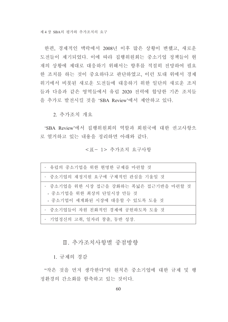한편, 경제적인 맥락에서 2008년 이후 많은 상황이 변했고, 새로운 도전들이 제기되었다. 이에 따라 집행위원회는 중소기업 정책들이 현 재의 상황에 제대로 대응하기 위해서는 향후를 적절히 전망하여 필요 한 조치를 하는 것이 중요하다고 판단하였고, 이런 토대 위에서 경제 위기에서 비롯된 새로운 도전들에 대응하기 위한 일단의 새로운 조치 들과 다음과 같은 영역들에서 유럽 2020 전력에 합당한 기존 조치들 을 추가로 발전시킬 것을 'SBA Review'에서 제안하고 있다.

2. 추가조치 개요

'SBA Review'에서 집행위워회의 역할과 회워국에 대한 권고사항으 로 열거하고 있는 내용을 정리하면 아래와 같다.

#### <표- 1> 추가조치 요구사항

| ㆍ 유럽의 중소기업을 위한 현명한 규제를 마련할 것                                                                          |
|-------------------------------------------------------------------------------------------------------|
| ㆍ 중소기업의 재정지원 요구에 구체적인 관심을 기울일 것                                                                       |
| • 중소기업을 위한 시장 접근을 강화하는 폭넓은 접근기반을 마련할 것<br>- 중소기업을 위한 최상의 단일시장 만들 것<br>- 중소기업이 세계화된 시장에 대응할 수 있도록 도울 것 |
| • 중소기업들이 자원 친화적인 경제에 공헌하도록 도울 것                                                                       |
| • 기업정신의 고취, 일자리 창출, 동반 성장.                                                                            |

# Ⅱ. 추가조치사항별 중점방향

1. 규제의 경감

"작은 것을 먼저 생각하다"의 워칙은 중소기업에 대한 규제 및 행 정화경의 간소화를 함축하고 있는 것이다.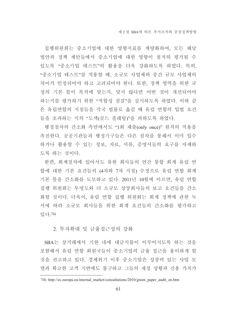집행위원회는 중소기업에 대한 영향지표를 계량화하여, 모든 해당 법안과 정책 제안들에서 중소기업에 대한 영향이 철저히 평가될 수 있도록 "중소기업 테스트"의 활용을 더욱 강화하도록 하였다. 특히, "중소기업 테스트"를 적용할 때, 소규모 사업체와 중간 규모 사업체의 차이가 인정되어야 하고 고려되어야 한다. 또한, 정책 영역을 위한 규 정의 기본 틀이 목적에 맞는지, 맞지 않다면 어떤 것이 개선되어야 하는지를 평가하기 위한 "적합성 점검"을 실시하도록 하였다. 이와 같 은 유럽연합의 지침들을 각국 법률로 옮길 때 유럽 연합의 입법 요건 들을 초과하는 식의 "도색(골드 플래팅)"을 피하도록 하였다.

행정절차의 간소화 측면에서도 "1회 제출(only once)" 원칙의 적용을 촉진한다. 공공기관들과 행정기구들은 다른 절차를 통해서 이미 입수 하거나 활용할 수 있는 정보, 자료, 서류, 증명서들의 요구를 자제하 도록 하는 것이다.

한편, 회계절차에 있어서도 유한 회사들의 연간 통합 회계 유럽 연 합에 대한 기본 요건들의 (4차와 7차 지침) 수정으로 유럽 연합 회계 기본 틀을 간소화를 도모하고 있다. 2011년 10월에 이르면, 유럽 연합 집행 위원회는 투명도와 더 소규모 상장회사들의 보고 요건들을 간소 화할 것이다. 더욱이, 유럽 연합 집행 위원회는 회계 정책에 관한 녹 서에 따라 소규모 회사들을 위한 회계 요건들의 간소화를 평가하고 있다.74)

#### 2. 투자확대 및 금융접근성의 강화

SBA는 상거래에서 기한 내에 대금지불이 이루어지도록 하는 것을 포함해서 유럽 연합 회원국들이 중소기업의 금융 접근을 용이하게 할 것을 권고하고 있다. 경제위기 이후 중소기업은 성장력 있는 사업 모 델과 확고한 고객 기반에도 불구하고 그들의 재정 상황과 신용 가치가

<sup>74)</sup> http://ec.europa.eu/internal market/consultations/2010/green paper audit en.htm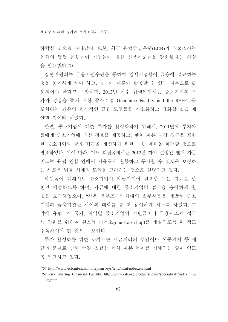하락한 것으로 나타났다. 또한, 최근 유럽중앙은행(ECB)의 대출조사는 유럽의 몇몇 은행들이 기업들에 대한 신용기주들을 강화했다는 사실 을 발표했다. 75)

집행위원회는 금융지원수단을 통하여 영세기업들이 금융에 접근하는 것을 용이하게 해야 하고, 동시에 대출에 활용할 수 있는 자본으로 활 용되어야 한다고 주장하며, 2013년 이후 집행위원회는 중소기업의 투 자와 성장을 돕기 위한 중소기업 Guarantee Facility and the RSFF76)를 포함하는 기존의 혁신적인 금융 도구들을 간소화하고 강화할 것을 제 안할 것이라 하였다.

한편, 중소기업에 대한 투자를 활성화하기 위해서, 2011년에 투자자 들에게 중소기업에 대한 정보를 제공하고, 벤처 자본 시장 접근을 포함 한 중소기업의 금융 접근을 개선하기 위한 시행 계획을 채택할 것으로 발표하였다. 이에 따라, 어느 회원국에서든 2012년 까지 설립된 벤처 자본 펀드는 유럽 연합 안에서 자유롭게 활동하고 투자할 수 있도록 보장하 는 새로운 법률 체계의 도입을 고려하는 것으로 설명하고 있다.

회원국에 대해서도 중소기업이 자금지워에 필요한 모든 자료를 한 번만 제출하도록 하여, 자금에 대한 중소기업의 접근을 용이하게 할 것을 요구하였으며. "신용 옴부즈맨" 형태의 솔루션들을 개발해 중소 기업과 금융기관들 사이의 대화를 좀 더 용이하게 하도록 하였다. 그 밖에 유럽, 각 국가, 지역별 중소기업의 지원금이나 금융시스템 접근 성 강화를 위하여 원스톱 사무소(one-stop shop)를 개설하도록 한 점도 주목하여야 할 것으로 보인다.

투자 활성화를 위한 조치로는 세금처리의 부담이나 이중과제 등 세 금의 문제로 인해 국경 초월한 벤처 자본 투자를 저해하는 일이 없도 록 권고하고 있다.

<sup>75)</sup> http://www.ecb.int/stats/money/surveys/lend/html/index.en.html

<sup>76)</sup> Risk Sharing Financial Facility, http://www.eib.org/products/loans/special/rsff/index.htm? lang=en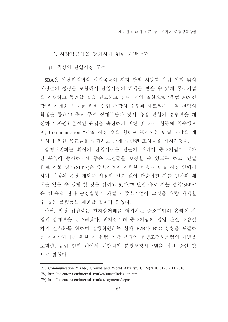3. 시장접근성을 강화하기 위한 기반구축

(1) 최상의 단일시장 구축

SBA은 집행위원회와 회원국들이 전자 단일 시장과 유럽 연합 밖의 시장들의 성장을 포함해서 단일시장의 혜택을 받을 수 있게 중소기업 을 지원하고 독려할 것을 권고하고 있다. 이의 일환으로 '유럽 2020전 략'은 세계화 시대를 위한 산업 전략의 수립과 새로워진 무역 전략의 확립을 통해77) 주요 무역 상대국들과 맞서 유럽 연합의 경쟁력을 개 선하고 자원효율적인 유럽을 촉진하기 위한 몇 가지 활동에 착수했으 며. Communication "단일 시장 법을 향하여"78)에서는 단일 시장을 개 선하기 위한 목표들을 수립하고 그에 수반된 조치들을 제시하였다.

집행위워회는 최상의 단일시장을 만들기 위하여 중소기업이 국가 간 무역에 종사하기에 좋은 조건들을 보장할 수 있도록 하고, 단일 유로 지불 영역(SEPA)은 중소기업이 저렴한 비용과 단일 시장 안에서 하나 이상의 은행 계좌를 사용할 필요 없이 단순화된 지불 절차의 혜 택을 얻을 수 있게 할 것을 밝히고 있다.79) 단일 유로 지불 영역(SEPA) 은 범-유럽 전자 송장발행의 개발과 중소기업이 그것을 대량 채택할 수 있는 플랫폼을 제공할 것이라 하였다.

한편, 집행 위원회는 전자상거래를 영위하는 중소기업의 온라인 사 업의 잠재력을 강조해왔다. 전자상거래 중소기업의 영업 관련 소송절 차의 간소화를 위하여 집행위원회는 현재 B2B와 B2C 상황을 포괄하 는 전자상거래를 위한 전 유럽 연합 온라인 분쟁조정시스템의 개발을 포함한, 유럽 연합 내에서 대안적인 분쟁조정시스템을 마련 중인 것 으로 밝혔다.

<sup>77)</sup> Communication "Trade, Growht and World Affairs", COM(2010)612, 9.11.2010

<sup>78)</sup> http://ec.europa.eu/internal market/smact/index en.htm

<sup>79)</sup> http://ec.europa.eu/internal market/payments/sepa/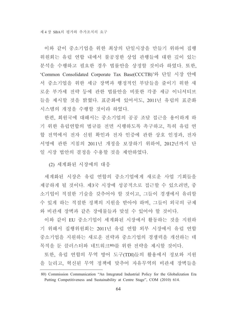이와 같이 중소기업을 위한 최상의 단일시장을 만들기 위하여 집행 위원회는 유럽 연합 내에서 불공정한 상업 관행들에 대한 깊이 있는 분석을 수행하고 필요한 경우 법률안을 상정할 것이라 하였다. 또한, 'Common Consolidated Corporate Tax Base(CCCTB)'와 단일 시장 안에 서 중소기업을 위한 세금 장벽과 행정적인 부담들을 줄이기 위한 새 로운 부가세 전략 등에 관한 법률안을 비롯한 각종 세금 이니셔티브 들을 제시할 것을 밝혔다. 표준화에 있어서도, 2011년 유럽의 표준화 시스템의 개정을 수행할 것이라 하였다.

한편, 회원국에 대해서는 중소기업의 공공 조달 접근을 용이하게 하 기 위한 유럽연합의 법규를 전면 시행하도록 촉구하고, 특히 유럽 연 합 전역에서 전자 신원 확인과 전자 인증에 관한 상호 인정과, 전자 서명에 관한 지침의 2011년 개정을 보장하기 위하여, 2012년까지 단 일 시장 법안의 결정을 수용할 것을 제안하였다.

(2) 세계화된 시장에의 대응

세계화된 시장은 유럽 연합의 중소기업에게 새로운 사업 기회들을 제공하게 될 것이다. 제3국 시장에 성공적으로 접근할 수 있으려면, 중 소기업이 적절한 기술을 갖추어야 할 것이고, 그들이 경쟁에서 유리할 수 있게 하는 적절한 정책의 지원을 받아야 하며, 그들이 외국의 규제 와 비관세 장벽과 같은 장애물들과 맞설 수 있어야 할 것이다.

이와 같이 EU 중소기업이 세계화된 시장에서 활동하는 것을 지원하 기 위해서 집행위원회는 2011년 유럽 연합 외부 시장에서 유럽 연합 중소기업을 지원하는 새로운 전략과 중소기업의 경쟁력을 개선하는 데 목적을 둔 클러스터와 네트워크80를 위한 전략을 제시할 것이다.

또한, 유럽 연합의 무역 방어 도구(TDI)들의 활용에서 정보와 지원 을 늘리고, 혁신된 무역 정책에 맞추어 자유무역의 비관세 장벽들을

<sup>80)</sup> Commission Communication "An Integrated Industrial Policy for the Globalization Era Putting Competitiveness and Sustainability at Centre Stage", COM (2010) 614.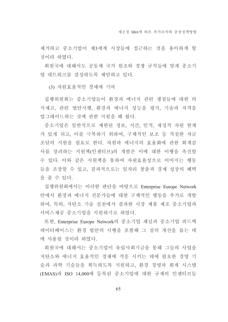제거하고 중소기업이 제3세계 시장들에 접근하는 것을 용이하게 할 것이라 하였다.

회원국에 대해서도 공동체 국가 원조와 경쟁 규칙들에 맞게 중소기 업 네트워크를 결성하도록 제안하고 있다.

(3) 자워효율적인 경제에 기여

집행위원회는 중소기업들이 환경과 에너지 관련 쟁점들에 대한 의 식제고, 관련 법안시행, 환경과 에너지 성능을 평가, 기술과 자격을 업그레이드하는 것에 관한 지워을 해 왔다.

중소기업은 일반적으로 제한된 정보, 시간, 인적, 재정적 자원 한계 가 있게 되고, 이를 극복하기 위하여, 구체적인 보조 등 적절한 자금 조달의 지원을 필요로 한다. 자원과 에너지의 효율화에 관한 회계감 사를 장려하는 지원책(인센티브)의 개발은 이에 대한 이행을 촉진할 수 있다. 이와 같은 지원책을 통하여 자원효율성으로 이어지는 행동 들을 조장할 수 있고, 결과적으로는 일자리 창출과 경제 성장의 혜택 을 줄 수 있다.

집행위원회에서는 이러한 판단을 바탕으로 Enterprise Europe Network 안에서 환경과 에너지 전문가들에 대한 구체적인 행동을 추가로 개발 하여, 특히, 저탄소 기술 실천에서 결과한 시장 제품 제조 중소기업과 서비스제공 중소기업을 지원하기로 하였다.

또한, Enterprise Europe Network의 중소기업 패널과 중소기업 피드백 데이터베이스는 화경 법안의 시행을 포함해 그 질의 개선을 돕는 데 에 사용될 것이라 하였다.

회원국에 대해서는 중소기업이 유럽사회기금을 통해 그들의 사업을 저탄소와 에너지 효율적인 경제에 적응 시키는 데에 필요한 경영 기 술과 과학 기술들을 획득하도록 지원하고, 환경 경영과 회계 시스템 (EMAS)과 ISO 14,000에 등록된 중소기업에 대한 규제의 인센티브들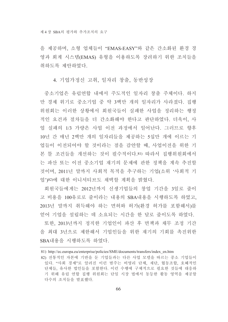을 제공하며, 소형 업체들이 "EMAS-EASY"와 같은 간소화된 환경 경 영과 회계 시스템(EMAS) 유형을 이용하도록 장려하기 위한 조치들을 취하도록 제안하였다.

#### 4. 기업가정신 고취, 일자리 창출, 동반성장

중소기업은 유럽연합 내에서 주도적인 일자리 창출 주체이다. 하지 만 경제 위기로 중소기업 중 약 3백만 개의 일자리가 사라졌다. 집행 위워회는 이러한 상황에서 회워국들이 실패한 사업을 정리하는 행정 적인 요건과 절차들을 더 간소화해야 한다고 판단하였다. 더욱이. 사 업 실패의 1/3 가량은 사업 이전 과정에서 일어난다. 그러므로 향후 10년 간 매년 2백만 개의 일자리들을 제공하는 5십만 개에 이르는 기 업들이 이전되어야 할 것이라는 점을 감아할 때, 사업이전을 위한 기 본 틀 조건들을 개선하는 것이 필수적이다.81) 따라서 집행위워회에서 는 파산 또는 이전 중소기업 재기의 문제에 관한 정책을 계속 추진할 것이며, 2011년 말까지 사회적 목적을 추구하는 기업(소위 '사회적 기 업')82)에 대한 이니셔티브도 채택할 계획을 밝혔다.

회원국들에게는 2012년까지 신생기업들의 창업 기간을 3일로 줄이 고 비용을 100유로로 줄이라는 내용의 SBA내용을 시행하도록 하였고. 2013년 말까지 취득해야 하는 면허와 허가(환경 허가를 포함해서)를 얻어 기업을 설립하는 데 소요되는 시간을 한 달로 줄이도록 하였다.

또한, 2013년까지 정직한 기업인이 파산 후 면책과 채무 조정 기간 을 최대 3년으로 제한해서 기업인들을 위한 재기의 기회를 촉진위한 SBA내용을 시행하도록 하였다.

<sup>81)</sup> http://ec.europa.eu/enterprise/policies/SME/documents/transfers/index en.htm

<sup>82)</sup> 전통적인 자본에 기반을 둔 기업들과는 다른 사업 모델을 따르는 중소 기업들이 있다. "사회 경제"로 알려진 이런 범주는 비영리 단체, 재단, 협동조합, 호혜적인 단체들, 유사한 법인들을 포함한다. 이런 수행에 구체적으로 필요한 것들에 대응하 기 위해 유럽 연합 집행 위원회는 단일 시장 법에서 동등한 활동 영역을 제공할 다수의 조치들을 발표했다.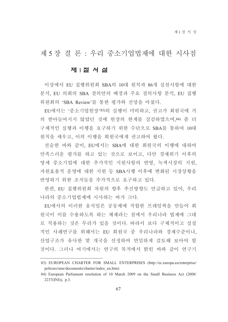제 5장결론 : 우리 중소기업법제에 대한 시사점

# 제 1절 서 설

이상에서 EU 집행위원회 SBA의 10대 원칙과 86개 실천사항에 대한 분석, EU 의회의 SBA 결의안의 배경과 주요 결의사항 분석, EU 집행 위원회의 'SBA Review'를 통한 평가와 전망을 마쳤다.

EU에서는 '중소기업헌장'83)의 실행이 미비하고, 권고가 회워국에 거 의 받아들여지지 않았던 것에 헌장의 한계를 실감하였으며, 84) 좀 더 구체적인 실행과 이행을 요구하기 위한 수단으로 SBA를 통하여 10대 원칙을 세우고, 이의 이행을 회원국에게 권고하여 왔다.

전술한 바와 같이. EU에서는 SBA에 대한 회워국의 이행에 대하여 만족스러운 평가를 하고 있는 것으로 보이고, 다만 경제위기 이후의 영세 중소기업에 대한 추가적인 지원사항의 반영, 녹색시장의 지원, 자원효율적 운영에 대한 지원 등 SBA시행 이후에 변화된 시장상황을 반영하기 위한 조치들을 추가적으로 요구하고 있다.

한편, EU 집행위원회 차원의 향후 추진방향도 언급하고 있어, 우리 나라의 중소기업법제에 시사하는 바가 크다.

EU에서의 이러한 움직임은 공동체에 적합한 프레임웍을 만들어 회 원국이 이를 수용하도록 하는 체제라는 점에서 우리나라 법제에 그대 로 적용하는 것은 무리가 있을 것이다. 따라서 보다 구체적이고 실질 적인 사례연구를 위해서는 EU 회원국 중 우리나라와 경제수준이나. 산업구조가 유사한 몇 개국을 선정하여 면밀하게 검토해 보아야 할 것이다. 그러나 여기에서는 연구의 목적에서 밝힌 바와 같이 연구기

<sup>83)</sup> EUROPEAN CHARTER FOR SMALL ENTERPRISES (http://ec.europa.eu/enterprise/ policies/sme/documents/charter/index en.htm)

<sup>84)</sup> European Parliament resolution of 10 March 2009 on the Small Business Act (2008/  $2237$ (INI)), p.3.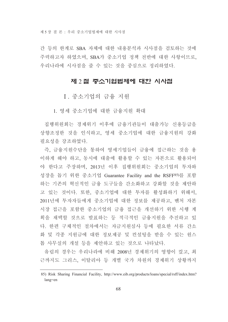제 5장 결 론 · 우리 중소기업법제에 대한 시사점

간 등의 한계로 SBA 자체에 대한 내용분석과 시사점을 검토하는 것에 주력하고자 하였으며, SBA가 중소기업 정책 전반에 대한 사항이므로, 우리나라에 시사점을 줄 수 있는 것을 중심으로 정리하였다.

### 제 2 절 중소기업법제에 대한 시사점

I. 중소기업의 금융 지워

1. 영세 중소기업에 대한 금융지워 확대

집행위원회는 경제위기 이후에 금융기관들이 대출가능 신용등급을 상향조정한 것을 인식하고, 영세 중소기업에 대한 금융지워의 강화 필요성을 강조하였다.

즉, 금융지원수단을 통하여 영세기업들이 금융에 접근하는 것을 용 이하게 해야 하고, 동시에 대출에 활용할 수 있는 자본으로 활용되어 야 한다고 주장하며, 2013년 이후 집행위원회는 중소기업의 투자와 성장을 돕기 위한 중소기업 Guarantee Facility and the RSFF85)를 포함 하는 기존의 혁신적인 금융 도구들을 간소화하고 강화할 것을 제안하 고 있는 것이다. 또한, 중소기업에 대한 투자를 활성화하기 위해서, 2011년에 투자자들에게 중소기업에 대한 정보를 제공하고, 벤처 자본 시장 접근을 포함한 중소기업의 금융 접근을 개선하기 위한 시행 계 획을 채택할 것으로 발표하는 등 적극적인 금융지원을 추진하고 있 다. 한편 구체적인 절차에서는 자금지워심사 등에 필요한 서류 간소 화 및 각종 지원금에 대한 정보제공 및 컨설팅을 받을 수 있는 원스 톱 사무실의 개설 등을 제안하고 있는 것으로 나타났다.

유럽의 경우는 우리나라에 비해 2008년 경제위기의 영향이 컸고, 최 근까지도 그리스, 이탈리아 등 개별 국가 차원의 경제위기 상황까지

<sup>85)</sup> Risk Sharing Financial Facility, http://www.eib.org/products/loans/special/rsff/index.htm?  $lang = en$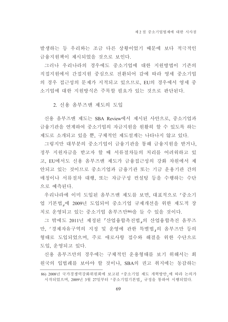발생하는 등 우리와는 조금 다른 상황이었기 때문에 보다 적극적인 금융지원책이 제시되었을 것으로 보인다.

그러나 우리나라의 경우에도 중소기업에 대한 지원방법이 기존의 직접지원에서 간접지원 중심으로 전환되어 감에 따라 영세 중소기업 의 경우 접근성의 문제가 지적되고 있으므로, EU의 경우에서 영세 중 소기업에 대한 지워방식은 주목할 필요가 있는 것으로 판단된다.

2. 신용 옴부즈맨 제도의 도입

신용 옴부즈맨 제도는 SBA Review에서 제시된 사안으로, 중소기업과 금융기관을 연계하여 중소기업의 자금지워을 원활히 할 수 있도록 하는 제도로 소개되고 있을 뿐, 구체적인 제도설계는 나타나지 않고 있다.

그렇지만 대부분의 중소기업이 금융기관을 통해 금융지원을 받거나, 정부 지원자금을 받고자 할 때 서류절차들의 처리를 어려워하고 있 고, EU에서도 신용 옴부즈맨 제도가 금융접근성의 강화 차원에서 제 안되고 있는 것이므로 중소기업과 금융기관 또는 기금 운용기관 간의 매칭이나 서류절차 대행, 또는 자금구성 컨설팅 등을 수행하는 수단 으로 예측되다.

우리나라에 이미 도입된 옴부즈맨 제도를 보면, 대표적으로 「중소기 업 기본법」에 2009년 도입되어 중소기업 규제개선을 위한 제도적 장 치로 운영되고 있는 중소기업 옴부즈만80을 들 수 있을 것이다.

그 밖에도 2011년 제정된 「산업융합촉진법」의 산업융합촉진 옴부즈 만, 「경제자유구역의 지정 및 운영에 관한 특별법」의 옴부즈만 등의 형태로 도입되었으며, 주로 애로사항 접수와 해결을 위한 수단으로 도입, 운영되고 있다.

신용 옴부즈만의 경우에는 구체적인 운용형태를 보기 위해서는 회 워국의 입법례를 보아야 할 것이나, SBA의 권고 취지에는 동감하는

<sup>86) 2008</sup>년 국가경쟁력강화위원회에 보고된 「중소기업 제도 개혁방안」에 따라 논의가 시작되었으며, 2009년 3월 27일부터 「중소기업기본법」 규정을 통하여 시행되었다.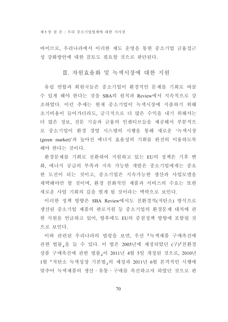제 5장 결 론 · 우리 중소기업법제에 대한 시사점

바이므로, 우리나라에서 이러한 제도 운영을 통한 중소기업 금융접근 성 강화방안에 대한 검토도 필요할 것으로 판단된다.

### Ⅱ. 자원효율화 및 녹색시장에 대한 지원

유럽 연합과 회원국들은 중소기업이 환경적인 문제를 기회로 바꿀 수 있게 해야 한다는 것을 SBA의 워칙과 Review에서 지속적으로 강 조하였다. 이런 추세는 현재 중소기업이 녹색시장에 지출하기 위해 초기비용이 들어가더라도, 궁극적으로 더 많은 수익을 내기 위해서는 더 많은 정보, 전문 기술과 금융의 인센티브들을 제공해서 부분적으 로 중소기업이 환경 경영 시스템의 시행을 통해 새로운 '녹색시장 (green market)'과 높아진 에너지 효율성의 기회를 완전히 이용하도록 해야 한다는 것이다.

환경문제를 기회로 전환하여 지원하고 있는 EU의 정책은 기후 변 화, 에너지 공급의 부족과 지속 가능한 개발은 중소기업에게는 중요 한 도전이 되는 것이고, 중소기업은 지속가능한 생산과 사업모델을 채택해야만 할 것이며, 환경 친화적인 제품과 서비스의 수요는 또한 새로운 사업 기회의 길을 열게 될 것이라는 맥락으로 보인다.

이러한 정책 방향은 SBA Review에서도 친환경적(저탄소) 방식으로 생산된 중소기업 제품의 판로지원 등 중소기업의 환경문제 대처에 관 한 지워을 언급하고 있어. 향후에도 EU의 중점정책 방향에 포함될 것 으로 보인다.

이와 관련된 우리나라의 법령을 보면, 우선 「녹색제품 구매촉진에 관한 법률,을 들 수 있다. 이 법은 2005년에 제정되었던 (구)「친환경 상품 구매촉진에 관한 법률 이 2011년 4월 5일 개정된 것으로, 2010년 1월 『저탄소 녹색성장 기본법』의 제정과 2011년 6월 본격적인 시행에 맞추어 녹색제품의 생산·유통·구매를 촉진하고자 하였던 것으로 판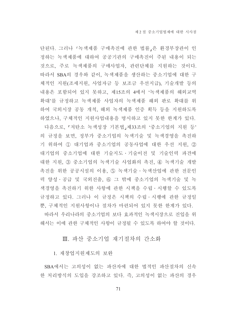단된다. 그러나 「녹색제품 구매촉진에 관한 법률」은 환경부장관이 인 정하는 녹색제품에 대하여 공공기관의 구매촉진이 주된 내용이 되는 것으로, 주로 녹색제품의 구매사업자, 관련단체를 지원하는 것이다. 따라서 SBA의 경우와 같이, 녹색제품을 생산하는 중소기업에 대한 구 체적인 지원(조세지원, 사업자금 등 보조금 우선지급), 기술개발 등의 내용은 포함되어 있지 못하고, 제15조의 4에서 '녹색제품의 해외교역 확대'를 규정하고 녹색제품 사업자의 녹색제품 해외 판로 확대를 위 하여 국외시장 공동 개척, 해외 녹색제품 인증 획득 등을 지원하도록 하였으나, 구체적인 지원사업내용을 명시하고 있지 못한 한계가 있다. 다음으로, 『저탄소 녹색성장 기본법』제33조의 '중소기업의 지원 등' 의 규정을 보면, 정부가 중소기업의 녹색기술 및 녹색경영을 촉진하 기 위하여 ① 대기업과 중소기업의 공동사업에 대한 우선 지원, ② 대기업의 중소기업에 대한 기술지도·기술이전 및 기술인력 파견에 대한 지원, ③ 중소기업의 녹색기술 사업화의 촉진, ④ 녹색기술 개발 촉진을 위한 공공시설의 이용, ⑤ 녹색기술·녹색산업에 관한 전문인 력 양성·공급 및 국외진출, ⑥ 그 밖에 중소기업의 녹색기술 및 녹 색경영을 촉진하기 위한 사항에 관한 시책을 수립ㆍ시행할 수 있도록 규정하고 있다. 그러나 이 규정은 시책의 수립 시행에 관한 규정일 뿐, 구체적인 지워사항이나 절차가 마련되어 있지 못한 한계가 있다.

따라서 우리나라의 중소기업의 보다 효과적인 녹색시장으로 진입을 위 해서는 이에 관한 구체적인 사항이 규정될 수 있도록 하여야 할 것이다.

## Ⅲ. 파산 중소기업 재기절차의 간소화

1. 재창업지원제도의 보완

SBA에서는 고의성이 없는 파산자에 대한 법적인 파산절차의 신속 한 처리방식의 도입을 강조하고 있다. 즉, 고의성이 없는 파산의 경우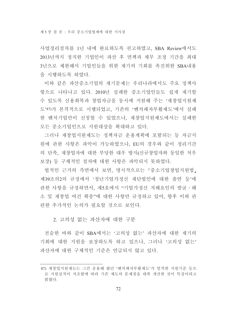사업정리절차를 1년 내에 완료하도록 권고하였고, SBA Review에서도 2013년까지 정직한 기업인이 파산 후 면책과 채무 조정 기간을 최대 3년으로 제한해서 기업인들을 위한 재기의 기회를 촉진위한 SBA내용 을 시행하도록 하였다.

이와 같은 파산중소기업의 재기문제는 우리나라에서도 주요 정책사 항으로 나타나고 있다. 2010년 실패한 중소기업인들도 쉽게 재기할 수 있도록 신용회복과 창업자금을 동시에 지원해 주는 '재창업지원제 도'87)가 본격적으로 시행되었고, 기존의 '벤처패자부활제도'에서 실패 한 벤처기업만이 신청할 수 있었으나, 재창업지원제도에서는 실패한 모든 중소기업인으로 지원대상을 확대하고 있다.

그러나 재창업지원제도는 정책자금 운용계획에 포함되는 등 자금지 원에 관한 사항은 파악이 가능하였으나, EU의 경우와 같이 정리기간 의 단축, 재창업자에 대한 부당한 대우 방지(신규창업자와 동일한 처우 보장) 등 구체적인 절차에 대한 사항은 파악되지 못하였다.

법적인 근거의 측면에서 보면, 명시적으로는 「중소기업창업지원법, 제39조의2의 규정에서 '청년기업가정신 재단법인에 대한 출연 등'에 관한 사항을 규정하면서, 제5호에서 "기업가정신 저해요인의 발굴ㆍ해 소 및 재창업 여건 확충"에 대한 사항만 규정하고 있어, 향후 이와 관 련한 추가적인 논의가 필요할 것으로 보인다.

#### 2. 고의성 없는 파산자에 대한 구분

전술한 바와 같이 SBA에서는 '고의성 없는' 파산자에 대한 재기의 기회에 대한 지원을 보장하도록 하고 있으나, 그러나 '고의성 없는' 파산자에 대한 구체적인 기준은 언급되지 않고 있다.

<sup>87)</sup> 재창업지원제도는 그간 운용해 왔던 '벤처패자부활제도'가 엄격한 지원기준 등으 로 지워실적이 저조함에 따라 기존 제도의 문제점을 대폭 개선한 것이 특징이라고 밝혔다.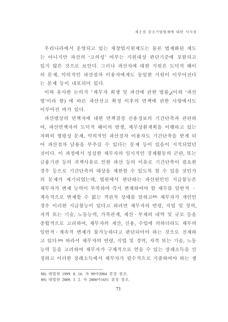우리나라에서 운영되고 있는 재창업지워제도는 물론 법제화된 제도 는 아니지만 파산의 '고의성' 여부는 지원대상 판단기준에 포함되고 있지 않은 것으로 보인다. 그러나 파산자에 대한 지원은 도덕적 해이 의 문제, 악의적인 파산절차 이용자에게도 동일한 지원이 이루어진다 는 문제 등이 내포되어 있다.

이와 유사한 논의가 「채무자 회생 및 파산에 관한 법률」(이하'파산 법'이라 함) 에 따른 파산선고 확정 이후의 면책에 관한 사항에서도 이루어진 바가 있다.

파산법상의 면책자에 대한 면책결정 신용정보의 기간단축과 관련하 여, 파산면책자의 도덕적 해이의 발생, 채무상환계획을 이행하고 있는 자와의 형평성 문제, 악의적인 파산절차 이용자도 기간단축을 받게 되 어 파산절차 남용을 부추길 수 있다는 문제 등이 있음이 지적되었던 것이다. 이 과정에서 성실한 채무자의 일시적인 경제활동의 곤란, 또는 금융기관 등의 귀책사유로 인한 파산 등의 이유로 기간단축이 필요한 경우 등으로 기간단축의 대상을 제한할 수 있도록 할 수 있을 것인가 의 문제가 제기되었는데. 법원에서 판단하는 파산원인인 지급불능은 채무자가 변제 능력이 부족하여 즉시 변제하여야 할 채무를 일반적 • 계속적으로 변제할 수 없는 객관적 상태를 말하고88) 채무자가 개인인 경우 이러한 지급불능이 있다고 하려면 채무자의 연령, 직업 및 경력, 자격 또는 기술, 노동능력, 가족관계, 재산 · 부채의 내역 및 규모 등을 종합적으로 고려하여, 채무자의 재산, 신용, 수입에 의하더라도 채무의 일반적 • 계속적 변제가 불가능하다고 판단되어야 하는 것으로 저제하 고 있다.89) 따라서 채무자의 연령, 직업 및 경력, 자격 또는 기술, 노동 능력 등을 고려하여 채무자가 구체적으로 얻을 수 있는 장래소득을 산 정하고 이러한 장래소득에서 채무자가 필수적으로 지출하여야 하는 생

<sup>88)</sup> 대법원 1999. 8. 16. 자 99마2084 결정 참조.

<sup>89)</sup> 대법원 2009. 3. 2. 자 2008마1651 결정 참조.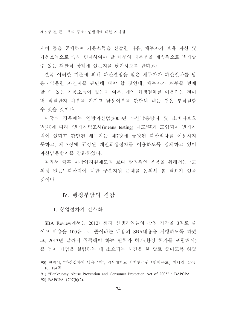계비 등을 공제하여 가용소득을 산출한 다음, 채무자가 보유 자산 및 가용소득으로 즉시 변제하여야 할 채무의 대부분을 계속적으로 변제할 수 있는 객관적 상태에 있는지를 평가하도록 한다.90)

결국 이러한 기준에 의해 파산결정을 받은 채무자가 파산절차를 남 용 • 악용한 자인지를 판단해 내야 할 것인데, 채무자가 채무를 변제 할 수 있는 가용소득이 있는지 여부, 개인 회생절차를 이용하는 것이 더 적절한지 여부를 가지고 남용여부를 판단해 내는 것은 부적절할 수 있을 것이다.

미국의 경우에는 연방파산법(2005년 파산남용방지 및 소비자보호 법)91)에 따라 '변제자력조사(means testing) 제도'92)가 도입되어 변제자 력이 있다고 판단된 채무자는 제7장에 규정된 파산절차를 이용하지 못하고 제13장에 규정된 개인회생절차를 이용하도록 강제하고 있어 파산남용방지를 강화하였다.

따라서 향후 재창업지원제도의 보다 합리적인 운용을 위해서는 '고 의성 없는' 파산자에 대한 구분지원 문제를 논의해 볼 필요가 있을 것이다

# IV. 행정부담의 경감

1. 창업절차의 간소화

SBA Review에서는 2012년까지 신생기업들의 창업 기간을 3일로 줄 이고 비용을 100유로로 줄이라는 내용의 SBA내용을 시행하도록 하였 고, 2013년 말까지 취득해야 하는 면허와 허가(화경 허가를 포함해서) 를 얻어 기업을 설립하는 데 소요되는 시간을 한 달로 줄이도록 하였

<sup>90)</sup> 전병서. "파산절차의 남용규제". 경북대학교 법학연구워 「법학논고」제31집. 2009. 10, 184쪽.

<sup>91) &</sup>quot;Bankruptcy Abuse Prevention and Consumer Protection Act of 2005": BAPCPA

<sup>92)</sup> BAPCPA §707(b)(2).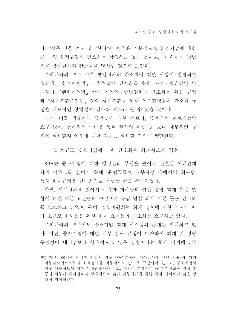다. "작은 것을 먼저 생각한다"는 원칙은 기본적으로 중소기업에 대한 규제 및 행정환경의 간소화를 함축하고 있는 것이고, 그 하나의 방법 으로 창업절차의 간소화를 명시한 것으로 보인다.

우리나라의 경우 이미 창업절차의 간소화에 대한 사항이 입법되어 있는데, 「창업지워법」의 창업절차 간소화를 위한 사업계획승인의 의 제처리, 「벤처기업법」 상의 기업인수합병절차의 간소화를 위한 규정 과 『사업전환촉진법』상의 사업전환을 위한 인수합병절차 간소화 규 정을 대표적인 창업절차 간소화 제도라 볼 수 있을 것이다.

다만, 이들 법률간의 중복성에 대한 검토나, 중복적인 자료제출의 요구 방지, 전자적인 수단을 통한 절차의 완성 등 보다 세부적인 규 정이 필요할지 여부에 대한 검토는 필요할 것으로 판단된다.

2. 소규모 중소기업에 대한 간소화된 회계시스템 적용

SBA는 중소기업에 대한 행정관리 부담을 줄이고 관련된 이해관계 자의 이해도를 높이기 위해, 유럽공동체 내부시장 내에서의 회사법, 특히 회계규정을 단순화하고 통합할 것을 촉구하였다.

한편, 회계절차에 있어서도 유한 회사들의 연간 통합 회계 유럽 연 합에 대한 기본 요건들의 수정으로 유럽 연합 회계 기본 틀을 가소화 를 도모하고 있으며, 특히, 집행위원회는 회계 정책에 관한 녹서에 따 라 소규모 회사들을 위한 회계 요거들의 간소화를 요구하고 있다.

우리나라의 경우에도 중소기업 회계 시스템의 문제는 인식되고 있 다. 비단, 중소기업에 대한 외부 감사 규정이 미약하여 회계 및 경영 투명성이 대기업보다 상대적으로 낮은 상황이라는 문제 이외에도 93)

<sup>93)</sup> 자산 100억원 이상의 기업의 경우 「주식회사의 외부감사에 관한 법률」에 따라 외부감사인으로부터 회계감사를 의무적으로 받도록 규정되어 있으나. 중소기업의 경우 재무정보에 대한 이해관계자가 적고, 자의적 회계처리 등 회계보고서 작성 및 공시 의무가 대기업보다 상대적으로 낮아 재무제표에 대한 대외 신뢰도가 낮은 상 황이 지적되었다.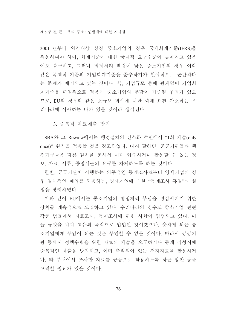20011년부터 외감대상 상장 중소기업의 경우 국제회계기준(IFRS)을 적용하여야 하며, 회계기준에 대한 국제적 요구수준이 높아지고 있음 에도 불구하고, 그러나 회계처리 역량이 낮은 중소기업의 경우 이와 같은 국제적 기준의 기업회계기준을 준수하기가 현실적으로 곤란하다 는 문제가 제기되고 있는 것이다. 즉, 기업규모 등에 관계없이 기업회 계기준을 획일적으로 적용시 중소기업의 부담이 가중될 우려가 있으 므로, EU의 경우와 같은 소규모 회사에 대한 회계 요건 간소화는 우 리나라에 시사하는 바가 있을 것이라 생각된다.

3. 중복적 자료제출 방지

SBA와 그 Rewiew에서는 행정절차의 간소화 측면에서 "1회 제출(only once)" 원칙을 적용할 것을 강조하였다. 다시 말하면, 공공기관들과 행 정기구들은 다른 절차를 통해서 이미 입수하거나 활용할 수 있는 정 보, 자료, 서류, 증명서들의 요구를 자제하도록 하는 것이다.

한편, 공공기관이 시행하는 의무적인 통계조사로부터 영세기업의 경 우 일시적인 예외를 허용하는, 영세기업에 대한 "통계조사 휴일"의 설 정을 장려하였다.

이와 같이 EU에서는 중소기업의 행정처리 부담을 경감시키기 위한 장치를 계속적으로 도입하고 있다. 우리나라의 경우도 중소기업 관련 각종 법률에서 자료조사, 통계조사에 관한 사항이 입법되고 있다. 이 들 규정을 각각 고유의 목적으로 입법된 것이겠으나. 응하게 되는 중 소기업에게 부담이 되는 것은 부인할 수 없을 것이다. 따라서 공공기 관 등에서 정책수립을 위한 자료의 제출을 요구하거나 통계 작성시에 중복적인 제출을 방지하고, 이미 축적되어 있는 전자자료를 활용하거 나. 타 부처에서 조사한 자료를 공동으로 활용하도록 하는 방안 등을 고려할 필요가 있을 것이다.

76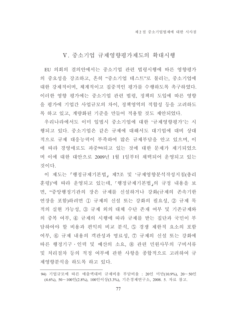## V. 중소기업 규제영향평가제도의 확대시행

EU 의회의 결의안에서는 중소기업 관련 법령시행에 따른 영향평가 의 중요성을 강조하고, 흔히 "중소기업 테스트"로 불리는, 중소기업에 대한 강제적이며, 체계적이고 집중적인 평가를 수행하도록 촉구하였다. 이러한 영향 평가에는 중소기업 관련 법령, 정책의 도입에 따른 영향 을 평가에 기업간 사업규모의 차이, 정책영역의 적합성 등을 고려하도 록 하고 있고, 계량화된 기주을 만들어 적용할 것도 제안되었다.

우리나라에서도 이미 입법시 중소기업에 대한 '규제영향평가'는 시 행되고 있다. 중소기업은 같은 규제에 대해서도 대기업에 대비 상대 적으로 규제 대응능력이 부족하여 많은 규제부담을 안고 있으며, 이 에 따라 경영애로도 과중94)되고 있는 것에 대한 문제가 제기되었으 며 이에 대한 대안으로 2009년 1월 1일부터 채택되어 운영되고 있는 것이다.

이 제도는 「행정규제기본법」 제7조 및 '규제영향분석작성지침(총리 훈령)'에 따라 운영되고 있는데, 「행정규제기본법」의 규정 내용을 보 면, "중앙행정기관의 장은 규제를 신설하거나 강화(규제의 존속기한 연장을 포함)하려면 1 규제의 신설 또는 강화의 필요성, 2 규제 목 적의 실현 가능성, ③ 규제 외의 대체 수단 존재 여부 및 기존규제와 의 중복 여부, ④ 규제의 시행에 따라 규제를 받는 집단과 국민이 부 담하여야 할 비용과 편익의 비교 분석, ⑤ 경쟁 제한적 요소의 포함 여부. 6 규제 내용의 객관성과 명료성, 7 규제의 신설 또는 강화에 따른 행정기구 · 인력 및 예산의 소요, ⑧ 관련 민원사무의 구비서류 및 처리절차 등의 적정 여부에 관한 사항을 종합적으로 고려하여 규 제영향분석을 하도록 하고 있다.

<sup>94)</sup> 기업규모에 따른 매출액대비 규제비용 부담비율 : 20인 미만(10.9%), 20~50인 (4.6%), 50~100인(2.8%), 100인이상(3.3%), 기은경제연구소, 2008. 5. 자료 참고.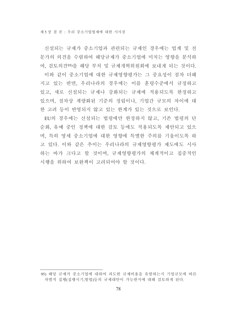신설되는 규제가 중소기업과 관련되는 규제인 경우에는 업계 및 전 문가의 의견을 수렴하여 해당규제가 중소기업에 미치는 영향을 분석하 여, 검토의견95)을 해당 부처 및 규제개혁위원회에 보내게 되는 것이다. 이와 같이 중소기업에 대한 규제영향평가는 그 중요성이 점차 더해 지고 있는 반면, 우리나라의 경우에는 이를 훈령수준에서 규정하고 있고, 새로 신설되는 규제나 강화되는 규제에 적용되도록 한정하고 있으며, 절차상 계량화된 기준의 정립이나, 기업간 규모의 차이에 대 한 고려 등이 반영되지 않고 있는 한계가 있는 것으로 보인다.

EU의 경우에는 신설되는 법령에만 한정하지 않고, 기존 법령의 단 순화, 유예 중인 정책에 대한 검토 등에도 적용되도록 제안되고 있으 며, 특히 영세 중소기업에 대한 영향에 특별한 주의를 기울이도록 하 고 있다. 이와 같은 추이는 우리나라의 규제영향평가 제도에도 시사 하는 바가 크다고 할 것이며, 규제영향평가의 체계적이고 집중적인 시행을 위하여 보와책이 고려되어야 할 것이다.

<sup>95)</sup> 해당 규제가 중소기업에 대하여 과도한 규제비용을 유발하는지 기업규모에 따른 차별적 집행(집행시기,방법)등의 규제대안이 가능한지에 대해 검토하게 된다.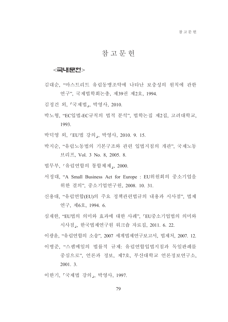## 참 고 무 헌

### <국내문헌>

- 김대순, "마스트리트 유럽동맹조약에 나타난 보충성의 원칙에 관한 연구", 국제법학회논총, 제39권 제2호, 1994.
- 김정건 외, 「국제법」, 박영사, 2010.
- 박노형. "EC입법-EC규칙의 법적 분석". 법학논집 제2집. 고려대학교. 1993.
- 박덕영 외, 『EU법 강의』, 박영사, 2010. 9. 15.
- 박지순, "유럽노동법의 기본구조와 관련 입법지침의 개관", 국제노동 브리프, Vol. 3 No. 8, 2005. 8.
- 법무부, 「유럽연합의 통합체제」, 2000.
- 서정대, "A Small Business Act for Europe : EU위원회의 중소기업을 위한 결의", 중소기업연구원, 2008. 10. 31.
- 신용대 "유럽여합(EU)의 주요 정책과려법규의 내용과 시사점" 법제 연구, 제6호, 1994. 6.
- 심재한. "EU법의 의미와 효과에 대한 사례". 『EU중소기업법의 의미와 시사점,, 한국법제연구원 워크숍 자료집, 2011. 6. 22.
- 이광윤, "유럽연합의 소송", 2007 세계법제연구보고서, 법제처, 2007. 12. 이병준, "스팸메일의 법률적 규제: 유럽연합입법지침과 독일판례를 중심으로" 언론과 정보, 제7호, 부산대학교 언론정보연구소,  $2001.3$ .
- 이한기, 「국제법 강의」, 박영사, 1997.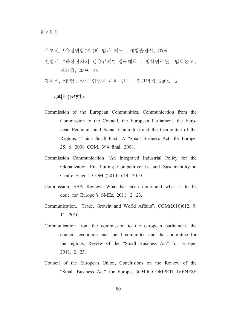- 이호선, 「유럽연합(EU)의 법과 제도」, 세창출판사, 2006.
- 전병서, "파산절차의 남용규제", 경북대학교 법학연구원 「법학논고, 제31집, 2009, 10.
- 홍완식, "유럽연합의 입법에 관한 연구", 월간법제, 2004. 12.

### $\leq$ 외국문헌 $>$

- Commission of the European Communities, Communication from the Commission to the Council, the European Parliament, the European Economic and Social Committee and the Committee of the Regions: "Think Small First" A "Small Business Act" for Europe, 25. 6. 2008 COM, 394 final, 2008.
- Commission Communication "An Integrated Industrial Policy for the Globalization Era Putting Competitiveness and Sustainability at Centre Stage", COM (2010) 614. 2010.
- Commission, SBA Review: What has been done and what is to be done for Europe''s SMEs, 2011, 2, 23.
- Communication, "Trade, Growht and World Affairs", COM(2010)612, 9. 11. 2010.
- Communication from the commission to the european parliament, the council, economic and social committee and the committee for the regions, Review of the "Small Business Act" for Europe, 2011. 2. 23.
- Council of the European Union, Conclusions on the Review of the "Small Business Act" for Europe, 3094th COMPETITIVENESS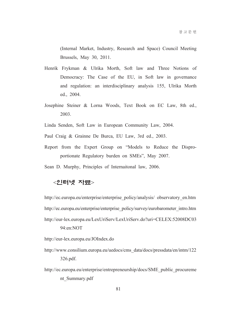(Internal Market, Industry, Research and Space) Council Meeting Brussels, May 30, 2011.

- Henrik Frykman & Ulrika Morth, Soft law and Three Notions of Democracy: The Case of the EU, in Soft law in governance and regulation: an interdisciplinary analysis 155, Ulrika Morth ed., 2004.
- Josephine Steiner & Lorna Woods, Text Book on EC Law, 8th ed., 2003.
- Linda Senden, Soft Law in European Community Law, 2004.
- Paul Craig & Grainne De Burca, EU Law, 3rd ed., 2003.
- Report from the Expert Group on "Models to Reduce the Disproportionate Regulatory burden on SMEs", May 2007.
- Sean D. Murphy, Principles of Internaitonal law, 2006.

## <인터넷 자료>

http://ec.europa.eu/enterprise/enterprise policy/analysis/ observatory en.htm http://ec.europa.eu/enterprise/enterprise\_policy/survey/eurobarometer\_intro.htm http://eur-lex.europa.eu/LexUriServ/LexUriServ.do?uri=CELEX:52008DC03 94:en:NOT

http://eur-lex.europa.eu/JOIndex.do

- http://www.consilium.europa.eu/uedocs/cms data/docs/pressdata/en/intm/122 326.pdf.
- http://ec.europa.eu/enterprise/entrepreneurship/docs/SME public procureme nt Summary.pdf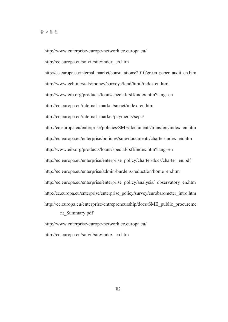http://www.enterprise-europe-network.ec.europa.eu/ http://ec.europa.eu/solvit/site/index en.htm http://ec.europa.eu/internal\_market/consultations/2010/green\_paper\_audit\_en.htm http://www.ecb.int/stats/money/surveys/lend/html/index.en.html http://www.eib.org/products/loans/special/rsff/index.htm?lang=en http://ec.europa.eu/internal market/smact/index en.htm http://ec.europa.eu/internal market/payments/sepa/ http://ec.europa.eu/enterprise/policies/SME/documents/transfers/index en.htm http://ec.europa.eu/enterprise/policies/sme/documents/charter/index en.htm http://www.eib.org/products/loans/special/rsff/index.htm?lang=en http://ec.europa.eu/enterprise/enterprise policy/charter/docs/charter en.pdf http://ec.europa.eu/enterprise/admin-burdens-reduction/home en.htm http://ec.europa.eu/enterprise/enterprise policy/analysis/ observatory en.htm http://ec.europa.eu/enterprise/enterprise\_policy/survey/eurobarometer\_intro.htm http://ec.europa.eu/enterprise/entrepreneurship/docs/SME public procureme nt Summary.pdf

http://www.enterprise-europe-network.ec.europa.eu/ http://ec.europa.eu/solvit/site/index en.htm

82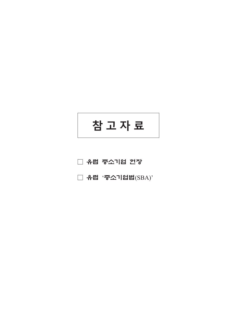



□ 유럽 '중소기업법(SBA)'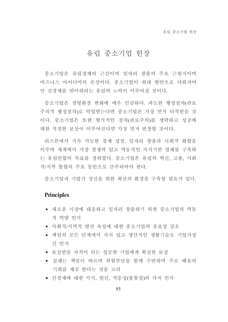# 유럽 중소기업 헌장

중소기업은 유럽경제의 근간이며 일자리 창출의 주요 근워지이며 비즈니스 아이디어의 온상이다. 중소기업이 최대 현안으로 다뤄져야 만 신경제를 맞이하려는 유럽의 노력이 이루어질 것이다.

중소기업은 경영환경 변화에 매우 민감하다. 과도한 행정절차(관료 주의적 행정절차)로 억압받는다면 중소기업은 가장 먼저 타격받을 것 이다. 중소기업은 또한 형식적인 절차(관료주의)를 생략하고 성공에 대한 적절한 보상이 이루어진다면 가장 먼저 번창할 것이다.

리스본에서 지속 가능한 경제 성장, 일자리 창출과 사회적 화합을 이루며 세계에서 가장 경쟁력 있고 역동적인 지식기반 경제를 구축하 는 유럽연합의 목표를 정하였다. 중소기업은 유럽의 혁신, 고용, 사회 적/지역 통합의 주요 동인으로 간주되어야 한다.

중소기업과 기업가 정신을 위한 최선의 화경을 구축할 필요가 있다.

## **Principles**

- 새로운 시장에 대응하고 일자리 창출하기 위한 중소기업의 역동 적 역량 인지
- 사회적/지역적 발전 육성에 대한 중소기업의 중요성 강조
- 책임의 모든 단계에서 가치 있고 생산적인 생활기술로 기업가정 쉬 인지
- 보상받을 자격이 되는 성공한 기업에게 확실한 보상
- 실패는 책임이 따르며 위험부담을 함께 수반하며 주로 배움의 기회를 제공 한다는 것을 고려
- 신경제에 대한 지식, 헌신, 적응성(융통성)의 가치 인지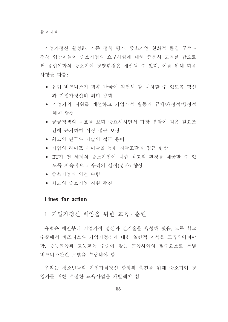기업가정신 활성화, 기존 정책 평가, 중소기업 친화적 환경 구축과 정책 입안자들이 중소기업의 요구사항에 대해 충분히 고려를 함으로 써 유럽연합의 중소기업 경영환경은 개선될 수 있다. 이를 위해 다음 사항을 따름:

- 유럽 비즈니스가 향후 난국에 직면해 잘 대처할 수 있도록 혁신 과 기업가정신의 의미 강화
- 기업가의 지위를 개선하고 기업가적 활동의 규제/재정적/행정적 체계 달성
- 공공정책의 목표를 보다 중요시하면서 가장 부담이 적은 필요조 건에 근거하여 시장 접근 보장
- 최고의 여구와 기술의 접근 용이
- 기업의 라이프 사이클을 통한 자금조달의 접근 향상
- EU가 전 세계의 중소기업에 대한 최고의 화경을 제공할 수 있 도록 지속적으로 우리의 실적(성과) 향상
- 중소기업의 의견 수렴
- 최고의 중소기업 지워 추진

### Lines for action

1. 기업가정신 배양을 위한 교육 · 훈련

유럽은 예전부터 기업가적 정신과 신기술을 육성해 왔음, 모든 학교 수준에서 비즈니스와 기업가정신에 대한 일반적 지식을 교육되어져야 함. 중등교육과 고등교육 수준에 맞는 교육사업의 필수요소로 특별 비즈니스관련 모델을 수립해야 함

우리는 청소년들의 기업가적정신 함양과 촉진을 위해 중소기업 경 영자를 위한 적절한 교육사업을 개발해야 함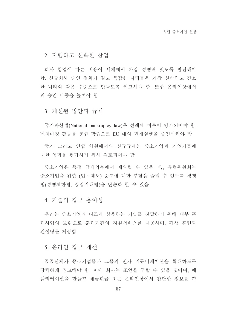2. 저렴하고 신속한 창업

회사 창업에 따른 비용이 세계에서 가장 경쟁력 있도록 발전해야 함. 신규회사 승인 절차가 길고 복잡한 나라들은 가장 신속하고 간소 한 나라와 같은 수준으로 만들도록 권고해야 함. 또한 온라인상에서 의 승인 비중을 높여야 함

3. 개선된 법안과 규제

국가파산법(National bankruptcy law)은 선례에 비추어 평가되어야 함. 벤치마킹 활동을 통한 학습으로 EU 내의 현재실행을 증진시켜야 함

국가 그리고 연합 차워에서의 신규규제는 중소기업과 기업가들에 대한 영향을 평가하기 위해 검토되어야 함

중소기업은 특정 규제의무에서 제외될 수 있음. 즉. 유럽위워회는 중소기업을 위한 (법·제도) 준수에 대한 부담을 줄일 수 있도록 경쟁 법(경쟁제한법, 공정거래법)을 단순화 할 수 있음

4. 기술의 접근 용이성

우리는 중소기업의 니즈에 상응하는 기술를 전달하기 위해 내부 훈 련사업의 보완으로 훈련기관의 지원서비스를 제공하며, 평생 훈련과 커설팅을 제공함

5. 온라인 접근 개선

공공단체가 중소기업들과 그들의 전자 커뮤니케이션을 확대하도록 강력하게 권고해야 함. 이에 회사는 조언을 구할 수 있을 것이며, 애 플리케이션을 만들고 세금화급 또는 온라인상에서 간단한 정보를 획

87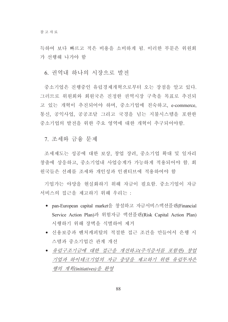득하여 보다 빠르고 적은 비용을 소비하게 됨. 이러한 부문은 위워회 가 선행해 나가야 함

6. 권역내 하나의 시장으로 발전

중소기업은 진행중인 유럽경제개혁으로부터 오는 장점을 알고 있다. 그러므로 위워회와 회원국은 진정한 권역시장 구축을 목표로 추진되 고 있는 개혁이 추진되어야 하며, 중소기업에 친숙하고, e-commerce, 통신, 공익사업, 공공조달 그리고 국경을 넘는 지불시스템을 포한한 중소기업의 발전을 위한 주요 영역에 대한 개혁이 추구되어야함.

7. 조세와 금융 문제

조세제도는 성공에 대한 보상, 창업 장려, 중소기업 확대 및 일자리 창출에 상응하고, 중소기업내 사업승계가 가능하게 적용되어야 함. 회 원국들은 선례를 조세와 개인성과 인센티브에 적용하여야 함

기업가는 야망을 현실화하기 위해 자금이 필요함. 중소기업이 자금 서비스의 접근을 제고하기 위해 우리는 :

- pan-European capital market을 창설하고 자금서비스액션플랜(Financial Service Action Plan)과 위험자금 액션플랜(Risk Capital Action Plan) 시행하기 위해 장벽을 식별하여 제거
- 신용보증과 벤처캐피탈의 적절한 접근 조건을 만들어서 은행 시 스템과 중소기업간 관계 개선
- 유럽구조기금에 대한 접근을 개선하고(주식증서를 포함한) 창업 기업과 하이테크기업의 자금 충당을 제고하기 위한 유럽투자은 행의 계획(initiatives)을 화영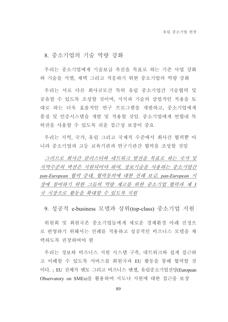## 8. 중소기업의 기술 역량 강화

우리는 중소기업에게 기술보급 촉진을 목표로 하는 기존 사업 강화 와 기술을 식별. 채택 그리고 적응하기 위한 중소기업의 역량 강화

우리는 서로 다른 회사규모간 특히 유럽 중소기업간 기술협력 및 공유할 수 있도록 조성할 것이며, 지식과 기술의 상업적인 적용을 토 대로 하는 더욱 효율적인 여구 프로그램을 개발하고, 중소기업에게 품질 및 인증시스템을 개발 및 적용할 것임. 중소기업에게 연합내 특 허권을 사용할 수 있도록 쉬운 접근성 보장이 중요

우리는 지역, 국가, 유럽 그리고 국제적 수준에서 회사간 협력뿐 아 니라 중소기업과 고등 교육기관과 연구기관간 협력을 조성할 것임

그러므로 회사가 클러스터와 네트워크 발전을 목표로 하는 국가 및 지역수주의 액션은 지워되어야 하며, 정보기술을 사용하는 중소기업간 pan-European 협력 증대, 협력동의에 대한 선례 보급, pan-European 시 장에 참여하기 위한 그들의 역량 제고를 위한 중소기업 협력과 제 3 국 시장으로 활동을 확대할 수 있도록 지원

9. 성공적 e-business 모델과 상위(top-class) 중소기업 지워

위원회 및 회원국은 중소기업들에게 새로운 경제환경 아래 진정으 로 번영하기 위해서는 선례를 적용하고 성공적인 비즈니스 모델을 채 택하도록 권장하여야 함

우리는 정보와 비즈니스 지원 시스템 구축, 네트워크와 쉽게 접근하 고 이해할 수 있도록 서비스를 회원국과 EU 활동을 통해 협력할 것 이다. : EU 전체가 멘토 그리고 비즈니스 엔젤. 유럽중소기업전망(European Observatory on SMEs)을 활용하여 지도나 지원에 대한 접근을 보장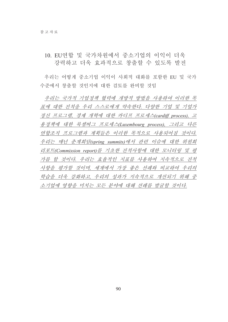## 10. EU여합 및 국가차워에서 중소기업의 이익이 더욱 강력하고 더욱 효과적으로 창출할 수 있도록 발전

우리는 어떻게 중소기업 이익이 사회적 대화를 포함한 EU 및 국가 수준에서 창출할 것인지에 대한 검토를 와비할 것임

우리는 국가적 기업정책 협력에 개방적 방법을 사용하여 이러한 목 표에 대한 진척을 우리 스스로에게 약속한다. 다양한 기업 및 기업가 정신 프로그램, 경제 개혁에 대한 카디프 프로세스(cardiff process), 고 용정책에 대한 룩셈버그 프로세스(Luxembourg process), 그리고 다른 연합조직 프로그램과 계획들은 이러한 목적으로 사용되어질 것이다. 우리는 매년 춘계회담(spring summits)에서 관련 이슈에 대한 위원회 리포트(Commission report)를 기초한 진척사항에 대한 모니터링 및 평 가를 할 것이다. 우리는 효율적인 지표를 사용하여 지속적으로 진척 사항을 평가할 것이며, 세계에서 가장 좋은 선례와 비교하여 우리의 학습을 더욱 강화하고, 우리의 성과가 지속적으로 개선되기 위해 중 소기업에 영향을 미치는 모든 분야에 대해 선례를 발굴할 것이다.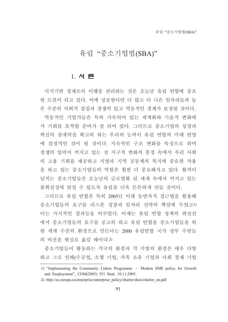# 유럽 "중소기업법(SBA)"

## 1. 서론

지식기반 경제로의 이행을 관리하는 것은 오늘날 유럽 여합에 중요 한 도전이 되고 있다. 이에 성공한다면 더 많고 더 나은 일자리들과 높 은 수준의 사회적 결집과 경쟁력 있고 역동적인 경제가 보장될 것이다. 역동적인 기업가들은 특히 가속되어 있는 세계화와 기술적 변화에 서 기회를 포착할 주비가 잘 되어 있다. 그러므로 중소기업의 성장과 혁신의 잠재력을 확고히 하는 우리의 능력이 유럽 연합의 미래 번영 에 결정적인 것이 될 것이다. 지속적인 구조 변화를 특징으로 하며 경쟁의 압력이 커지고 있는 전 지구적 변화의 풍경 속에서 우리 사회 의 고용 기회를 제공하고 지방과 지역 공동체의 복지에 중요한 작용 을 하고 있는 중소기업들의 역할은 훨씬 더 중요해지고 있다. 활력이 넘치는 중소기업들은 오늘날의 글로벌화 된 세계 속에서 커지고 있는 불확실성에 맞설 수 있도록 유럽을 더욱 튼튼하게 만들 것이다.

그러므로 유럽 여합은 특히 2005년 이래 동반자적 접근법을 활용해 중소기업들의 요구를 리스본 성장과 일자리 전략의 핵심에 두었고!) 이는 가시적인 결과들을 이루었다. 이제는 유럽 연합 정책의 최전선 에서 중소기업들의 요구를 공고히 하고 유럽 연합을 중소기업들을 위 한 세계 수준의 환경으로 만든다는 2000 유럽연합 국가 정부 수반들 의 비전을 현실로 옮길 때이다.2)

중소기업들이 활동하는 각국의 환경과 각 지방의 환경은 매우 다양 하고 그로 인해(수공업, 소형 기업, 가족 소유 기업과 사회 경제 기업

<sup>1) &</sup>quot;Implementing the Community Lisbon Programme - Modern SME policy for Growth and Employment", COM(2005) 551 final, 10.11.2005.

<sup>2)</sup> http://ec.europa.eu/enterprise/enterprise policy/charter/docs/charter en.pdf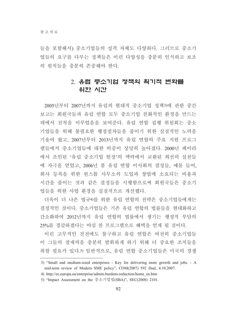들을 포함해서) 중소기업들의 성격 자체도 다양하다. 그러므로 중소기 업들의 요구를 다루는 정책들은 이런 다양성을 충분히 인식하고 보조 의 원칙들을 충분히 존중해야 한다.

# 2. 유럽 중소기업 정책의 획기적 변화를 위한 시간

2005년부터 2007년까지 유럽의 현대적 중소기업 정책3)에 관한 중간 보고는 회원국들과 유럽 연합 모두 중소기업 친화적인 환경을 만드는 데에서 진척을 이루었음을 보여준다. 유럽 연합 집행 위원회는 중소 기업들을 위해 불필요한 행정절차들을 줄이기 위한 실질적인 노력을 기울여 왔고, 2007년부터 2013년까지 유럽 연합의 주요 지원 프로그 램들에서 중소기업들에 대한 비중이 상당히 높아졌다. 2000년 페이라 에서 조인된 '유럽 중소기업 헌장'의 맥락에서 교환된 최선의 실천들 에 자극을 얻었고, 2006년 봄 유럽 연합 이사회의 결정들, 예를 들어, 회사 등록을 위한 워스톱 사무소의 도입과 창업에 소요되는 비용과 시간을 줄이는 것과 같은 결정들을 시행함으로써 회원국들은 중소기 업들을 위한 사업 환경을 실질적으로 개선했다.

더욱이 더 나은 법규4)를 위한 유럽 연합의 전략은 중소기업들에게는 결정적인 것이다. 중소기업들은 기존 유럽 연합의 법률들을 현대화하고 간소화하여 2012년까지 유럽 연합의 법률에서 생기는 행정적 부담의 25%를 경감하겠다는 야심 찬 프로그램으로 혜택을 얻게 될 것이다.

이런 고무적인 진전에도 불구하고 유럽 연합은 여전히 중소기업들 이 그들의 잠재력을 충분히 발휘하게 하기 위해 더 중요한 조치들을 취할 필요가 있다.5) 일반적으로, 유럽 연합 중소기업들은 미국의 경쟁

<sup>3) &</sup>quot;Small and medium-sized enterprises - Key for delivering more growth and jobs. - A mid-term review of Modern SME policy", COM(2007) 592 final, 4.10.2007.

<sup>4)</sup> http://ec.europa.eu/enterprise/admin-burdens-reduction/home en.htm

<sup>5) &</sup>quot;Impact Assessment on the 중소기업법(SBA)", SEC(2008) 2101.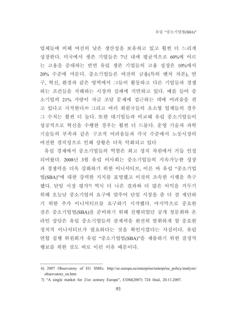업체들에 비해 여전히 낮은 생산성을 보유하고 있고 훨씬 더 느리게 성장한다. 미국에서 생존 기업들은 7년 내에 평균적으로 60%에 이르 는 고용을 증대하는 반면 유럽 생존 기업들의 고용 성장은 10%에서 20% 수준에 머문다. 중소기업들은 여전히 금융(특히 벤처 자본), 연 구, 혁신, 환경과 같은 영역에서 그들이 활동하고 다른 기업들과 경쟁 하는 조건들을 저해하는 시장의 실패에 직면하고 있다. 예를 들어 중 소기업의 21% 가량이 자금 조달 문제에 접근하는 데에 어려움을 겪 고 있다고 지적한다.0 그리고 여러 회원국들의 초소형 업체들의 경우 그 수치는 훨씬 더 높다. 또한 대기업들과 비교해 유럽 중소기업들이 성공적으로 혁신을 수행한 경우는 훨씬 더 드물다. 운영 기술과 과학 기술들의 부족과 같은 구조적 어려움들과 각국 수준에서 노동시장의 여전한 경직성으로 인해 상황은 더욱 악화되고 있다

유럽 경제에서 중소기업들의 역할은 최고 정치 차원에서 거듭 인정 되어왔다. 2008년 3월 유럽 이사회는 중소기업들의 지속가능한 성장 과 경쟁력을 더욱 강화하기 위한 이니셔티브, 이른 바 유럽 "중소기업 법(SBA)"에 대한 강력한 지지를 표명했고 이것의 조속한 시행을 촉구 했다. 단일 시장 평가7) 역시 더 나은 결과와 더 많은 이익을 거두기 위해 오늘날 중소기업의 요구에 맞추어 단일 시장을 좀 더 잘 재단하 기 위한 추가 이니셔티브를 요구하기 시작했다. 마지막으로 중요한 것은 중소기업법(SBA)을 준비하기 위해 진행되었던 공개 청문회와 온 라인 상담은 유럽 중소기업들의 잠재력을 완전히 발휘하게 할 중요한 정치적 이니셔티브가 필요하다는 것을 확인시켰다는 사실이다. 유럽 연합 집행 위원회가 유럽 "중소기업법(SBA)"을 제출하기 위한 결정적 행보를 취한 것도 바로 이런 이유 때문이다.

<sup>6) 2007</sup> Observatory of EU SMEs. http://ec.europa.eu/enterprise/enterprise policy/analysis/ observatory en.htm

<sup>7) &</sup>quot;A single market for 21st century Europe", COM(2007) 724 final, 20.11.2007.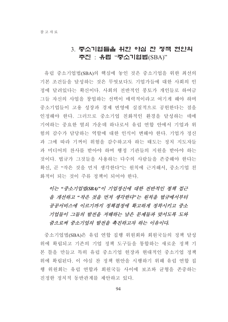# 3. 중소기업들을 위한 야심 찬 정책 현안의 추진 : 유럽 "중소기업법(SBA)"

유럽 중소기업법(SBA)의 핵심에 놓인 것은 중소기업을 위한 최선의 기본 조건들을 달성하는 것은 무엇보다도 기업가들에 대한 사회의 인 정에 달려있다는 확신이다. 사회의 전반적인 풍토가 개인들로 하여금 그들 자신의 사업을 창업하는 선택이 매력적이라고 여기게 해야 하며 중소기업들이 고용 성장과 경제 번영에 실질적으로 공헌한다는 점을 인정해야 한다. 그러므로 중소기업 친화적인 화경을 달성하는 데에 기여하는 중요한 열쇠 가운데 하나로서 유럽 연합 안에서 기업과 위 험의 감수가 담당하는 역할에 대한 인식이 변해야 한다. 기업가 정신 과 그에 따라 기꺼이 위험을 감수하고자 하는 태도는 정치 지도자들 과 미디어의 찬사를 받아야 하며 행정 기관들의 지원을 받아야 하는 것이다. 법규가 그것들을 사용하는 다수의 사람들을 존중해야 한다는 확신, 곧 "작은 것을 먼저 생각한다"는 원칙에 근거해서, 중소기업 친 화적이 되는 것이 주류 정책이 되어야 한다.

# 이는 "중소기업법(SBA)"이 기업정신에 대한 전반적인 정책 접근 을 개선하고 "작은 것을 먼저 생각한다"는 원칙을 법규에서부터 공공서비스에 이르기까지 정책결정에 확고하게 정착시키고 중소 기업들이 그들의 발전을 저해하는 남은 문제들과 맞서도록 도와 줌으로써 중소기업의 발전을 촉진하고자 하는 이유이다.

중소기업법(SBA)은 유럽 연합 집행 위원회와 회원국들의 정책 달성 위에 확립되고 기존의 기업 정책 도구들을 통합하는 새로운 정책 기 본 틀을 만들고 특히 유럽 중소기업 헌장과 현대적인 중소기업 정책 위에 확립된다. 이 야심 찬 정책 현안을 시행하기 위해 유럽 연합 집 행 위원회는 유럽 연합과 회원국들 사이에 보조와 균형을 존중하는 진정한 정치적 동반관계를 제안하고 있다.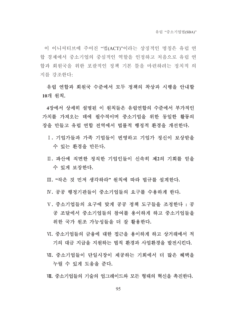이 이니셔티브에 주어진 "법(ACT)"이라는 상징적인 명칭은 유럽 연 함 경제에서 중소기업의 중심적인 역할을 인정하고 처음으로 유럽 연 합과 회워국을 위한 포괄적인 정책 기본 틀을 마련하려는 정치적 의 지를 강조한다:

유럽 연합과 회원국 수준에서 모두 정책의 착상과 시행을 안내할 10개 워칙.

4장에서 상세히 설명된 이 워칙들은 유럽여합의 수준에서 부가적인 가치를 가져오는 데에 필수적이며 중소기업을 위한 동일한 활동의 장을 만들고 유럽 여합 저역에서 법률적 행정적 화경을 개선하다.

- I. 기업가들과 가족 기업들이 번영하고 기업가 정신이 보상받을 수 있는 환경을 만든다.
- Ⅱ. 파산에 직면한 정직한 기업인들이 신속히 제2의 기회를 얻을 수 있게 보장한다.

Ⅲ. "작은 것 먼저 생각하라" 원칙에 따라 법규를 설계한다.

IV. 공공 행정기관들이 중소기업들의 요구를 수용하게 하다.

- V. 중소기업들의 요구에 맞게 공공 정책 도구들을 조정하다 : 공 공 조달에서 중소기업들의 참여를 용이하게 하고 중소기업들을 위한 국가 워조 가능성들을 더 잘 활용한다.
- Ⅵ. 중소기업들의 금융에 대한 접근을 용이하게 하고 상거래에서 적 기의 대금 지급을 지원하는 법적 환경과 사업환경을 발전시킨다.
- Ⅶ. 중소기업들이 단일시장이 제공하는 기회에서 더 많은 혜택을 누릴 수 있게 도움을 준다.

Ⅲ. 중소기업들의 기술의 업그레이드와 모든 형태의 혁신을 촉진한다.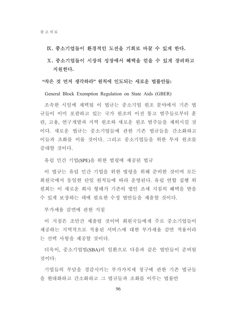### K. 중소기업들이 환경적인 도전을 기회로 바꿀 수 있게 한다.

## X. 중소기업들이 시장의 성장에서 혜택을 얻을 수 있게 장려하고 지워하다.

### "작은 것 먼저 생각하라" 워칙에 인도되는 새로운 법률안들:

General Block Exemption Regulation on State Aids (GBER)

조속한 시일에 채택될 이 법규는 중소기업 워조 부야에서 기존 법 규들이 이미 포괄하고 있는 국가 워조의 이전 통고 범주들로부터 후 련, 고용, 연구개발과 지역 원조와 새로운 원조 범주들을 제외시킬 것 이다. 새로운 법규는 중소기업들에 관한 기존 법규들을 간소화하고 이들과 조화를 이룰 것이다. 그리고 중소기업들을 위한 투자 워조를 증대할 것이다.

유럽 민간 기업(SPE)을 위한 법령에 제공된 법규

이 법규는 유럽 민간 기업을 위한 법령을 위해 준비한 것이며 모든 회원국에서 동일한 단일 원칙들에 따라 운영된다. 유럽 연합 집행 위 워회는 이 새로운 회사 형태가 기존의 법인 조세 지침의 혜택을 받을 수 있게 보장하는 데에 필요한 수정 법안들을 제출할 것이다.

부가세율 감면에 관한 지침

이 지침은 조만간 제출될 것이며 회원국들에게 주로 중소기업들이 제공하는 지역적으로 적용된 서비스에 대한 부가세율 감면 적용이라 는 선택 사항을 제공할 것이다.

더욱이. 중소기업법(SBA)의 일화으로 다음과 같은 법안들이 주비될 것이다:

기업들의 부담을 경감시키는 부가가치세 청구에 관한 기존 법규들 을 현대화하고 간소화하고 그 법규들과 조화를 이루는 법률아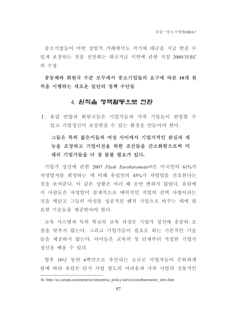중소기업들이 어떤 상업적 거래에서도 적기에 대금을 지급 받을 수 있게 보장하는 것을 전망하는 대금지급 지역에 관한 지침 2000/35/EC 의 수정

## 공동체와 회워국 수준 모두에서 중소기업들의 요구에 따른 10개 워 칙을 시행하는 새로운 일단의 정책 수단들

### 4. 원칙을 정책활동으로 전환

I. 유럽 연합과 회워국들은 기업가들과 가족 기업들이 번영할 수 있고 기업정신이 보상받을 수 있는 환경을 만들어야 한다.

# 그들은 특히 젊은이들과 여성 사이에서 기업가적인 관심과 재 능을 조장하고 기업이전을 위한 조건들을 간소화함으로써 미 래의 기업가들을 더 잘 돌볼 필요가 있다.

기업가 정신에 관한 2007 Flash Eurobarometer8)은 미국인의 61%가 자영업자를 희망하는 데 비해 유럽인의 45%가 자영업을 선호한다는 것을 보여준다. 이 같은 상황은 여러 해 동안 변하지 않았다. 유럽에 서 사람들은 자영업이 잠재적으로 매력적인 직업의 선택 사항이라는 것을 깨닫고 그들의 야심을 성공적인 벤처 기업으로 바꾸는 데에 필 요한 기술들을 제공받아야 한다.

교육 시스템과 특히 학교의 교육 과정은 기업가 정신에 충분히 초 점을 맞추지 않는다. 그리고 기업가들이 필요로 하는 기본적인 기술 들을 제공하지 않는다. 아이들은 교육의 첫 단계부터 적절한 기업가 정신을 배울 수 있다.

향후 10년 동안 6백만으로 추산되는 소규모 사업자들이 은퇴하게 됨에 따라 유럽은 단지 사업 양도의 어려움과 가족 사업의 전통적인

<sup>8)</sup> http://ec.europa.eu/enterprise/enterprise policy/survey/eurobarometer intro.htm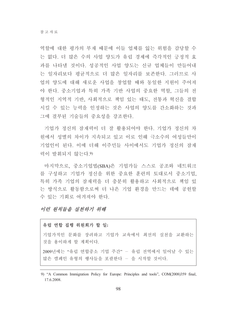역할에 대한 평가의 부재 때문에 이들 업체를 잃는 위험을 감당할 수 는 없다. 더 많은 수의 사업 양도가 유럽 경제에 즉각적인 긍정적 효 과를 나타낼 것이다. 성공적인 사업 양도는 신규 업체들이 만들어내 는 일자리보다 평균적으로 더 많은 일자리를 보존한다. 그러므로 사 업의 양도에 대해 새로운 사업을 창업할 때와 동일한 지원이 주어져 야 한다. 중소기업과 특히 가족 기반 사업의 중요한 역할. 그들의 전 형적인 지역적 기반, 사회적으로 책임 있는 태도, 전통과 혁신을 결합 시킬 수 있는 능력을 인정하는 것은 사업의 양도를 간소화하는 것과 그에 결부된 기술들의 중요성을 강조한다.

기업가 정신의 잠재력이 더 잘 활용되어야 한다. 기업가 정신의 차 워에서 성별의 차이가 지속되고 있고 이로 인해 극소수의 여성들만이 기업인이 된다 이에 더해 이주민들 사이에서도 기업가 정신의 잠재 력이 발휘되지 않는다. 9)

마지막으로, 중소기업법(SBA)은 기업가들 스스로 공조와 네트워크 를 구성하고 기업가 정신을 위한 중요한 훈련의 토대로서 중소기업. 특히 가족 기업의 잠재력을 더 충분히 활용하고 사회적으로 책임 있 는 방식으로 활동함으로써 더 나은 기업 환경을 만드는 데에 공헌할 수 있는 기회로 여겨져야 한다.

## 이런 워칙들을 실취하기 위해

#### 유럽 연합 집행 위원회가 할 일:

기업가적인 문화를 장려하고 기업가 교육에서 최선의 실천을 교환하는 것을 용이하게 할 계획이다.

2009년에는 "유럽 연합중소 기업 주간" - 유럽 전역에서 일어날 수 있는 많은 캠페인 유형의 행사들을 포괄한다 - 을 시작할 것이다.

<sup>9) &</sup>quot;A Common Immigration Policy for Europe: Principles and tools", COM(2008)359 final, 17.6.2008.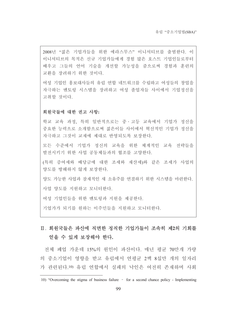2008년 "젊은 기업가들을 위한 에라스무스" 이니셔티브를 출범한다. 이 이니셔티브의 목적은 신규 기업가들에게 경험 많은 호스트 기업인들로부터 배우고 그들의 언어 기술을 개선할 가능성을 줌으로써 경험과 훈련의 교환을 장려하기 위한 것이다.

여성 기업인 홍보대사들의 유럽 연합 네트워크를 수립하고 여성들의 창업을 자극하는 멘토링 시스템을 장려하고 여성 졸업자들 사이에서 기업정신을 고취할 것이다.

#### 회원국들에 대한 권고 사항:

학교 교육 과정, 특히 일반적으로는 중 · 고등 교육에서 기업가 정신을 중요한 능력으로 소개함으로써 젊은이들 사이에서 혁신적인 기업가 정신을 자극하고 그것이 교재에 제대로 반영되도록 보장하다.

모든 수주에서 기업가 정신의 교육을 위한 체계적인 교육 전략들을 발전시키기 위한 사업 공동체들과의 협조를 고양한다.

(특히 증여세와 배당금에 대한 조세와 재산세)와 같은 조세가 사업의 양도를 방해하지 않게 보장한다.

양도 가능한 사업과 잠재적인 새 소유주를 연결하기 위한 시스템을 마련한다. 사업 양도를 지워하고 모니터하다.

여성 기업인들을 위한 멘토링과 지원을 제공한다.

기업가가 되기를 워하는 이주민들을 지워하고 모니터하다.

# Ⅱ 회워국들은 파산에 직면한 정직한 기업가들이 조속히 제2의 기회를 얻을 수 있게 보장해야 한다.

전체 폐업 가운데 15%의 워인이 파산이다. 매년 평균 70만개 가량 의 중소기업이 영향을 받고 유럽에서 연평규 2백 8십만 개의 일자리 가 관련된다.10) 유럽 연합에서 실패의 낙인은 여전히 존재하며 사회

<sup>10) &</sup>quot;Overcoming the stigma of business failure - for a second chance policy - Implementing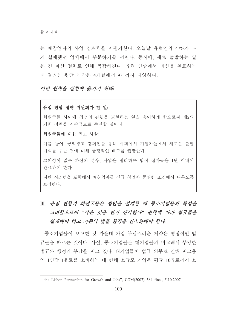는 재창업자의 사업 잠재력을 저평가한다. 오늘날 유럽인의 47%가 과 거 실패했던 업체에서 주문하기를 꺼린다. 동시에, 새로 출발하는 일 은 긴 파산 절차로 인해 복잡해진다. 유럽 여합에서 파산을 완료하는 데 걸리는 평규 시간은 4개월에서 9년까지 다양하다.

### 이런 위칙을 실취에 옮기기 위해.

#### 유럽 연합 집행 위원회가 할 일:

회원국들 사이에 최선의 관행을 교환하는 일을 용이하게 함으로써 제2의 기회 정책을 지속적으로 촉진할 것이다.

### 회원국들에 대한 권고 사항:

예를 들어, 공익광고 캠페인을 통해 사회에서 기업가들에서 새로운 출발 기회를 주는 것에 대해 긍정적인 태도를 권장한다.

고의성이 없는 파산의 경우, 사업을 정리하는 법적 절차들을 1년 이내에 완료하게 한다.

지워 시스템을 포함해서 재창업자를 신규 창업자 동일한 조건에서 다루도록 보장한다.

# Ⅲ. 유럽 연합과 회원국들은 법안을 설계할 때 중소기업들의 특성을 고려함으로써 "작은 것을 먼저 생각한다" 원칙에 따라 법규들을 설계해야 하고 기존의 법률 환경을 간소화해야 한다.

중소기업들이 보고한 것 가운데 가장 부담스러운 제약은 행정적인 법 규들을 따르는 것이다. 사실, 중소기업들은 대기업들과 비교해서 부당한 법규와 행정의 부담을 지고 있다. 대기업들이 법규 의무로 인해 피고용 인 1인당 1유로를 소비하는 데 반해 소규모 기업은 평균 10유로까지 소

the Lisbon Partnership for Growth and Jobs", COM(2007) 584 final, 5.10.2007.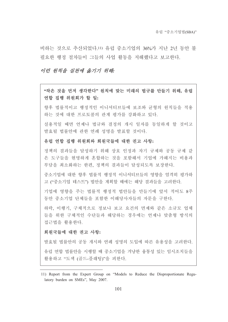비하는 것으로 추산되었다.11) 유럽 중소기업의 36%가 지나 2년 동안 불 필요한 행정 절차들이 그들의 사업 활동을 저해했다고 보고한다.

### 이런 워칙을 실취에 옮기기 위해.

"작은 것을 먼저 생각한다" 워칙에 맞는 미래의 법규를 만들기 위해, 유럽 연합 집행 위원회가 할 일:

향후 법률적이고 행정적인 이니셔티브들에 보조와 규형의 워칙들을 적용 하는 것에 대한 프로토콜의 관계 평가를 강화하고 있다.

실용적일 때면 언제나 법규와 결정의 개시 일자를 동일하게 할 것이고 발효될 법률안에 관한 연례 성명을 발표할 것이다.

### 유럽 연합 집행 위원회와 회원국들에 대한 권고 사항:

정책의 결과들을 달성하기 위해 상호 인정과 자기 규제와 공동 규제 같 은 도구들을 현명하게 혼합하는 것을 포함해서 기업에 가해지는 비용과 부담을 최소화하는 한편, 정책의 결과들이 달성되도록 보장한다.

중소기업에 대한 향후 법률적 행정적 이니셔티브들의 영향을 엄격히 평가하 고 ("중소기업 테스트") 법안을 계획할 때에는 해당 결과들을 고려한다.

기업에 영향을 주는 법률적 행정적 법안들을 만들기에 앞서 적어도 8주 동안 중소기업 단체들을 포함한 이해당사자들의 자문을 구한다.

하락, 이행기, 구체적으로 정보나 보고 요건의 면제와 같은 소규모 업체 들을 위한 구체적인 수단들과 해당하는 경우에는 언제나 맞춤형 방식의 접근법을 활용한다.

### 회원국들에 대한 권고 사항:

발효될 법률안의 공동 개시와 연례 성명의 도입에 따른 유용성을 고려한다. 유럽 연합 법률안을 시행할 때 중소기업을 겨냥한 융통성 있는 임시조치들을 활용하고 "도색 (골드-플래팅)"을 피한다.

<sup>11)</sup> Report from the Expert Group on "Models to Reduce the Disproportionate Regulatory burden on SMEs", May 2007.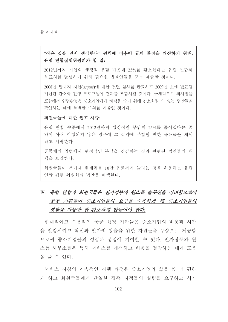## "작은 것을 먼저 생각하다" 워칙에 비추어 규제 화경을 개선하기 위해. 유럽 연합집행위원회가 할 일:

2012년까지 기업의 행정적 부담 가운데 25%를 감소한다는 유럽 연합의 목표치를 달성하기 위해 필요한 법률안들을 모두 제출할 것이다.

2008년 말까지 자산(acquis)에 대한 전면 심사를 완료하고 2009년 초에 발표될 개선된 간소화 진행 프로그램에 결과를 포함시킬 것이다. 구체적으로 회사법을 포함해서 입법활동은 중소기업에게 혜택을 주기 위해 간소화될 수 있는 법안들을 확인하는 데에 특별한 주의를 기울일 것이다.

#### 회원국들에 대한 권고 사항:

유럽 연합 수준에서 2012년까지 행정적인 부담의 25%를 줄이겠다는 공 약이 아직 이행되지 않은 경우에 그 공약에 부합할 만한 목표들을 채택 하고 시행하다

공동체의 입법에서 행정적인 부담을 경감하는 것과 관련된 법안들의 채 택을 보장하다.

회원국들이 부가세 한계치를 10만 유로까지 늘리는 것을 허용하는 유럽 여합 집행 위워회의 법안을 채택한다.

# N. 유럽 연합과 회원국들은 전자정부와 원스톱 솔루션을 장려함으로써 공공 기관들이 중소기업들의 요구를 수용하게 해 중소기업들의 생활을 가능한 한 간소하게 만들어야 한다.

현대적이고 수용적인 공공 행정 기관들은 중소기업의 비용과 시간 을 절감시키고 혁신과 일자리 창출을 위한 자원들을 무상으로 제공함 으로써 중소기업들의 성공과 성장에 기여할 수 있다. 전자정부와 원 스톱 사무소들은 특히 서비스를 개선하고 비용을 절감하는 데에 도움 을 줄 수 있다.

서비스 지침의 지속적인 시행 과정은 중소기업의 삶을 좀 더 편하 게 하고 회워국들에게 다일한 접촉 지점들의 설립을 요구하고 허가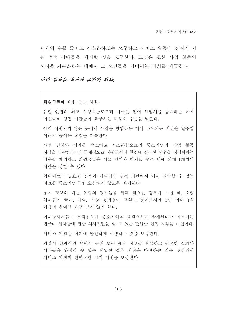체계의 수를 줄이고 간소화하도록 요구하고 서비스 활동에 장애가 되 는 법적 장애들을 제거할 것을 요구한다. 그것은 또한 사업 활동의 시작을 가속화하는 데에서 그 요건들을 넘어서는 기회를 제공하다.

### 이런 원칙을 실천에 옮기기 위해:

#### 회원국들에 대한 권고 사항:

유럽 연합의 최고 수행자들로부터 자극을 얻어 사업체를 등록하는 데에 회원국의 행정 기관들이 요구하는 비용의 수주을 낮추다.

아직 시행되지 않는 곳에서 사업을 창업하는 데에 소요되는 시간을 일주일 이내로 줄이는 작업을 계속한다.

사업 면허와 허가를 축소하고 간소화함으로써 중소기업의 상업 활동 시작을 가속하다. 더 구체적으로 사람들이나 화경에 심각한 위협을 정당화하는 경우를 제외하고 회원국들은 이들 면허와 허가를 주는 데에 최대 1개월의 시한을 정할 수 있다.

업데이트가 필요한 경우가 아니라면 행정 기관에서 이미 입수할 수 있는 정보를 중소기업에게 요청하지 않도록 자제한다.

통계 정보와 다른 유형의 정보들을 위해 필요한 경우가 아닐 때, 소형 업체들이 국가, 지역, 지방 통계청이 책임진 통계조사에 3년 마다 1회 이상의 참여를 요구 받지 않게 한다.

이해당사자들이 부적절하게 중소기업을 불필요하게 방해한다고 여겨지는 법규나 절차들에 관한 의사전달을 할 수 있는 단일한 접촉 지점을 마련한다.

서비스 지침을 적기에 와전하게 시행하는 것을 보장하다.

기업이 전자적인 수단을 통해 모든 해당 정보를 획득하고 필요한 절차와 서류들을 완성할 수 있는 단일한 접촉 지점을 마련하는 것을 포함해서 서비스 지침의 전면적인 적기 시행을 보장한다.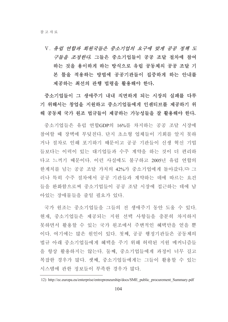V. 유럽 연합과 회원국들은 중소기업의 요구에 맞게 공공 정책 도 구들을 조정한다. 그들은 중소기업들이 공공 조달 절차에 참여 하는 것을 용이하게 하는 방식으로 유럽 공동체의 공공 조달 기 본 틀을 적용하는 방법에 공공기관들이 집중하게 하는 안내를 제공하는 최선의 관행 법령을 활용해야 한다.

중소기업들이 그 생애주기 내내 직면하게 되는 시장의 실패를 다루 기 위해서는 창업을 지원하고 중소기업들에게 인센티브를 제공하기 위 해 공동체 국가 원조 법규들이 제공하는 가능성들을 잘 활용해야 한다.

중소기업들은 유럽 연합GDP의 16%를 차지하는 공공 조달 시장에 참여할 때 장벽에 부딪친다. 단지 초소형 업체들이 기회를 알지 못하 거나 절차로 인해 포기하기 때문이고 공공 기관들이 신생 혁신 기업 들보다는 이력이 있는 대기업들과 수주 계약을 하는 것이 더 편리하 다고 느끼기 때문이다. 이런 사실에도 불구하고 2005년 유럽 연합의 한계치를 넘는 공공 조달 가치의 42%가 중소기업에게 돌아갔다.12) 그 러나 특히 수주 절차에서 공공 기관들과 계약하는 데에 따르는 요건 들을 완화함으로써 중소기업들이 공공 조달 시장에 접근하는 데에 남 아있는 장애물들을 줄일 필요가 있다.

국가 워조는 중소기업들을 그들의 전 생애주기 동안 도울 수 있다. 현재, 중소기업들은 제공되는 지워 선택 사항들을 충분히 차지하지 못하면서 활용할 수 있는 국가 워조에서 주변적인 혜택만을 얻을 뿐 이다. 여기에는 많은 원인이 있다. 첫째, 공공 행정기관들은 공동체의 법규 아래 중소기업들에게 혜택을 주기 위해 허락된 지워 메커니즘들 을 항상 활용하지는 않는다. 둘째, 중소기업들에게 과정이 너무 길고 복잡한 경우가 많다. 셋째, 중소기업들에게는 그들이 활용할 수 있는 시스템에 관한 정보들이 부족한 경우가 많다.

<sup>12)</sup> http://ec.europa.eu/enterprise/entrepreneurship/docs/SME public procurement Summary.pdf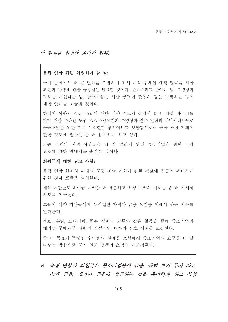### 이 워칙을 실처에 옮기기 위해.

#### 유럽 연합 집행 위원회가 할 일:

구매 무화에서 더 큰 변화를 촉발하기 위해 계약 주체인 행정 당국을 위한 최선의 관행에 관한 규정집을 발표할 것이다. 관료주의를 줄이는 법, 투명성과 정보를 개선하는 법, 중소기업을 위한 공평한 활동의 장을 보장하는 법에 대한 안내를 제공할 것이다.

한계치 이하의 공공 조달에 대한 계약 공고의 선택적 발표, 사업 파트너를 찾기 위한 온라인 도구, 공공조달요건의 투명성과 같은 일련의 이니셔티브들로 공공조달을 위한 기존 유럽여합 웹사이트를 보완함으로써 공공 조달 기회에 관한 정보에 접근을 좀 더 용이하게 하고 있다.

기존 지워의 선택 사항들을 더 잘 알리기 위해 중소기업을 위한 국가 원조에 관한 안내서를 출간할 것이다.

### 회원국에 대한 권고 사항:

유럽 연합 한계치 아래의 공공 조달 기회에 관한 정보에 접근을 확대하기 위한 전자 포탈을 설치한다.

계약 기관들로 하여금 계약을 더 세분하고 하청 계약의 기회를 좀 더 가시화 하도록 촉구하다

그들의 계약 기관들에게 부적절한 자격과 금융 요건을 피해야 하는 의무를 일깨우다

정보, 훈련, 모니터링, 좋은 실천의 교류와 같은 활동을 통해 중소기업과 대기업 구매자들 사이의 거설적인 대화와 상호 이해를 조장하다

좀 더 목표가 뚜렷한 수단들의 설계를 포함해서 중소기업의 요구를 더 잘 다루는 방향으로 국가 워조 정책의 초점을 재조정한다.

# VI. 유럽 연합과 회원국은 중소기업들이 금융, 특히 초기 투자 자금, 소액 금융, 메자닌 금융에 접근하는 것을 용이하게 하고 상업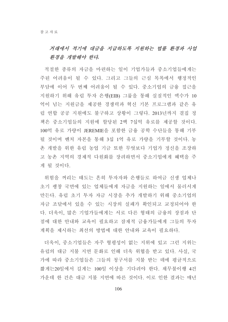## 거래에서 적기에 대금을 지급하도록 지워하는 법률 환경과 사업 환경을 개발해야 한다.

적절한 종류의 자금을 마련하는 일이 기업가들과 중소기업들에게는 주된 어려움이 될 수 있다. 그리고 그들의 근심 목록에서 행정적인 부담에 이어 두 번째 어려움이 될 수 있다. 중소기업의 금융 접근을 지원하기 위해 유럽 투자 은행(EIB) 그룹을 통해 실질적인 액수가 10 억이 넘는 지원금을 제공한 경쟁력과 혁신 기본 프로그램과 같은 유 럽 연합 공공 지원에도 불구하고 상황이 그렇다. 2013년까지 결집 정 책은 중소기업들의 지워에 할당된 2백 7십억 유로를 제공할 것이다. 100억 유로 가량이 JEREMIE을 포함한 금융 공학 수단들을 통해 기부 될 것이며 벤처 자본을 통해 3십 1억 유로 가량을 기부할 것이다. 농 촌 개발을 위한 유럽 농업 기금 또한 무엇보다 기업가 정신을 조장하 고 농촌 지역의 경제적 다원화를 장려하면서 중소기업에게 혜택을 주 게 될 것이다.

위험을 꺼리는 태도는 흔히 투자자와 은행들로 하여금 신생 업체나 초기 팽창 국면에 있는 업체들에게 자금을 지원하는 일에서 물러서게 만든다. 유럽 초기 투자 자금 시장을 추가 개발하기 위해 중소기업의 자금 조달에서 있을 수 있는 시장의 실패가 확인되고 교정되어야 한 다. 더욱이, 많은 기업가들에게는 서로 다른 형태의 금융의 장점과 단 점에 대한 안내와 교육이 필요하고 잠재적 금융가들에게 그들의 투자 계획을 제시하는 최선의 방법에 대한 안내와 교육이 필요하다.

더욱이, 중소기업들은 자주 형평성이 없는 지위에 있고 그런 지위는 유럽의 대금 지불 지연 문화로 인해 더욱 위협을 받고 있다. 사실, 국 가에 따라 중소기업들은 그들의 청구서를 지불 받는 데에 평규적으로 짧게는20일에서 길게는 100일 이상을 기다려야 한다. 채무불이행 4건 가우데 한 건은 대금 지불 지여에 따른 것이다. 이로 인한 결과는 매년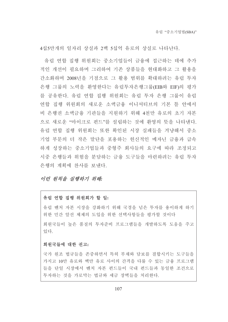4십5만개의 일자리 상실과 2백 5십억 유로의 상실로 나타난다.

유럽 여합 집행 위워회는 중소기업들이 금융에 접근하는 데에 추가 적인 개선이 필요하며 그리하여 기존 상품들을 혀대화하고 그 활용을 간소화하며 2008년을 기점으로 그 활용 범위를 확대하려는 유럽 투자 은행 그룹의 노력을 환영한다는 유럽투자은행그룹(EIB와 EIF)의 평가 를 공유한다. 유럽 연합 집행 위원회는 유럽 투자 은행 그룹이 유럽 연합 집행 위원회의 새로운 소액금융 이니셔티브의 기본 틀 안에서 비 은행권 소액금융 기관들을 지원하기 위해 4천만 유로의 초기 자본 으로 새로운 "마이크로 펀드"를 설립하는 것에 화영의 뜻을 나타내다. 유럽 연합 집행 위원회는 또한 확인된 시장 실패들을 겨냥해서 중소 기업 부문의 더 작은 말단을 포용하는 헌신적인 메자닌 금융과 급속 하게 성장하는 중소기업들과 중형주 회사들의 요구에 따라 조정되고 시중 은행들과 위험을 분담하는 금융 도구들을 마련하려는 유럽 투자 은행의 계획에 차사를 보내다.

### 이런 워칙을 실행하기 위해:

### 유럽 연합 집행 위원회가 할 일:

유럽 벤처 자본 시장을 강화하기 위해 국경을 넘은 투자를 용이하게 하기 위한 민간 알선 체제의 도입을 위한 선택사항들을 평가할 것이다

회위국들이 높은 품질의 투자주비 프로그램들을 개발하도록 도움을 주고 있다.

#### 회원국들에 대한 권고:

국가 워조 법규들을 존중하면서 특히 부채와 담보를 결합시키는 도구들을 가지고 10만 유로와 백만 유로 사이의 간격을 다룰 수 있는 금융 프로그램 들을 단일 시장에서 벤처 자본 펀드들이 국내 펀드들과 동일한 조건으로 투자하는 것을 가로막는 법규와 세금 장벽들을 처리한다.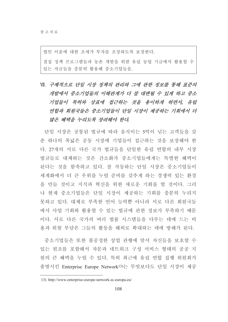법인 이윤에 대한 조세가 투자를 조장하도록 보장한다.

결집 정책 프로그램들과 농촌 개발을 위한 유럽 농업 기금에서 활용할 수 있는 자금들을 충분히 활용해 중소기업들을.

# Ⅶ. 구체적으로 단일 시장 정책의 관리와 그에 관한 정보를 통해 표준의 개발에서 중소기업들의 이해관계가 더 잘 대변될 수 있게 하고 중소 기업들이 특허와 상표에 접근하는 것을 용이하게 하면서, 유럽 연합과 회원국들은 중소기업들이 단일 시장이 제공하는 기회에서 더 많은 혜택을 누리도록 장려해야 한다.

단일 시장은 공통되 법규에 따라 움직이는 5억이 넘는 고객들을 갖 춘 하나의 폭넓은 공동 시장에 기업들이 접근하는 것을 보장해야 한 다. 27개의 서로 다른 국가 법규들을 단일한 유럽 연합의 내부 시장 법규들로 대체하는 것은 간소화가 중소기업들에게는 특별한 혜택이 된다는 것을 함축하고 있다. 잘 작동하는 단일 시장은 중소기업들이 세계화에서 더 큰 우위를 누릴 준비를 갖추게 하는 경쟁력 있는 환경 을 만들 것이고 지식과 혁신을 위한 새로운 기회를 열 것이다. 그러 나 현재 중소기업들은 단일 시장이 제공하는 기회를 충분히 누리지 못하고 있다. 대체로 부족한 언어 능력뿐 아니라 서로 다른 회원국들 에서 사업 기회와 활용할 수 있는 법규에 관한 정보가 부족하기 때문 이다. 서로 다른 국가의 여러 법률 시스템들을 다루는 데에 드는 비 용과 위험 부담은 그들의 활동을 해외로 확대하는 데에 방해가 된다.

중소기업들은 또한 불공정한 상업 관행에 맞서 자신들을 보호할 수 있는 원조를 포함해서 자문과 네트워크 구성 서비스 형태의 공공 지 원의 큰 혜택을 누릴 수 있다. 특히 최근에 유럽 연합 집행 위원회가 출범시킨 Enterprise Europe Network<sup>13)</sup>는 무엇보다도 단일 시장이 제공

<sup>13)</sup> http://www.enterprise-europe-network.ec.europa.eu/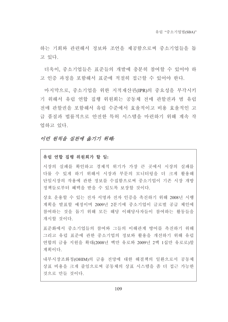하는 기회와 관련해서 정보와 조언을 제공함으로써 중소기업들을 돕 고 있다.

더욱이 중소기업들은 퓨주들의 개발에 충분히 참여할 수 있어야 하 고 인증 과정을 포함해서 표준에 적절히 접근할 수 있어야 하다.

마지막으로, 중소기업을 위한 지적재산권(IPR)의 중요성을 부각시키 기 위해서 유럽 연합 집행 위원회는 공동체 전매 관할권과 범 유럽 전매 관할권을 포함해서 유럽 수주에서 효율적이고 비용 효율적인 고 급 품질과 법률적으로 안전한 특허 시스템을 마련하기 위해 계속 작 업하고 있다.

### 이런 워칙을 실취에 옮기기 위해.

### 유럽 연합 집행 위원회가 할 일:

시장의 실패를 확인하고 경제적 위기가 가장 큰 곳에서 시장의 실패를 다룰 수 있게 하기 위해서 시장과 부문의 모니터링을 더 크게 활용해 단일시장의 작용에 관한 정보를 수집함으로써 중소기업이 기존 시장 개방 정책들로부터 혜택을 받을 수 있도록 보장할 것이다.

상호 운용할 수 있는 전자 서명과 전자 인증을 촉진하기 위해 2008년 시행 계획을 발표할 예정이며 2009년 2분기에 중소기업이 글로벌 공급 체인에 참여하는 것을 돕기 위해 모든 해당 이해당사자들이 참여하는 활동들을 개시할 것이다.

표준화에서 중소기업들의 참여와 그들의 이해관계 방어를 촉진하기 위해 그리고 유럽 표준에 관한 중소기업의 정보와 활용을 개선하기 위해 유럽 연합의 금융 지원을 확대(2008년 백만 유로와 2009년 2백 1십만 유로로)할 계획이다.

내부시장조화청(OHIM)의 금융 전망에 대한 해결책의 일환으로서 공동체 상표 비용을 크게 줄임으로써 공동체의 상표 시스템을 좀 더 접근 가능한 것으로 만들 것이다.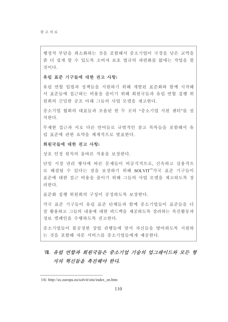행정적 부담을 최소화하는 것을 포함해서 중소기업이 국경을 넘은 교역을 좀 더 쉽게 할 수 있도록 소비자 보호 법규의 파편화를 없애는 작업을 할 것이다.

#### 유럽 표준 기구들에 대한 권고 사항:

유럽 연합 입법과 정책들을 지원하기 위해 개발된 표준화와 함께 시작해 서 표준들에 접근하는 비용을 줄이기 위해 회원국들과 유럽 연합 집행 위 원회의 긴밀한 공조 아래 그들의 사업 모델을 재고한다.

중소기업 협회의 대표들과 조율된 한 두 곳의 "중소기업 지원 센터"를 설 치하다

무제한 접근과 서로 다른 언어들로 규범적인 참고 목록들을 포함해서 유 럽 표준에 관한 요약을 체계적으로 발표한다.

### 회원국들에 대한 권고 사항:

상호 인정 원칙의 올바른 적용을 보장한다.

단일 시장 권리 행사에 따른 문제들이 비공식적으로, 신속하고 실용적으 로 해결될 수 있다는 점을 보장하기 위해 SOLVIT<sup>14)</sup>각국 표주 기구들이 표준에 대한 접근 비용을 줄이기 위해 그들의 사업 모델을 재고하도록 장 려하다

표준화 집행 위원회의 구성이 공정하도록 보장한다.

각국 표준 기구들이 유럽 표준 단체들과 함께 중소기업들이 표준들을 더 잘 활용하고 그들의 내용에 대한 피드백을 제공하도록 장려하는 촉진활동과 정보 캠페인을 수행하도록 권고한다.

중소기업들이 불공정한 상업 관행들에 맞서 자신들을 방어하도록 지워하 는 것을 포함해 자문 서비스를 중소기업들에게 제공하다.

# Ⅲ. 유럽 연합과 회원국들은 중소기업 기술의 업그레이드와 모든 형 식의 혁신들을 촉진해야 한다.

<sup>14)</sup> http://ec.europa.eu/solvit/site/index en.htm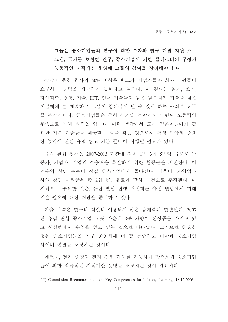# 그들은 중소기업들의 연구에 대한 투자와 연구 개발 지원 프로 그램, 국가를 초월한 연구, 중소기업에 의한 클러스터의 구성과 능동적인 지적재산 운영에 그들의 참여를 장려해야 한다.

상담에 응한 회사의 60% 이상은 학교가 기업가들과 회사 직원들이 요구하는 능력을 제공하지 못한다고 여긴다. 이 결과는 읽기, 쓰기, 자연과학, 경영, 기술, ICT, 언어 기술들과 같은 필수적인 기술을 젊은 이들에게 늘 제공하고 그들이 창의적이 될 수 있게 하는 사회적 요구 를 부각시킨다. 중소기업들은 특히 신기술 부야에서 숙련된 노동력의 부족으로 인해 타격을 입는다. 이런 맥락에서 모든 젊은이들에게 필 요한 기본 기술들을 제공할 목적을 갖는 것으로서 평생 교육의 중요 한 능력에 관한 유럽 참고 기본 틀15)이 시행될 필요가 있다.

유럽 결집 정책은 2007-2013 기간에 걸쳐 1백 3십 5백억 유로로 노 동자, 기업가, 기업의 적응력을 촉진하기 위한 활동들을 지원한다. 이 액수의 상당 부분이 직접 중소기업에게 돌아간다. 더욱이, 자영업과 사업 창업 지원금은 총 2십 8억 유로에 달하는 것으로 추정된다. 마 지막으로 중요한 것은, 유럽 연합 집행 위원회는 유럽 연합에서 미래 기술 필요에 대한 개관을 준비하고 있다.

기술 부족은 연구와 혁신의 이용되지 않은 잠재력과 연결된다. 2007 년 유럽 연합 중소기업 10곳 가운데 3곳 가량이 신상품을 가지고 있 고 신상품에서 수입을 얻고 있는 것으로 나타났다. 그러므로 중요한 것은 중소기업들을 연구 공동체에 더 잘 통합하고 대학과 중소기업 사이의 연결을 조장하는 것이다.

예컨대, 전자 송장과 전자 정부 거래를 가능하게 함으로써 중소기업 들에 의한 적극적인 지적재산 우영을 조장하는 것이 필요하다.

<sup>15)</sup> Commission Recommendation on Key Competences for Lifelong Learning, 18.12.2006.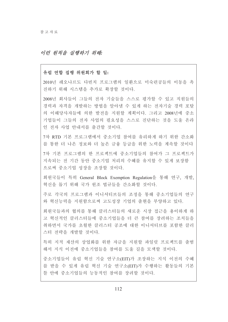### 이러 워칙을 실행하기 위해:

#### 유럽 연합 집행 위원회가 할 일:

2010년 레오나르도 다빈치 프로그램의 일화으로 미숙련공들의 이동을 촉 진하기 위해 시스템을 추가로 확장할 것이다.

2008년 회사들이 그들의 전자 기술들을 스스로 평가할 수 있고 직원들의 경력과 자격을 개발하는 방법을 알아낼 수 있게 하는 전자기술 경력 포탈 의 이해당사자들에 의한 발전을 지원할 계획이다. 그리고 2008년에 중소 기업들이 그들의 전자 사업의 필요성을 스스로 진단하는 것을 도울 온라 인 전자 사업 안내서를 출간할 것이다.

7차 RTD 기본 프로그램에서 중소기업 참여를 유리하게 하기 위한 간소화 를 통한 더 나은 정보와 더 높은 금융 등급을 위한 노력을 계속할 것이다

7차 기본 프로그램의 한 프로젝트에 중소기업들의 참여가 그 프로젝트가 지속되는 전 기간 동안 중소기업 처리의 수혜를 유지할 수 있게 보장함 으로써 중소기업 성장을 조장할 것이다.

회원국들이 특히 General Block Exemption Regulation을 통해 연구, 개발, 혁신을 돕기 위해 국가 원조 법규들을 간소화할 것이다.

주로 각국의 프로그램과 이니셔티브들의 조정을 통해 중소기업들의 연구 와 혁신능력을 지원함으로써 고도성장 기업의 출현을 부양하고 있다.

회원국들과의 협의를 통해 클러스터들의 새로운 시장 접근을 용이하게 하 고 혁신적인 클러스터들에 중소기업들을 더 큰 참여를 장려하는 조치들을 취하면서 국가를 초월한 클러스터 공조에 대한 이니셔티브를 포함한 클러 스터 전략을 개발할 것이다.

특히 지적 재산의 상업화를 위한 자금을 지원할 파일럿 프로젝트를 출범 해서 지식 이전에 중소기업들을 참여를 도울 길을 모색할 것이다.

중소기업들이 유럽 혁신 기술 연구소(EIT)가 조장하는 지식 이전의 수혜 를 받을 수 있게 유럽 혁신 기술 연구소(EIT)가 수행하는 활동들의 기본 틀 안에 중소기업들의 능동적인 참여를 장려할 것이다.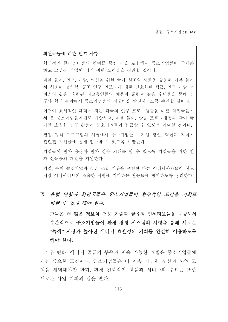### 회원국들에 대한 권고 사항:

혁신적인 클러스터들의 참여를 통한 것을 포함해서 중소기업들이 국제화 하고 고성장 기업이 되기 위한 노력들을 장려할 것이다.

예를 들어, 연구, 개발, 혁신을 위한 국가 원조의 새로운 공동체 기본 틀에 서 허용된 것처럼, 공공 연구 인프라에 대한 간소화된 접근, 연구 개발 서 비스의 활용, 숙련된 피고용인들의 채용과 훈련과 같은 수단들을 통해 연 구와 혁신 분야에서 중소기업들의 경쟁력을 발전시키도록 촉진할 것이다.

이것이 호혜적인 혜택이 되는 각국의 연구 프로그램들을 다른 회워국들에 서 온 중소기업들에게도 개방하고, 예를 들어, 합동 프로그래밍과 같이 국 가를 초월한 연구 활동에 중소기업들이 접근할 수 있도록 기여할 것이다.

결집 정책 프로그램의 시행에서 중소기업들이 기업 정신, 혁신과 지식에 관련된 지원금에 쉽게 접근할 수 있도록 보장한다.

기업들이 전자 송장과 전자 정부 거래를 할 수 있도록 기업들을 위한 전 자 신분증의 개발을 지원한다.

기업, 특히 중소기업과 공공 조달 기관을 포함한 다른 이해당사자들이 선도 시장 이니셔티브의 조속한 시행에 기여하는 활동들에 참여하도록 장려한다.

# K. 유럽 연합과 회원국들은 중소기업들이 환경적인 도전을 기회로 바꿀 수 있게 해야 한다.

그들은 더 많은 정보와 전문 기술과 금융의 인센티브들을 제공해서 부분적으로 중소기업들이 환경 경영 시스템의 시행을 통해 새로운 "녹색"시장과 높아진 에너지 효율성의 기회를 완전히 이용하도록 해야 한다.

기후 변화, 에너지 공급의 부족과 지속 가능한 개발은 중소기업들에 게는 중요한 도전이다. 중소기업들은 더 지속 가능한 생산과 사업 모 델을 채택해야만 한다. 화경 친화적인 제품과 서비스의 수요는 또한 새로운 사업 기회의 길을 여다.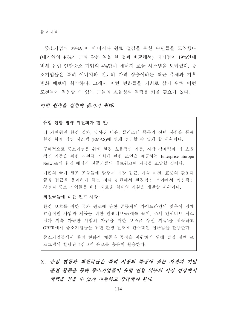중소기업의 29%만이 에너지나 원료 절감을 위한 수단들을 도입했다 (대기업의 46%가 그와 같은 일을 한 것과 비교해서). 대기업이 19%인데 비해 유럽 연합중소 기업의 4%만이 에너지 효율 시스템을 도입했다. 중 소기업들은 특히 에너지와 워료의 가격 상승이라는 최근 추세와 기후 변화 예보에 취약하다. 그래서 이런 변화들을 기회로 삼기 위해 이런 도전들에 적응할 수 있는 그들의 효율성과 역량을 키울 필요가 있다.

# 이런 워칙을 실천에 옮기기 위해.

### 유럽 연합 집행 위원회가 할 일:

더 가벼워진 환경 절차. 낮아진 비용. 클러스터 등록의 선택 사항을 통해 환경 회계 경영 시스템 (EMAS)에 쉽게 접근할 수 있게 할 계획이다.

구체적으로 중소기업을 위해 환경 효율적인 가동, 시장 잠재력과 더 효율 적인 가동을 위한 지원금 기회에 관한 조언을 제공하는 Enterprise Europe Network의 환경 에너지 전문가들의 네트워크에 자금을 조달할 것이다.

기존의 국가 원조 조항들에 맞추어 시장 접근, 기술 이전, 표준의 활용과 금융 접근을 용이하게 하는 것과 관련해서 환경혁신 분야에서 혁신적인 창업과 중소 기업들을 위한 새로운 형태의 지원을 개발할 계획이다.

# 회원국들에 대한 권고 사항:

환경 보호를 위한 국가 원조에 관한 공동체의 가이드라인에 맞추어 경제 효율적인 사업과 제품을 위한 인센티브들(예를 들어, 조세 인센티브 시스 템과 지속 가능한 사업의 자금을 위한 보조금 우선 지급)을 제공하고 GBER에서 중소기업들을 위한 환경 원조에 간소화된 접근법을 활용한다.

중소기업들에서 환경 친화적 제품과 공정을 지원하기 위해 결집 정책 프 로그램에 할당된 2십 5억 유로를 충분히 활용한다.

X. 유럽 여함과 회위국들은 특히 시장의 특성에 맞는 지위과 기업 훈련 활동을 통해 중소기업들이 유럽 연합 외부의 시장 성장에서 혜택을 얻을 수 있게 지원하고 장려해야 한다.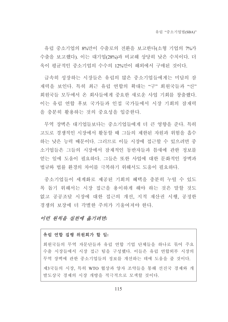유럽 중소기업의 8%만이 수출로의 전환을 보고한다(소형 기업의 7%가 수출을 보고했다). 이는 대기업(28%)과 비교해 상당히 낮은 수치이다. 더 욱이 평균적인 중소기업의 수수의 12%만이 해외에서 구매된 것이다.

급속히 성장하는 시장들은 유럽의 많은 중소기업들에게는 미답의 잠 재력을 보인다. 특히 최근 유럽 여합의 확대는 "구" 회워국들과 "신" 회원국들 모두에서 온 회사들에게 중요한 새로운 사업 기회를 창출했다. 이는 유럽 여합 후보 국가들과 인접 국가들에서 시장 기회의 잠재력 을 충분히 활용하는 것의 중요성을 입증한다.

무역 장벽은 대기업들보다는 중소기업들에게 더 큰 영향을 준다. 특히 고도로 경쟁적인 시장에서 활동할 때 그들의 제한된 자원과 위험을 흡수 하는 낮은 능력 때문이다. 그러므로 이들 시장에 접근할 수 있으려면 중 소기업들은 그들의 시장에서 잠재적인 동반자들과 틈새에 관한 정보를 얻는 일에 도움이 필요하다. 그들은 또한 사업에 대한 문화적인 장벽과 법규와 법률 환경의 차이를 극복하기 위해서도 도움이 필요하다.

중소기업들이 세계화로 제공된 기회의 혜택을 충분히 누릴 수 있도 록 돕기 위해서는 시장 접근을 용이하게 해야 하는 것은 말할 것도 없고 공공조달 시장에 대한 접근의 개선, 지적 재산권 시행, 공정한 경쟁의 보장에 더 각별한 주의가 기울여져야 한다.

# 이런 워칙을 실천에 옮기려면:

# 유럽 연합 집행 위원회가 할 일:

회원국들의 무역 자문단들과 유럽 연합 기업 단체들을 하나로 묶어 주요 수출 시장들에서 시장 접근 팀을 구성했다. 이들은 유럽 연합외부 시장의 무역 장벽에 관한 중소기업들의 정보를 개선하는 데에 도움을 줄 것이다.

제3국들의 시장, 특히 WTO 협상과 양자 조약들을 통해 선진국 경제와 개 발도상국 경제의 시장 개방을 적극적으로 모색할 것이다.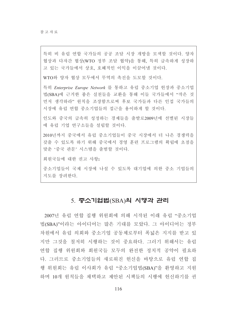특히 비 유럽 연합 국가들의 공공 조달 시장 개방을 모색할 것이다. 양자 협상과 다자간 협상(WTO 정부 조달 협약)을 통해, 특히 급속하게 성장하 고 있는 국가들에서 상호, 호혜적인 이익을 이끌어낼 것이다.

WTO와 양자 협상 모두에서 무역의 촉진을 도모할 것이다.

특히 Enterprise Europe Network 를 통하고 유럽 중소기업 헌장과 중소기업 법(SBA)에 근거한 좋은 실천들을 교환을 통해 이들 국가들에서 "작은 것 먼저 생각하라" 원칙을 조장함으로써 후보 국가들과 다른 인접 국가들의 시장에 유럽 연합 중소기업들의 접근을 용이하게 할 것이다.

인도와 중국의 급속히 성정하는 경제들을 출발로2009년에 선별된 시장들 에 유럽 기업 연구소들을 설립할 것이다.

2010년까지 중국에서 유럽 중소기업들이 중국 시장에서 더 나은 경쟁력을 갖출 수 있도록 하기 위해 중국에서 경영 훈련 프로그램의 확립에 초점을 맞춘 '중국 관문' 시스템을 출범할 것이다.

회원국들에 대한 권고 사항:

중소기업들이 국제 시장에 나설 수 있도록 대기업에 의한 중소 기업들의 지도를 장려한다.

# 5. 중소기업법(SBA)의 시행과 관리

2007년 유럽 연합 집행 위워회에 의해 시작된 이래 유럽 "중소기업 법(SBA)"이라는 아이디어는 많은 기대를 모았다. 그 아이디어는 정부 차원에서 유럽 의회와 중소기업 공동체로부터 폭넓은 지지를 받고 있 지만 그것을 철저히 시행하는 것이 중요하다. 그러기 위해서는 유럽 연합 집행 위원회와 회원국들 모두의 완전한 정치적 공약이 필요하 다. 그러므로 중소기업들의 새로워진 헌신을 바탕으로 유럽 연합 집 행 위원회는 유럽 이사회가 유럽 "중소기업법(SBA)"을 환영하고 지원 하며 10개 워칙들을 채택하고 제안된 시책들의 시행에 헌신하기를 권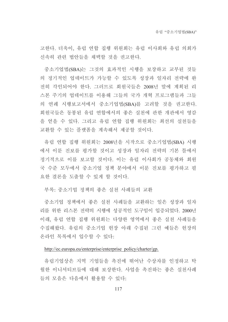고한다. 더욱이, 유럽 연합 집행 위원회는 유럽 이사회와 유럽 의회가 신속히 관련 법안들을 채택할 것을 권고한다.

중소기업법(SBA)는 그것의 효과적인 시행을 보장하고 교부된 것들 의 정기적인 업데이트가 가능할 수 있도록 성장과 일자리 전략에 완 전히 각인되어야 한다. 그러므로 회원국들은 2008년 말에 계획된 리 스본 주기의 업데이트를 이용해 그들의 국가 개혁 프로그램들과 그들 의 연례 시행보고서에서 중소기업법(SBA)를 고려할 것을 권고한다. 회원국들은 동봉된 유럽 연합에서의 좋은 실천에 관한 개관에서 영감 을 얻을 수 있다. 그리고 유럽 연합 집행 위원회는 최선의 실천들을 교환할 수 있는 플랫폼을 계속해서 제공할 것이다.

유럽 연합 집행 위원회는 2008년을 시작으로 중소기업법(SBA) 시행 에서 이룬 지보를 평가할 것이고 성장과 일자리 전략의 기본 틀에서 정기적으로 이를 보고할 것이다. 이는 유럽 이사회가 공동체와 회원 국 수준 모두에서 중소기업 정책 분야에서 이룬 진보를 평가하고 필 요한 결론을 도출할 수 있게 할 것이다.

부록: 중소기업 정책의 좋은 실처 사례들의 교화

중소기업 정책에서 좋은 실천 사례들을 교환하는 일은 성장과 일자 리를 위한 리스본 전략의 시행에 성공적인 도구임이 입증되었다. 2000년 이래, 유럽 연합 집행 위원회는 다양한 영역에서 좋은 실천 사례들을 수집해왔다. 유럽의 중소기업 헌장 아래 수집된 그런 예들은 헌장의 온라인 목록에서 입수할 수 있다.

#### http://ec.europa.eu/enterprise/enterprise policy/charter/gp.

유럽기업상은 지역 기업들을 촉진에 뛰어난 수상자를 인정하고 탁 월한 이니셔티브들에 대해 보상한다. 사업을 촉진하는 좋은 실천사례 들의 모음은 다음에서 활용할 수 있다.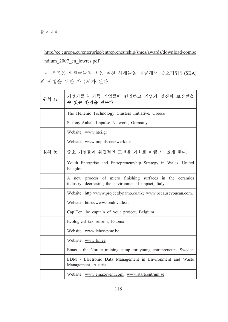http://ec.europa.eu/enterprise/entrepreneurship/smes/awards/download/compe ndium 2007 en lowres.pdf

이 부록은 회원국들의 좋은 실천 사례들을 제공해서 중소기업법(SBA) 의 시행을 위한 자극제가 된다.

| 워칙 1: | 기업가들과 가족 기업들이 번영하고 기업가 정신이 보상받을<br>수 있는 환경을 만든다                                                                   |
|-------|-------------------------------------------------------------------------------------------------------------------|
|       | The Hellenic Technology Clusters Initiative, Greece                                                               |
|       | Saxony-Anhalt Impulse Network, Germany                                                                            |
|       | Website: www.htci.gr                                                                                              |
|       | Website: www.impuls-netzwerk.de                                                                                   |
| 원칙 9: | 중소 기업들이 환경적인 도전을 기회로 바꿀 수 있게 한다.                                                                                  |
|       | Youth Enterprise and Entrepreneurship Strategy in Wales, United<br>Kingdom                                        |
|       | A new process of micro finishing surfaces in the ceramics<br>industry, decreasing the environmental impact, Italy |
|       | Website: http://www.projectdynamo.co.uk; www.becauseyoucan.com.                                                   |
|       | Website: http://www.fondovalle.it                                                                                 |
|       | Cap'Ten, be captain of your project, Belgium                                                                      |
|       | Ecological tax reform, Estonia                                                                                    |
|       | Website: www.ichec-pme.be                                                                                         |
|       | Website: www.fin.ee                                                                                               |
|       | Emax - the Nordic training camp for young entrepreneurs, Sweden                                                   |
|       | EDM - Electronic Data Management in Environment and Waste<br>Management, Austria                                  |
|       | Website: www.emaxevent.com, www.startcentrum.se                                                                   |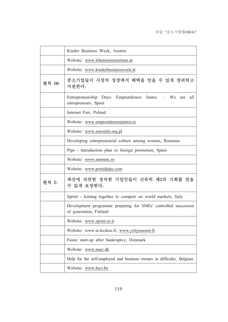|        | Kinder Business Week, Austria                                                             |
|--------|-------------------------------------------------------------------------------------------|
|        | Website: www.lebensministerium.at                                                         |
|        | Website: www.kinderbusinessweek.at                                                        |
| 원칙 10: | 중소기업들이 시장의 성장에서 혜택을 얻을 수 있게 장려하고<br>지원한다.                                                 |
|        | Entrepreneurship Days: Emprendemos Juntos - We are all<br>entrepreneurs, Spain            |
|        | Internet Fair, Poland                                                                     |
|        | Website: www.emprendemosjuntos.es                                                         |
|        | Website: www.euroinfo.org.pl                                                              |
|        | Developing entrepreneurial culture among women, Romania                                   |
|        | Pipe - introduction plan to foreign promotion, Spain                                      |
|        | Website: www.animmc.ro                                                                    |
|        | Website: www.portalpipe.com                                                               |
| 원칙 2:  | 파산에 직면한 정직한 기업인들이 신속히 제2의 기회를 얻을<br>수 있게 보장한다.                                            |
|        | Sprint - Joining together to compete on world markets, Italy                              |
|        | Development programme preparing for SMEs' controlled succession<br>of generation, Finland |
|        | Website: www.sprint-er.it                                                                 |
|        | Website: www.te-keskus.fi, www.yrityssuomi.fi                                             |
|        | Faster start-up after bankruptcy, Denmark                                                 |
|        | Website: www.naec.dk                                                                      |
|        | Help for the self-employed and business owners in difficulty, Belgium                     |
|        | Website: www.beci.be                                                                      |